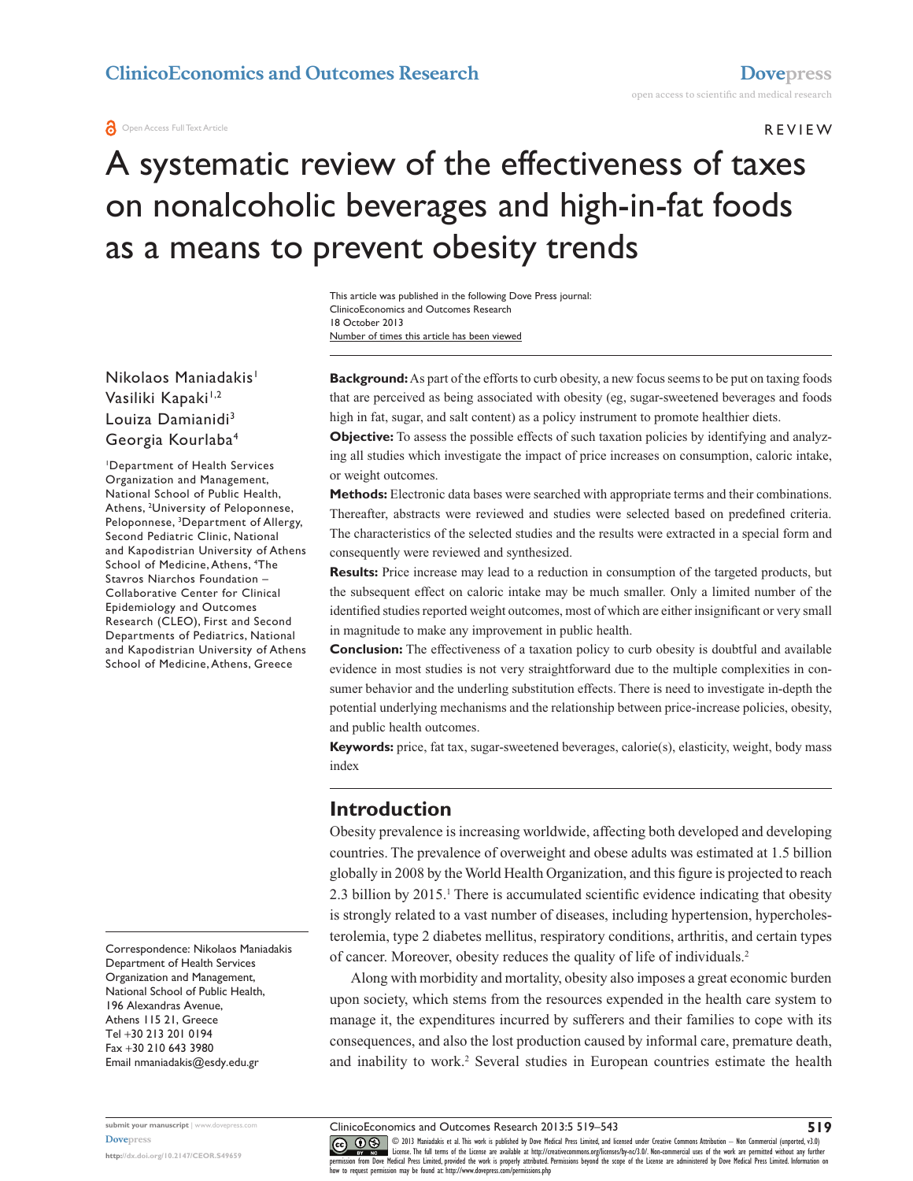**O** Open Access Full Text Article

#### **REVIEW**

# A systematic review of the effectiveness of taxes on nonalcoholic beverages and high-in-fat foods as a means to prevent obesity trends

Number of times this article has been viewed This article was published in the following Dove Press journal: ClinicoEconomics and Outcomes Research 18 October 2013

### Nikolaos Maniadakis<sup>1</sup> Vasiliki Kapaki<sup>1,2</sup> Louiza Damianidi<sup>3</sup> Georgia Kourlaba4

1 Department of Health Services Organization and Management, National School of Public Health, Athens, <sup>2</sup>University of Peloponnese, Peloponnese, <sup>3</sup>Department of Allergy, Second Pediatric Clinic, National and Kapodistrian University of Athens School of Medicine, Athens, 4 The Stavros Niarchos Foundation – Collaborative Center for Clinical Epidemiology and Outcomes Research (CLEO), First and Second Departments of Pediatrics, National and Kapodistrian University of Athens School of Medicine, Athens, Greece

Correspondence: Nikolaos Maniadakis Department of Health Services Organization and Management, National School of Public Health, 196 Alexandras Avenue, Athens 115 21, Greece Tel +30 213 201 0194 Fax +30 210 643 3980 Email [nmaniadakis@esdy.edu.gr](mailto:nmaniadakis@esdy.edu.gr)

The characteristics of the selected studies and the results were extracted in a special form and consequently were reviewed and synthesized. **Results:** Price increase may lead to a reduction in consumption of the targeted products, but

the subsequent effect on caloric intake may be much smaller. Only a limited number of the identified studies reported weight outcomes, most of which are either insignificant or very small in magnitude to make any improvement in public health.

**Background:** As part of the efforts to curb obesity, a new focus seems to be put on taxing foods that are perceived as being associated with obesity (eg, sugar-sweetened beverages and foods

**Objective:** To assess the possible effects of such taxation policies by identifying and analyzing all studies which investigate the impact of price increases on consumption, caloric intake,

**Methods:** Electronic data bases were searched with appropriate terms and their combinations. Thereafter, abstracts were reviewed and studies were selected based on predefined criteria.

high in fat, sugar, and salt content) as a policy instrument to promote healthier diets.

**Conclusion:** The effectiveness of a taxation policy to curb obesity is doubtful and available evidence in most studies is not very straightforward due to the multiple complexities in consumer behavior and the underling substitution effects. There is need to investigate in-depth the potential underlying mechanisms and the relationship between price-increase policies, obesity, and public health outcomes.

**Keywords:** price, fat tax, sugar-sweetened beverages, calorie(s), elasticity, weight, body mass index

## **Introduction**

or weight outcomes.

Obesity prevalence is increasing worldwide, affecting both developed and developing countries. The prevalence of overweight and obese adults was estimated at 1.5 billion globally in 2008 by the World Health Organization, and this figure is projected to reach 2.3 billion by 2015.<sup>1</sup> There is accumulated scientific evidence indicating that obesity is strongly related to a vast number of diseases, including hypertension, hypercholesterolemia, type 2 diabetes mellitus, respiratory conditions, arthritis, and certain types of cancer. Moreover, obesity reduces the quality of life of individuals.2

Along with morbidity and mortality, obesity also imposes a great economic burden upon society, which stems from the resources expended in the health care system to manage it, the expenditures incurred by sufferers and their families to cope with its consequences, and also the lost production caused by informal care, premature death, and inability to work.<sup>2</sup> Several studies in European countries estimate the health

CO OD 3 Maniadakis et al. This work is published by Dove Medical Press Limited, and licensed under Creative Commons Attribution - Non Commercial (unported, v3.0)<br> [permission from Dove M](http://www.dovepress.com/permissions.php)edical Press Limited, provided the wo how to request permission may be found at: http://www.dovepress.com/permissions.php

**submit your manuscript** | <www.dovepress.com> **[Dovepress](www.dovepress.com)**

**<http://dx.doi.org/10.2147/CEOR.S49659>**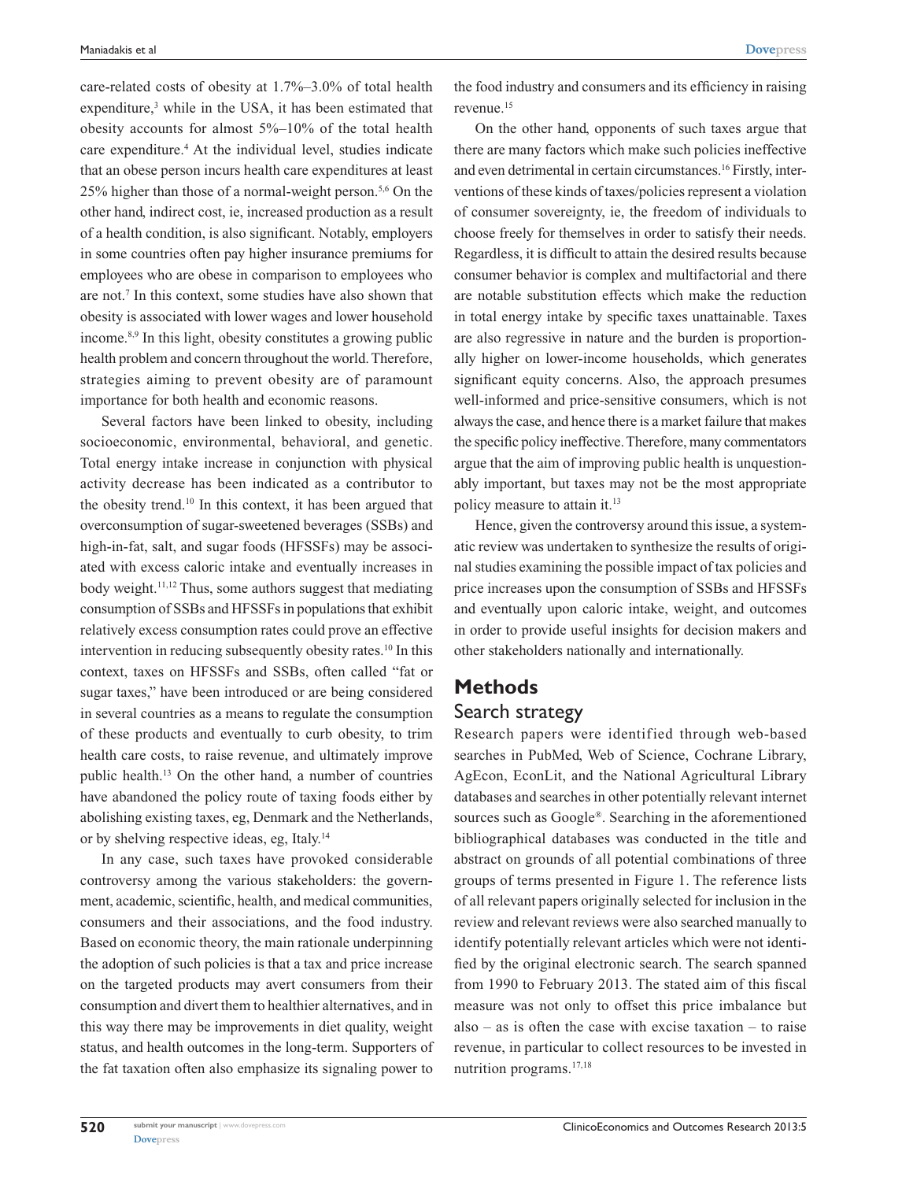care-related costs of obesity at 1.7%–3.0% of total health expenditure,<sup>3</sup> while in the USA, it has been estimated that obesity accounts for almost 5%–10% of the total health care expenditure.<sup>4</sup> At the individual level, studies indicate that an obese person incurs health care expenditures at least 25% higher than those of a normal-weight person.5,6 On the other hand, indirect cost, ie, increased production as a result of a health condition, is also significant. Notably, employers in some countries often pay higher insurance premiums for employees who are obese in comparison to employees who are not.7 In this context, some studies have also shown that obesity is associated with lower wages and lower household income.8,9 In this light, obesity constitutes a growing public health problem and concern throughout the world. Therefore, strategies aiming to prevent obesity are of paramount importance for both health and economic reasons.

Several factors have been linked to obesity, including socioeconomic, environmental, behavioral, and genetic. Total energy intake increase in conjunction with physical activity decrease has been indicated as a contributor to the obesity trend.<sup>10</sup> In this context, it has been argued that overconsumption of sugar-sweetened beverages (SSBs) and high-in-fat, salt, and sugar foods (HFSSFs) may be associated with excess caloric intake and eventually increases in body weight.11,12 Thus, some authors suggest that mediating consumption of SSBs and HFSSFs in populations that exhibit relatively excess consumption rates could prove an effective intervention in reducing subsequently obesity rates.<sup>10</sup> In this context, taxes on HFSSFs and SSBs, often called "fat or sugar taxes," have been introduced or are being considered in several countries as a means to regulate the consumption of these products and eventually to curb obesity, to trim health care costs, to raise revenue, and ultimately improve public health.13 On the other hand, a number of countries have abandoned the policy route of taxing foods either by abolishing existing taxes, eg, Denmark and the Netherlands, or by shelving respective ideas, eg, Italy.14

In any case, such taxes have provoked considerable controversy among the various stakeholders: the government, academic, scientific, health, and medical communities, consumers and their associations, and the food industry. Based on economic theory, the main rationale underpinning the adoption of such policies is that a tax and price increase on the targeted products may avert consumers from their consumption and divert them to healthier alternatives, and in this way there may be improvements in diet quality, weight status, and health outcomes in the long-term. Supporters of the fat taxation often also emphasize its signaling power to the food industry and consumers and its efficiency in raising revenue.15

On the other hand, opponents of such taxes argue that there are many factors which make such policies ineffective and even detrimental in certain circumstances.16 Firstly, interventions of these kinds of taxes/policies represent a violation of consumer sovereignty, ie, the freedom of individuals to choose freely for themselves in order to satisfy their needs. Regardless, it is difficult to attain the desired results because consumer behavior is complex and multifactorial and there are notable substitution effects which make the reduction in total energy intake by specific taxes unattainable. Taxes are also regressive in nature and the burden is proportionally higher on lower-income households, which generates significant equity concerns. Also, the approach presumes well-informed and price-sensitive consumers, which is not always the case, and hence there is a market failure that makes the specific policy ineffective. Therefore, many commentators argue that the aim of improving public health is unquestionably important, but taxes may not be the most appropriate policy measure to attain it.13

Hence, given the controversy around this issue, a systematic review was undertaken to synthesize the results of original studies examining the possible impact of tax policies and price increases upon the consumption of SSBs and HFSSFs and eventually upon caloric intake, weight, and outcomes in order to provide useful insights for decision makers and other stakeholders nationally and internationally.

# **Methods** Search strategy

Research papers were identified through web-based searches in PubMed, Web of Science, Cochrane Library, AgEcon, EconLit, and the National Agricultural Library databases and searches in other potentially relevant internet sources such as Google®. Searching in the aforementioned bibliographical databases was conducted in the title and abstract on grounds of all potential combinations of three groups of terms presented in Figure 1. The reference lists of all relevant papers originally selected for inclusion in the review and relevant reviews were also searched manually to identify potentially relevant articles which were not identified by the original electronic search. The search spanned from 1990 to February 2013. The stated aim of this fiscal measure was not only to offset this price imbalance but also – as is often the case with excise taxation – to raise revenue, in particular to collect resources to be invested in nutrition programs.17,18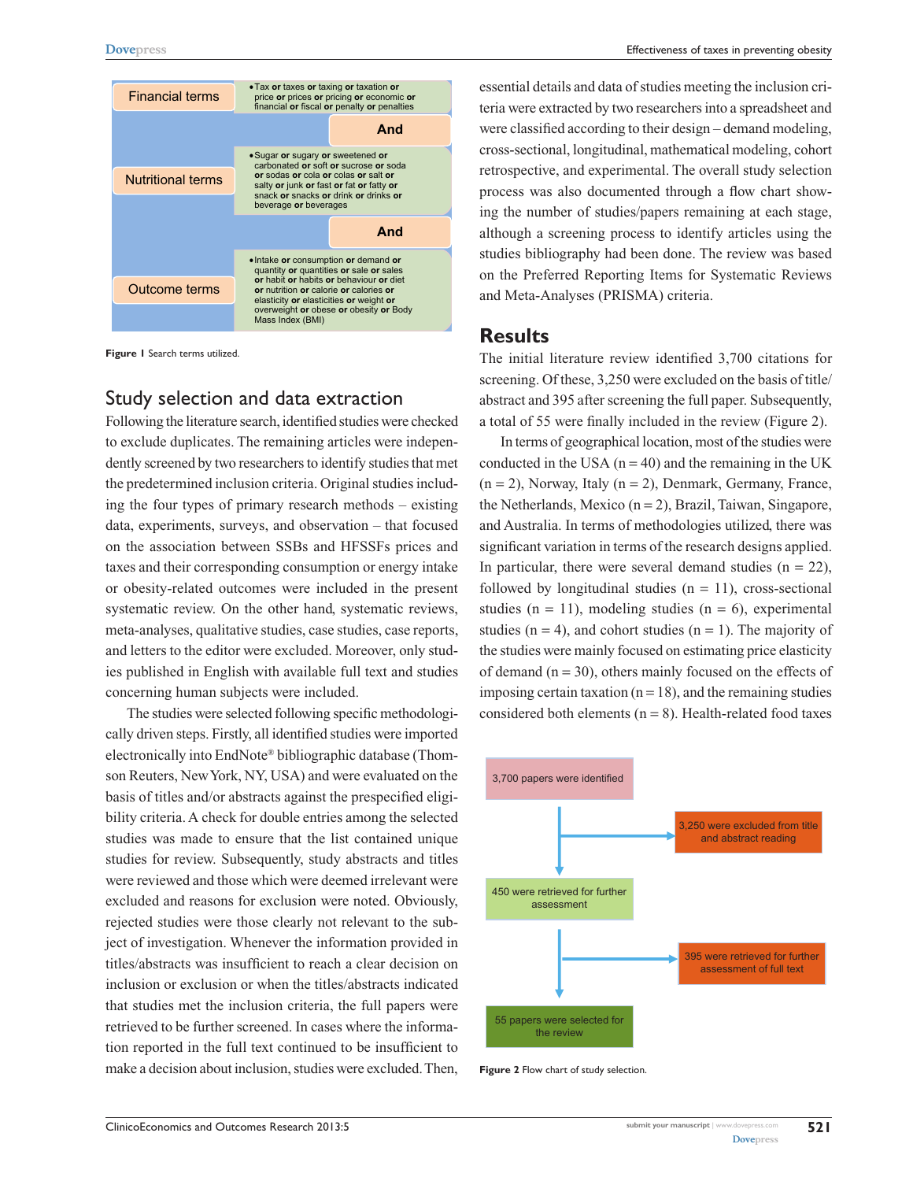

**Figure 1** Search terms utilized.

#### Study selection and data extraction

Following the literature search, identified studies were checked to exclude duplicates. The remaining articles were independently screened by two researchers to identify studies that met the predetermined inclusion criteria. Original studies including the four types of primary research methods – existing data, experiments, surveys, and observation – that focused on the association between SSBs and HFSSFs prices and taxes and their corresponding consumption or energy intake or obesity-related outcomes were included in the present systematic review. On the other hand, systematic reviews, meta-analyses, qualitative studies, case studies, case reports, and letters to the editor were excluded. Moreover, only studies published in English with available full text and studies concerning human subjects were included.

The studies were selected following specific methodologically driven steps. Firstly, all identified studies were imported electronically into EndNote® bibliographic database (Thomson Reuters, New York, NY, USA) and were evaluated on the basis of titles and/or abstracts against the prespecified eligibility criteria. A check for double entries among the selected studies was made to ensure that the list contained unique studies for review. Subsequently, study abstracts and titles were reviewed and those which were deemed irrelevant were excluded and reasons for exclusion were noted. Obviously, rejected studies were those clearly not relevant to the subject of investigation. Whenever the information provided in titles/abstracts was insufficient to reach a clear decision on inclusion or exclusion or when the titles/abstracts indicated that studies met the inclusion criteria, the full papers were retrieved to be further screened. In cases where the information reported in the full text continued to be insufficient to make a decision about inclusion, studies were excluded. Then,

essential details and data of studies meeting the inclusion criteria were extracted by two researchers into a spreadsheet and were classified according to their design – demand modeling, cross-sectional, longitudinal, mathematical modeling, cohort retrospective, and experimental. The overall study selection process was also documented through a flow chart showing the number of studies/papers remaining at each stage, although a screening process to identify articles using the studies bibliography had been done. The review was based on the Preferred Reporting Items for Systematic Reviews and Meta-Analyses (PRISMA) criteria.

#### **Results**

The initial literature review identified 3,700 citations for screening. Of these, 3,250 were excluded on the basis of title/ abstract and 395 after screening the full paper. Subsequently, a total of 55 were finally included in the review (Figure 2).

In terms of geographical location, most of the studies were conducted in the USA  $(n = 40)$  and the remaining in the UK  $(n = 2)$ , Norway, Italy  $(n = 2)$ , Denmark, Germany, France, the Netherlands, Mexico  $(n = 2)$ , Brazil, Taiwan, Singapore, and Australia. In terms of methodologies utilized, there was significant variation in terms of the research designs applied. In particular, there were several demand studies  $(n = 22)$ , followed by longitudinal studies  $(n = 11)$ , cross-sectional studies ( $n = 11$ ), modeling studies ( $n = 6$ ), experimental studies ( $n = 4$ ), and cohort studies ( $n = 1$ ). The majority of the studies were mainly focused on estimating price elasticity of demand  $(n = 30)$ , others mainly focused on the effects of imposing certain taxation ( $n = 18$ ), and the remaining studies considered both elements ( $n = 8$ ). Health-related food taxes



**Figure 2** Flow chart of study selection.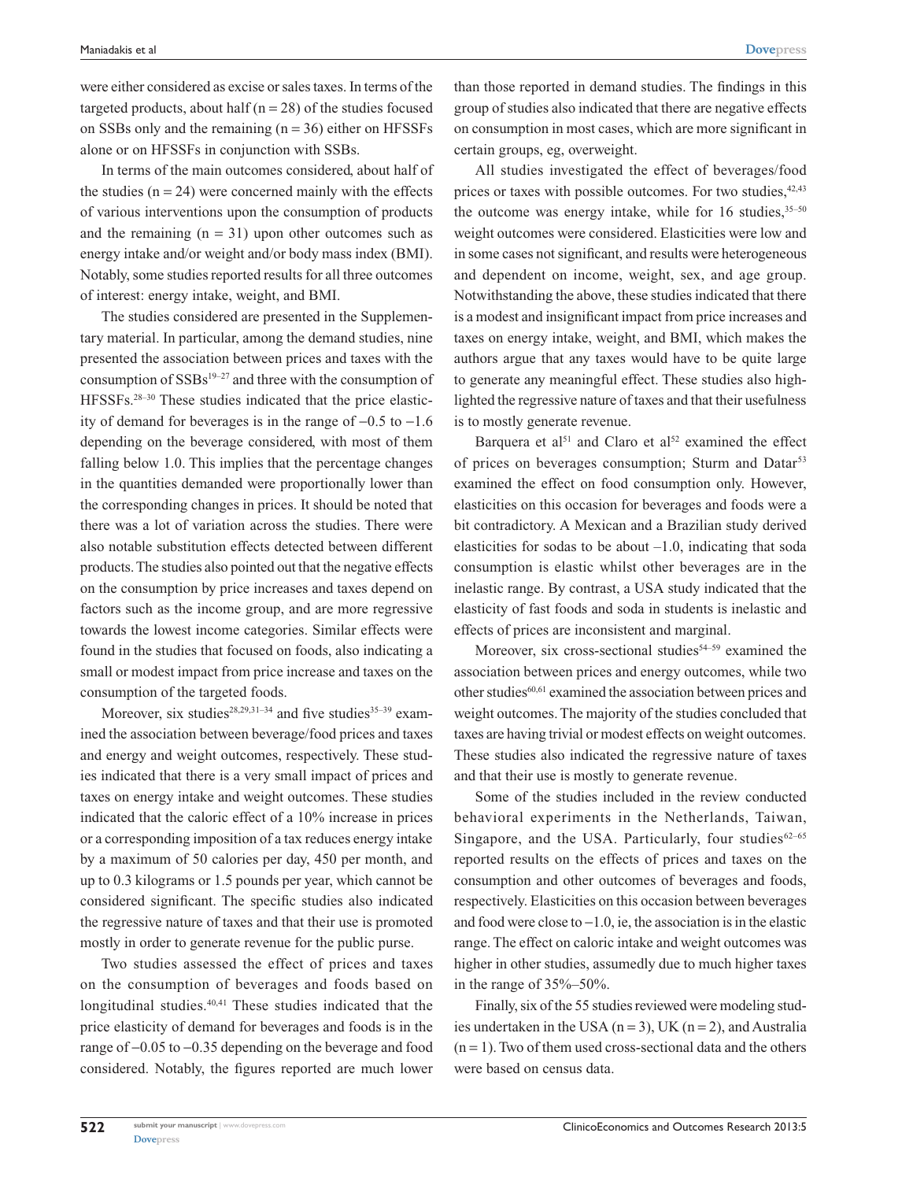were either considered as excise or sales taxes. In terms of the targeted products, about half ( $n = 28$ ) of the studies focused on SSBs only and the remaining  $(n = 36)$  either on HFSSFs alone or on HFSSFs in conjunction with SSBs.

In terms of the main outcomes considered, about half of the studies  $(n = 24)$  were concerned mainly with the effects of various interventions upon the consumption of products and the remaining  $(n = 31)$  upon other outcomes such as energy intake and/or weight and/or body mass index (BMI). Notably, some studies reported results for all three outcomes of interest: energy intake, weight, and BMI.

The studies considered are presented in the Supplementary material. In particular, among the demand studies, nine presented the association between prices and taxes with the consumption of  $SSBs^{19-27}$  and three with the consumption of HFSSFs.28–30 These studies indicated that the price elasticity of demand for beverages is in the range of  $-0.5$  to  $-1.6$ depending on the beverage considered, with most of them falling below 1.0. This implies that the percentage changes in the quantities demanded were proportionally lower than the corresponding changes in prices. It should be noted that there was a lot of variation across the studies. There were also notable substitution effects detected between different products. The studies also pointed out that the negative effects on the consumption by price increases and taxes depend on factors such as the income group, and are more regressive towards the lowest income categories. Similar effects were found in the studies that focused on foods, also indicating a small or modest impact from price increase and taxes on the consumption of the targeted foods.

Moreover, six studies<sup>28,29,31-34</sup> and five studies<sup>35-39</sup> examined the association between beverage/food prices and taxes and energy and weight outcomes, respectively. These studies indicated that there is a very small impact of prices and taxes on energy intake and weight outcomes. These studies indicated that the caloric effect of a 10% increase in prices or a corresponding imposition of a tax reduces energy intake by a maximum of 50 calories per day, 450 per month, and up to 0.3 kilograms or 1.5 pounds per year, which cannot be considered significant. The specific studies also indicated the regressive nature of taxes and that their use is promoted mostly in order to generate revenue for the public purse.

Two studies assessed the effect of prices and taxes on the consumption of beverages and foods based on longitudinal studies.<sup>40,41</sup> These studies indicated that the price elasticity of demand for beverages and foods is in the range of -0.05 to -0.35 depending on the beverage and food considered. Notably, the figures reported are much lower

than those reported in demand studies. The findings in this group of studies also indicated that there are negative effects on consumption in most cases, which are more significant in certain groups, eg, overweight.

All studies investigated the effect of beverages/food prices or taxes with possible outcomes. For two studies,  $42,43$ the outcome was energy intake, while for 16 studies, $35-50$ weight outcomes were considered. Elasticities were low and in some cases not significant, and results were heterogeneous and dependent on income, weight, sex, and age group. Notwithstanding the above, these studies indicated that there is a modest and insignificant impact from price increases and taxes on energy intake, weight, and BMI, which makes the authors argue that any taxes would have to be quite large to generate any meaningful effect. These studies also highlighted the regressive nature of taxes and that their usefulness is to mostly generate revenue.

Barquera et al<sup>51</sup> and Claro et al<sup>52</sup> examined the effect of prices on beverages consumption; Sturm and Datar<sup>53</sup> examined the effect on food consumption only. However, elasticities on this occasion for beverages and foods were a bit contradictory. A Mexican and a Brazilian study derived elasticities for sodas to be about  $-1.0$ , indicating that soda consumption is elastic whilst other beverages are in the inelastic range. By contrast, a USA study indicated that the elasticity of fast foods and soda in students is inelastic and effects of prices are inconsistent and marginal.

Moreover, six cross-sectional studies<sup>54–59</sup> examined the association between prices and energy outcomes, while two other studies<sup>60,61</sup> examined the association between prices and weight outcomes. The majority of the studies concluded that taxes are having trivial or modest effects on weight outcomes. These studies also indicated the regressive nature of taxes and that their use is mostly to generate revenue.

Some of the studies included in the review conducted behavioral experiments in the Netherlands, Taiwan, Singapore, and the USA. Particularly, four studies $62-65$ reported results on the effects of prices and taxes on the consumption and other outcomes of beverages and foods, respectively. Elasticities on this occasion between beverages and food were close to  $-1.0$ , ie, the association is in the elastic range. The effect on caloric intake and weight outcomes was higher in other studies, assumedly due to much higher taxes in the range of 35%–50%.

Finally, six of the 55 studies reviewed were modeling studies undertaken in the USA ( $n = 3$ ), UK ( $n = 2$ ), and Australia  $(n = 1)$ . Two of them used cross-sectional data and the others were based on census data.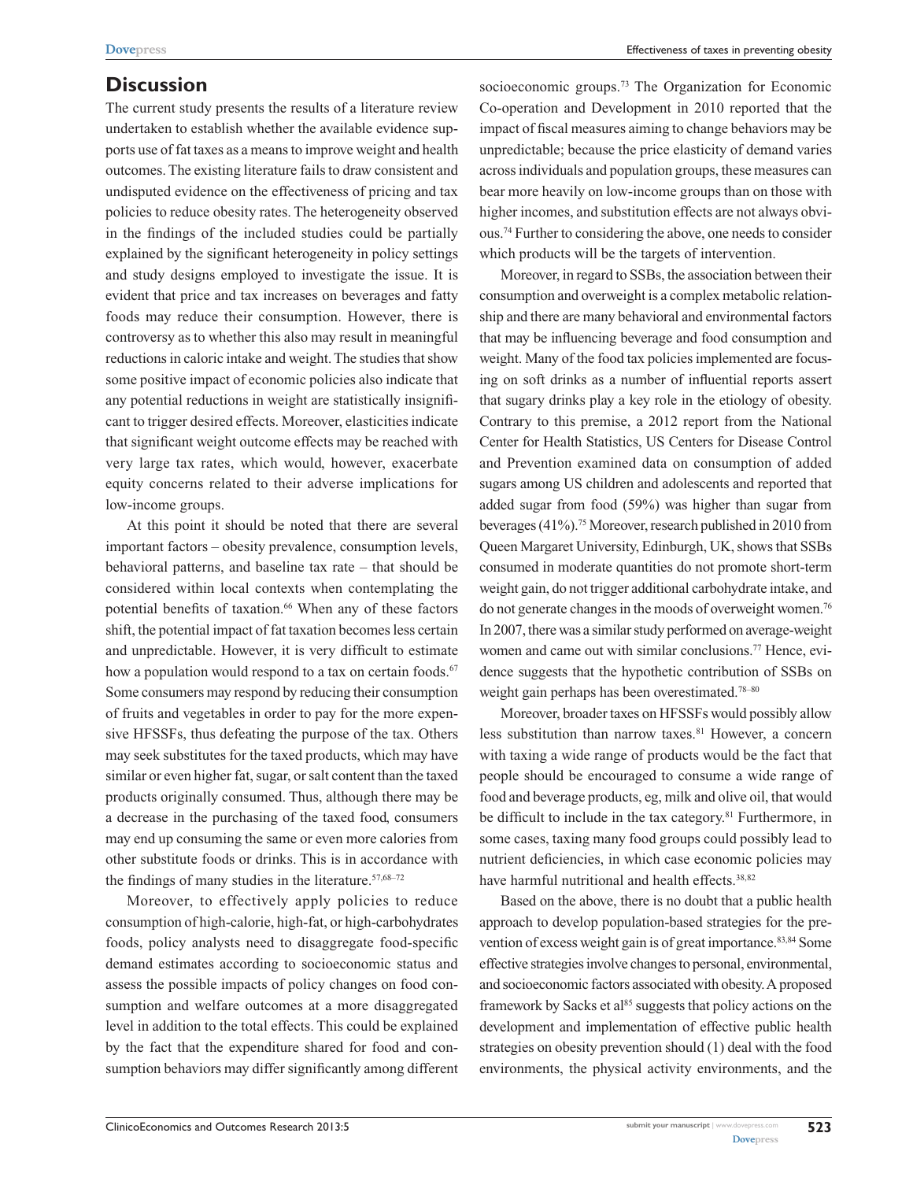# **Discussion**

The current study presents the results of a literature review undertaken to establish whether the available evidence supports use of fat taxes as a means to improve weight and health outcomes. The existing literature fails to draw consistent and undisputed evidence on the effectiveness of pricing and tax policies to reduce obesity rates. The heterogeneity observed in the findings of the included studies could be partially explained by the significant heterogeneity in policy settings and study designs employed to investigate the issue. It is evident that price and tax increases on beverages and fatty foods may reduce their consumption. However, there is controversy as to whether this also may result in meaningful reductions in caloric intake and weight. The studies that show some positive impact of economic policies also indicate that any potential reductions in weight are statistically insignificant to trigger desired effects. Moreover, elasticities indicate that significant weight outcome effects may be reached with very large tax rates, which would, however, exacerbate equity concerns related to their adverse implications for low-income groups.

At this point it should be noted that there are several important factors – obesity prevalence, consumption levels, behavioral patterns, and baseline tax rate – that should be considered within local contexts when contemplating the potential benefits of taxation.<sup>66</sup> When any of these factors shift, the potential impact of fat taxation becomes less certain and unpredictable. However, it is very difficult to estimate how a population would respond to a tax on certain foods.<sup>67</sup> Some consumers may respond by reducing their consumption of fruits and vegetables in order to pay for the more expensive HFSSFs, thus defeating the purpose of the tax. Others may seek substitutes for the taxed products, which may have similar or even higher fat, sugar, or salt content than the taxed products originally consumed. Thus, although there may be a decrease in the purchasing of the taxed food, consumers may end up consuming the same or even more calories from other substitute foods or drinks. This is in accordance with the findings of many studies in the literature. $57,68-72$ 

Moreover, to effectively apply policies to reduce consumption of high-calorie, high-fat, or high-carbohydrates foods, policy analysts need to disaggregate food-specific demand estimates according to socioeconomic status and assess the possible impacts of policy changes on food consumption and welfare outcomes at a more disaggregated level in addition to the total effects. This could be explained by the fact that the expenditure shared for food and consumption behaviors may differ significantly among different socioeconomic groups.73 The Organization for Economic Co-operation and Development in 2010 reported that the impact of fiscal measures aiming to change behaviors may be unpredictable; because the price elasticity of demand varies across individuals and population groups, these measures can bear more heavily on low-income groups than on those with higher incomes, and substitution effects are not always obvious.74 Further to considering the above, one needs to consider which products will be the targets of intervention.

Moreover, in regard to SSBs, the association between their consumption and overweight is a complex metabolic relationship and there are many behavioral and environmental factors that may be influencing beverage and food consumption and weight. Many of the food tax policies implemented are focusing on soft drinks as a number of influential reports assert that sugary drinks play a key role in the etiology of obesity. Contrary to this premise, a 2012 report from the National Center for Health Statistics, US Centers for Disease Control and Prevention examined data on consumption of added sugars among US children and adolescents and reported that added sugar from food (59%) was higher than sugar from beverages (41%).75 Moreover, research published in 2010 from Queen Margaret University, Edinburgh, UK, shows that SSBs consumed in moderate quantities do not promote short-term weight gain, do not trigger additional carbohydrate intake, and do not generate changes in the moods of overweight women.76 In 2007, there was a similar study performed on average-weight women and came out with similar conclusions.<sup>77</sup> Hence, evidence suggests that the hypothetic contribution of SSBs on weight gain perhaps has been overestimated.78–80

Moreover, broader taxes on HFSSFs would possibly allow less substitution than narrow taxes.<sup>81</sup> However, a concern with taxing a wide range of products would be the fact that people should be encouraged to consume a wide range of food and beverage products, eg, milk and olive oil, that would be difficult to include in the tax category.<sup>81</sup> Furthermore, in some cases, taxing many food groups could possibly lead to nutrient deficiencies, in which case economic policies may have harmful nutritional and health effects.<sup>38,82</sup>

Based on the above, there is no doubt that a public health approach to develop population-based strategies for the prevention of excess weight gain is of great importance.<sup>83,84</sup> Some effective strategies involve changes to personal, environmental, and socioeconomic factors associated with obesity. A proposed framework by Sacks et al<sup>85</sup> suggests that policy actions on the development and implementation of effective public health strategies on obesity prevention should (1) deal with the food environments, the physical activity environments, and the

**523**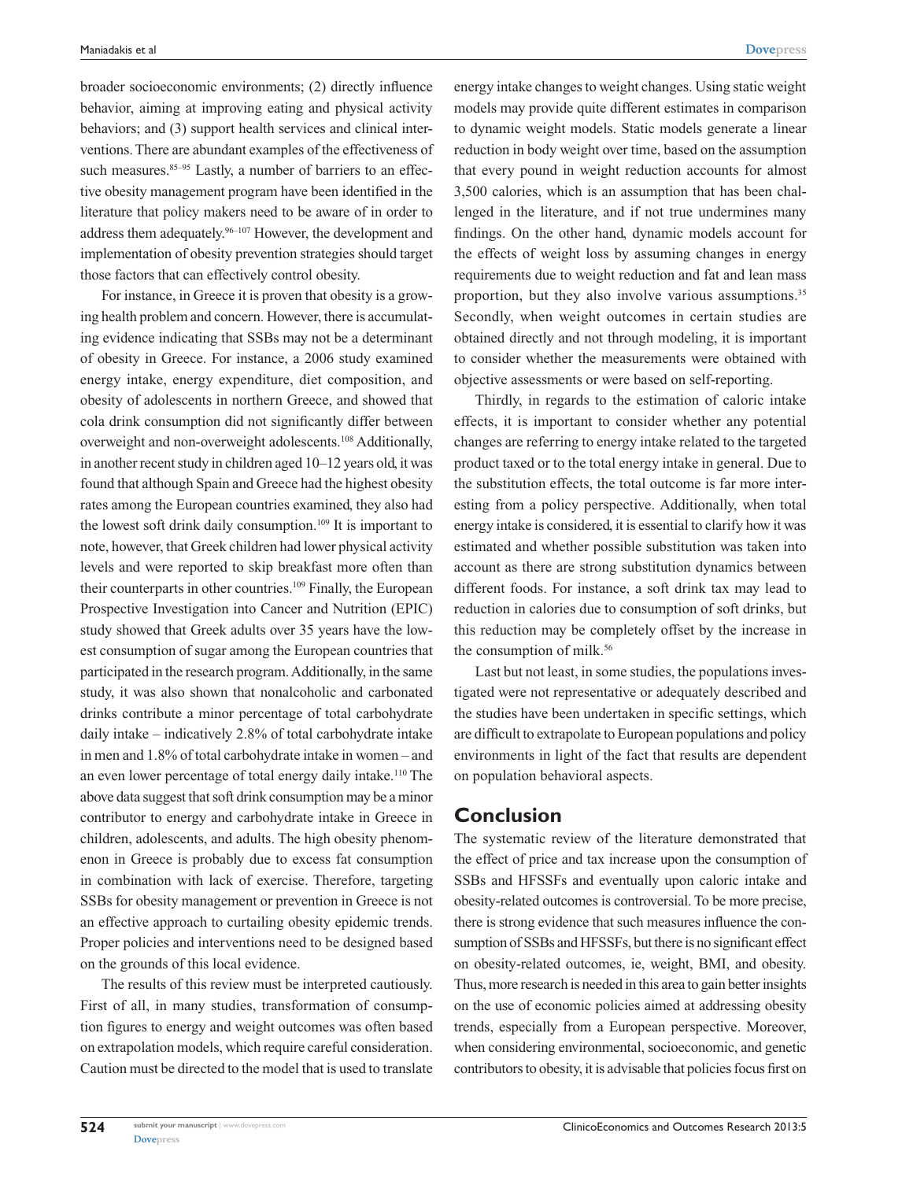broader socioeconomic environments; (2) directly influence behavior, aiming at improving eating and physical activity behaviors; and (3) support health services and clinical interventions. There are abundant examples of the effectiveness of such measures. $85-95$  Lastly, a number of barriers to an effective obesity management program have been identified in the literature that policy makers need to be aware of in order to address them adequately.96–107 However, the development and implementation of obesity prevention strategies should target those factors that can effectively control obesity.

For instance, in Greece it is proven that obesity is a growing health problem and concern. However, there is accumulating evidence indicating that SSBs may not be a determinant of obesity in Greece. For instance, a 2006 study examined energy intake, energy expenditure, diet composition, and obesity of adolescents in northern Greece, and showed that cola drink consumption did not significantly differ between overweight and non-overweight adolescents.108 Additionally, in another recent study in children aged 10–12 years old, it was found that although Spain and Greece had the highest obesity rates among the European countries examined, they also had the lowest soft drink daily consumption.109 It is important to note, however, that Greek children had lower physical activity levels and were reported to skip breakfast more often than their counterparts in other countries.109 Finally, the European Prospective Investigation into Cancer and Nutrition (EPIC) study showed that Greek adults over 35 years have the lowest consumption of sugar among the European countries that participated in the research program. Additionally, in the same study, it was also shown that nonalcoholic and carbonated drinks contribute a minor percentage of total carbohydrate daily intake – indicatively 2.8% of total carbohydrate intake in men and 1.8% of total carbohydrate intake in women – and an even lower percentage of total energy daily intake.110 The above data suggest that soft drink consumption may be a minor contributor to energy and carbohydrate intake in Greece in children, adolescents, and adults. The high obesity phenomenon in Greece is probably due to excess fat consumption in combination with lack of exercise. Therefore, targeting SSBs for obesity management or prevention in Greece is not an effective approach to curtailing obesity epidemic trends. Proper policies and interventions need to be designed based on the grounds of this local evidence.

The results of this review must be interpreted cautiously. First of all, in many studies, transformation of consumption figures to energy and weight outcomes was often based on extrapolation models, which require careful consideration. Caution must be directed to the model that is used to translate energy intake changes to weight changes. Using static weight models may provide quite different estimates in comparison to dynamic weight models. Static models generate a linear reduction in body weight over time, based on the assumption that every pound in weight reduction accounts for almost 3,500 calories, which is an assumption that has been challenged in the literature, and if not true undermines many findings. On the other hand, dynamic models account for the effects of weight loss by assuming changes in energy requirements due to weight reduction and fat and lean mass proportion, but they also involve various assumptions.<sup>35</sup> Secondly, when weight outcomes in certain studies are obtained directly and not through modeling, it is important to consider whether the measurements were obtained with objective assessments or were based on self-reporting.

Thirdly, in regards to the estimation of caloric intake effects, it is important to consider whether any potential changes are referring to energy intake related to the targeted product taxed or to the total energy intake in general. Due to the substitution effects, the total outcome is far more interesting from a policy perspective. Additionally, when total energy intake is considered, it is essential to clarify how it was estimated and whether possible substitution was taken into account as there are strong substitution dynamics between different foods. For instance, a soft drink tax may lead to reduction in calories due to consumption of soft drinks, but this reduction may be completely offset by the increase in the consumption of milk.<sup>56</sup>

Last but not least, in some studies, the populations investigated were not representative or adequately described and the studies have been undertaken in specific settings, which are difficult to extrapolate to European populations and policy environments in light of the fact that results are dependent on population behavioral aspects.

#### **Conclusion**

The systematic review of the literature demonstrated that the effect of price and tax increase upon the consumption of SSBs and HFSSFs and eventually upon caloric intake and obesity-related outcomes is controversial. To be more precise, there is strong evidence that such measures influence the consumption of SSBs and HFSSFs, but there is no significant effect on obesity-related outcomes, ie, weight, BMI, and obesity. Thus, more research is needed in this area to gain better insights on the use of economic policies aimed at addressing obesity trends, especially from a European perspective. Moreover, when considering environmental, socioeconomic, and genetic contributors to obesity, it is advisable that policies focus first on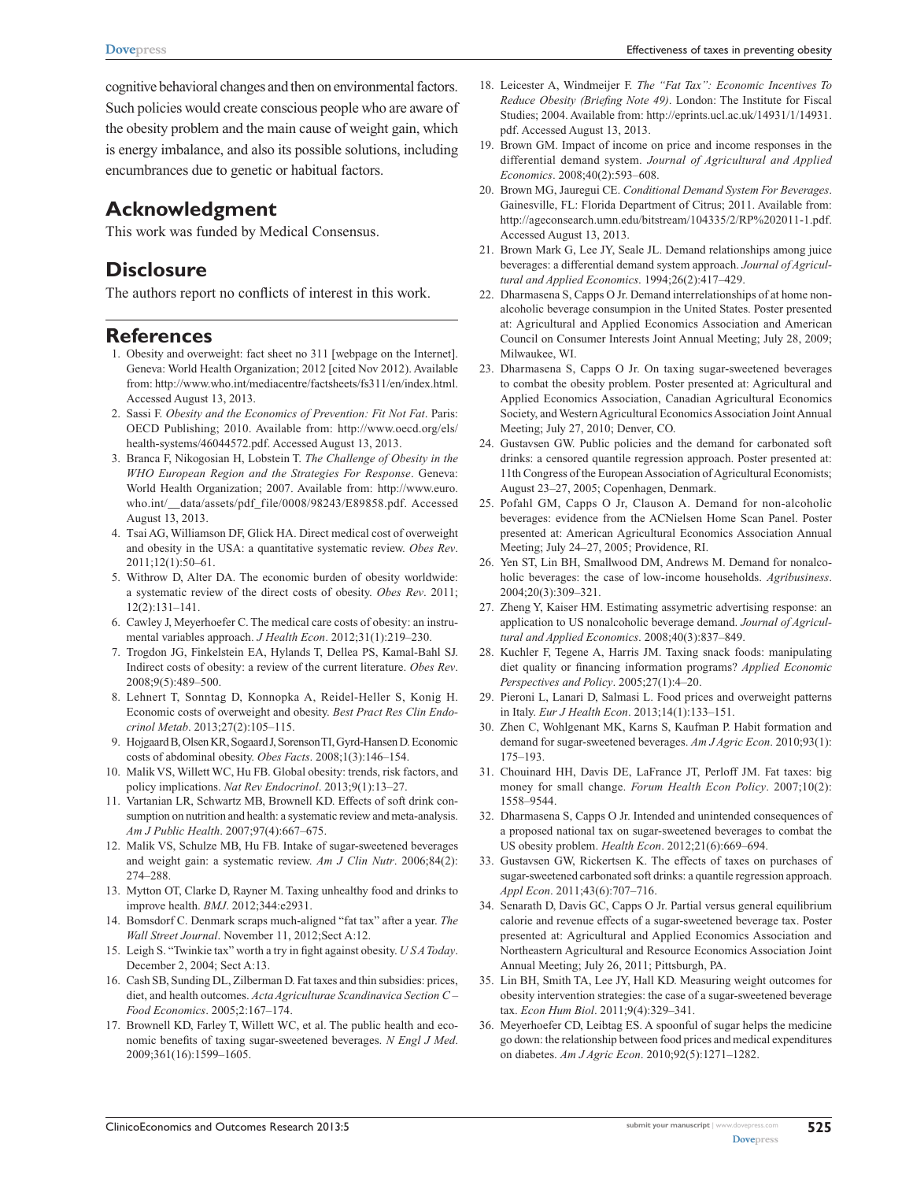cognitive behavioral changes and then on environmental factors. Such policies would create conscious people who are aware of the obesity problem and the main cause of weight gain, which is energy imbalance, and also its possible solutions, including encumbrances due to genetic or habitual factors.

# **Acknowledgment**

This work was funded by Medical Consensus.

# **Disclosure**

The authors report no conflicts of interest in this work.

## **References**

- 1. Obesity and overweight: fact sheet no 311 [webpage on the Internet]. Geneva: World Health Organization; 2012 [cited Nov 2012). Available from:<http://www.who.int/mediacentre/factsheets/fs311/en/index.html>. Accessed August 13, 2013.
- 2. Sassi F. *Obesity and the Economics of Prevention: Fit Not Fat*. Paris: OECD Publishing; 2010. Available from: [http://www.oecd.org/els/](http://www.oecd.org/els/health-systems/46044572.pdf) [health-systems/46044572.pdf](http://www.oecd.org/els/health-systems/46044572.pdf). Accessed August 13, 2013.
- 3. Branca F, Nikogosian H, Lobstein T. *The Challenge of Obesity in the WHO European Region and the Strategies For Response*. Geneva: World Health Organization; 2007. Available from: [http://www.euro.](http://www.euro.who.int/__data/assets/pdf_file/0008/98243/E89858.pdf) [who.int/\\_\\_data/assets/pdf\\_file/0008/98243/E89858.pdf](http://www.euro.who.int/__data/assets/pdf_file/0008/98243/E89858.pdf). Accessed August 13, 2013.
- 4. Tsai AG, Williamson DF, Glick HA. Direct medical cost of overweight and obesity in the USA: a quantitative systematic review. *Obes Rev*. 2011;12(1):50–61.
- 5. Withrow D, Alter DA. The economic burden of obesity worldwide: a systematic review of the direct costs of obesity. *Obes Rev*. 2011; 12(2):131–141.
- 6. Cawley J, Meyerhoefer C. The medical care costs of obesity: an instrumental variables approach. *J Health Econ*. 2012;31(1):219–230.
- 7. Trogdon JG, Finkelstein EA, Hylands T, Dellea PS, Kamal-Bahl SJ. Indirect costs of obesity: a review of the current literature. *Obes Rev*. 2008;9(5):489–500.
- 8. Lehnert T, Sonntag D, Konnopka A, Reidel-Heller S, Konig H. Economic costs of overweight and obesity. *Best Pract Res Clin Endocrinol Metab*. 2013;27(2):105–115.
- 9. Hojgaard B, Olsen KR, Sogaard J, Sorenson TI, Gyrd-Hansen D. Economic costs of abdominal obesity. *Obes Facts*. 2008;1(3):146–154.
- 10. Malik VS, Willett WC, Hu FB. Global obesity: trends, risk factors, and policy implications. *Nat Rev Endocrinol*. 2013;9(1):13–27.
- 11. Vartanian LR, Schwartz MB, Brownell KD. Effects of soft drink consumption on nutrition and health: a systematic review and meta-analysis. *Am J Public Health*. 2007;97(4):667–675.
- 12. Malik VS, Schulze MB, Hu FB. Intake of sugar-sweetened beverages and weight gain: a systematic review. *Am J Clin Nutr*. 2006;84(2): 274–288.
- 13. Mytton OT, Clarke D, Rayner M. Taxing unhealthy food and drinks to improve health. *BMJ*. 2012;344:e2931.
- 14. Bomsdorf C. Denmark scraps much-aligned "fat tax" after a year. *The Wall Street Journal*. November 11, 2012;Sect A:12.
- 15. Leigh S. "Twinkie tax" worth a try in fight against obesity. *U S A Today*. December 2, 2004; Sect A:13.
- 16. Cash SB, Sunding DL, Zilberman D. Fat taxes and thin subsidies: prices, diet, and health outcomes. *Acta Agriculturae Scandinavica Section C – Food Economics*. 2005;2:167–174.
- 17. Brownell KD, Farley T, Willett WC, et al. The public health and economic benefits of taxing sugar-sweetened beverages. *N Engl J Med*. 2009;361(16):1599–1605.
- 18. Leicester A, Windmeijer F. *The "Fat Tax": Economic Incentives To Reduce Obesity (Briefing Note 49)*. London: The Institute for Fiscal Studies; 2004. Available from: [http://eprints.ucl.ac.uk/14931/1/14931.](http://eprints.ucl.ac.uk/14931/1/14931.pdf) [pdf](http://eprints.ucl.ac.uk/14931/1/14931.pdf). Accessed August 13, 2013.
- 19. Brown GM. Impact of income on price and income responses in the differential demand system. *Journal of Agricultural and Applied Economics*. 2008;40(2):593–608.
- 20. Brown MG, Jauregui CE. *Conditional Demand System For Beverages*. Gainesville, FL: Florida Department of Citrus; 2011. Available from: [http://ageconsearch.umn.edu/bitstream/104335/2/RP%202011-1.pdf](http://ageconsearch.umn.edu/bitstream/104335/2/RP%202011-1). Accessed August 13, 2013.
- 21. Brown Mark G, Lee JY, Seale JL. Demand relationships among juice beverages: a differential demand system approach. *Journal of Agricultural and Applied Economics*. 1994;26(2):417–429.
- 22. Dharmasena S, Capps O Jr. Demand interrelationships of at home nonalcoholic beverage consumpion in the United States. Poster presented at: Agricultural and Applied Economics Association and American Council on Consumer Interests Joint Annual Meeting; July 28, 2009; Milwaukee, WI.
- 23. Dharmasena S, Capps O Jr. On taxing sugar-sweetened beverages to combat the obesity problem. Poster presented at: Agricultural and Applied Economics Association, Canadian Agricultural Economics Society, and Western Agricultural Economics Association Joint Annual Meeting; July 27, 2010; Denver, CO.
- 24. Gustavsen GW. Public policies and the demand for carbonated soft drinks: a censored quantile regression approach. Poster presented at: 11th Congress of the European Association of Agricultural Economists; August 23–27, 2005; Copenhagen, Denmark.
- 25. Pofahl GM, Capps O Jr, Clauson A. Demand for non-alcoholic beverages: evidence from the ACNielsen Home Scan Panel. Poster presented at: American Agricultural Economics Association Annual Meeting; July 24–27, 2005; Providence, RI.
- 26. Yen ST, Lin BH, Smallwood DM, Andrews M. Demand for nonalcoholic beverages: the case of low-income households. *Agribusiness*. 2004;20(3):309–321.
- 27. Zheng Y, Kaiser HM. Estimating assymetric advertising response: an application to US nonalcoholic beverage demand. *Journal of Agricultural and Applied Economics*. 2008;40(3):837–849.
- 28. Kuchler F, Tegene A, Harris JM. Taxing snack foods: manipulating diet quality or financing information programs? *Applied Economic Perspectives and Policy*. 2005;27(1):4–20.
- 29. Pieroni L, Lanari D, Salmasi L. Food prices and overweight patterns in Italy. *Eur J Health Econ*. 2013;14(1):133–151.
- 30. Zhen C, Wohlgenant MK, Karns S, Kaufman P. Habit formation and demand for sugar-sweetened beverages. *Am J Agric Econ*. 2010;93(1): 175–193.
- 31. Chouinard HH, Davis DE, LaFrance JT, Perloff JM. Fat taxes: big money for small change. *Forum Health Econ Policy*. 2007;10(2): 1558–9544.
- 32. Dharmasena S, Capps O Jr. Intended and unintended consequences of a proposed national tax on sugar-sweetened beverages to combat the US obesity problem. *Health Econ*. 2012;21(6):669–694.
- 33. Gustavsen GW, Rickertsen K. The effects of taxes on purchases of sugar-sweetened carbonated soft drinks: a quantile regression approach. *Appl Econ*. 2011;43(6):707–716.
- 34. Senarath D, Davis GC, Capps O Jr. Partial versus general equilibrium calorie and revenue effects of a sugar-sweetened beverage tax. Poster presented at: Agricultural and Applied Economics Association and Northeastern Agricultural and Resource Economics Association Joint Annual Meeting; July 26, 2011; Pittsburgh, PA.
- 35. Lin BH, Smith TA, Lee JY, Hall KD. Measuring weight outcomes for obesity intervention strategies: the case of a sugar-sweetened beverage tax. *Econ Hum Biol*. 2011;9(4):329–341.
- 36. Meyerhoefer CD, Leibtag ES. A spoonful of sugar helps the medicine go down: the relationship between food prices and medical expenditures on diabetes. *Am J Agric Econ*. 2010;92(5):1271–1282.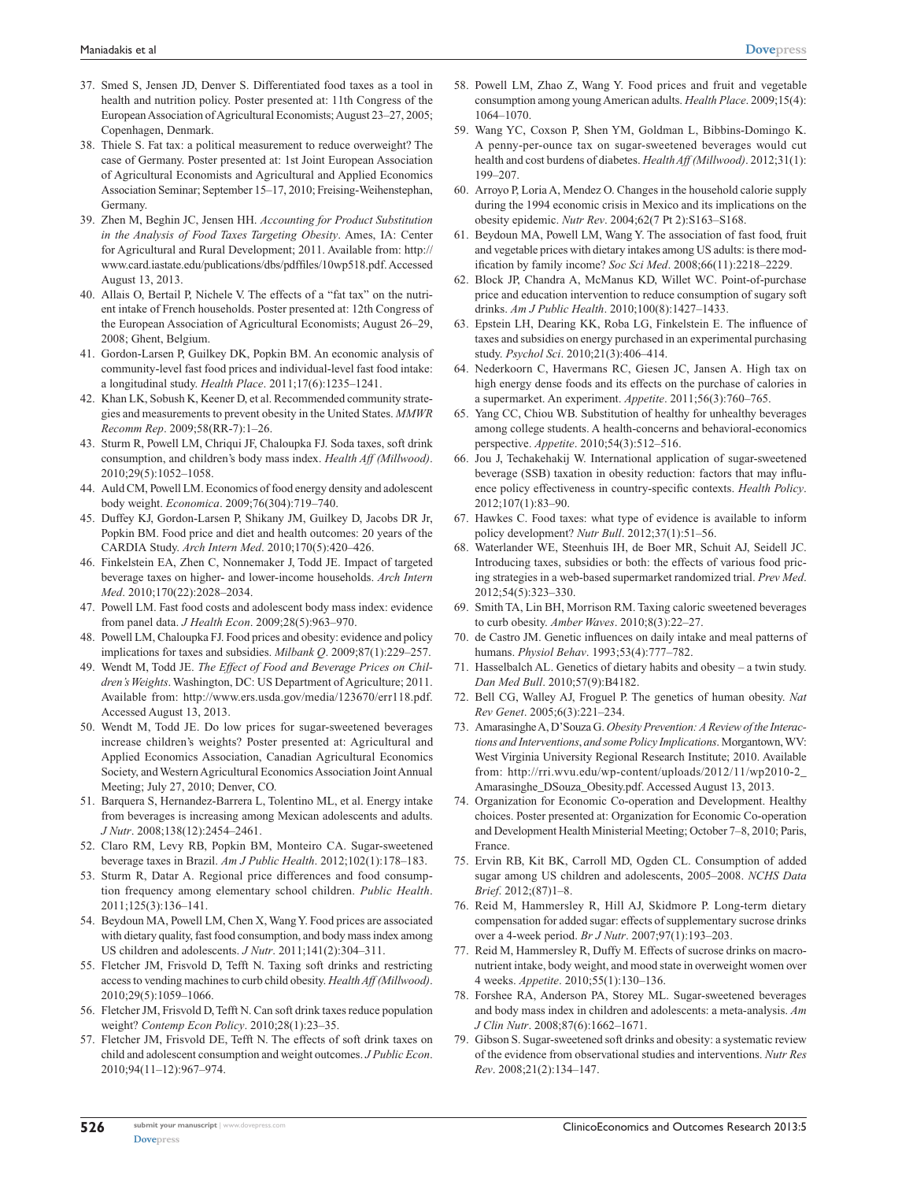- 37. Smed S, Jensen JD, Denver S. Differentiated food taxes as a tool in health and nutrition policy. Poster presented at: 11th Congress of the European Association of Agricultural Economists; August 23–27, 2005; Copenhagen, Denmark.
- 38. Thiele S. Fat tax: a political measurement to reduce overweight? The case of Germany. Poster presented at: 1st Joint European Association of Agricultural Economists and Agricultural and Applied Economics Association Seminar; September 15–17, 2010; Freising-Weihenstephan, Germany.
- 39. Zhen M, Beghin JC, Jensen HH. *Accounting for Product Substitution in the Analysis of Food Taxes Targeting Obesity*. Ames, IA: Center for Agricultural and Rural Development; 2011. Available from: [http://](http://www.card.iastate.edu/publications/dbs/pdffiles/10wp518.pdf) [www.card.iastate.edu/publications/dbs/pdffiles/10wp518.pdf.](http://www.card.iastate.edu/publications/dbs/pdffiles/10wp518.pdf) Accessed August 13, 2013.
- 40. Allais O, Bertail P, Nichele V. The effects of a "fat tax" on the nutrient intake of French households. Poster presented at: 12th Congress of the European Association of Agricultural Economists; August 26–29, 2008; Ghent, Belgium.
- 41. Gordon-Larsen P, Guilkey DK, Popkin BM. An economic analysis of community-level fast food prices and individual-level fast food intake: a longitudinal study. *Health Place*. 2011;17(6):1235–1241.
- 42. Khan LK, Sobush K, Keener D, et al. Recommended community strategies and measurements to prevent obesity in the United States. *MMWR Recomm Rep*. 2009;58(RR-7):1–26.
- 43. Sturm R, Powell LM, Chriqui JF, Chaloupka FJ. Soda taxes, soft drink consumption, and children's body mass index. *Health Aff (Millwood)*. 2010;29(5):1052–1058.
- 44. Auld CM, Powell LM. Economics of food energy density and adolescent body weight. *Economica*. 2009;76(304):719–740.
- 45. Duffey KJ, Gordon-Larsen P, Shikany JM, Guilkey D, Jacobs DR Jr, Popkin BM. Food price and diet and health outcomes: 20 years of the CARDIA Study. *Arch Intern Med*. 2010;170(5):420–426.
- 46. Finkelstein EA, Zhen C, Nonnemaker J, Todd JE. Impact of targeted beverage taxes on higher- and lower-income households. *Arch Intern Med*. 2010;170(22):2028–2034.
- 47. Powell LM. Fast food costs and adolescent body mass index: evidence from panel data. *J Health Econ*. 2009;28(5):963–970.
- 48. Powell LM, Chaloupka FJ. Food prices and obesity: evidence and policy implications for taxes and subsidies. *Milbank Q*. 2009;87(1):229–257.
- 49. Wendt M, Todd JE. *The Effect of Food and Beverage Prices on Children's Weights*. Washington, DC: US Department of Agriculture; 2011. Available from: <http://www.ers.usda.gov/media/123670/err118.pdf>. Accessed August 13, 2013.
- 50. Wendt M, Todd JE. Do low prices for sugar-sweetened beverages increase children's weights? Poster presented at: Agricultural and Applied Economics Association, Canadian Agricultural Economics Society, and Western Agricultural Economics Association Joint Annual Meeting; July 27, 2010; Denver, CO.
- 51. Barquera S, Hernandez-Barrera L, Tolentino ML, et al. Energy intake from beverages is increasing among Mexican adolescents and adults. *J Nutr*. 2008;138(12):2454–2461.
- 52. Claro RM, Levy RB, Popkin BM, Monteiro CA. Sugar-sweetened beverage taxes in Brazil. *Am J Public Health*. 2012;102(1):178–183.
- 53. Sturm R, Datar A. Regional price differences and food consumption frequency among elementary school children. *Public Health*. 2011;125(3):136–141.
- 54. Beydoun MA, Powell LM, Chen X, Wang Y. Food prices are associated with dietary quality, fast food consumption, and body mass index among US children and adolescents. *J Nutr*. 2011;141(2):304–311.
- 55. Fletcher JM, Frisvold D, Tefft N. Taxing soft drinks and restricting access to vending machines to curb child obesity. *Health Aff (Millwood)*. 2010;29(5):1059–1066.
- 56. Fletcher JM, Frisvold D, Tefft N. Can soft drink taxes reduce population weight? *Contemp Econ Policy*. 2010;28(1):23–35.
- 57. Fletcher JM, Frisvold DE, Tefft N. The effects of soft drink taxes on child and adolescent consumption and weight outcomes. *J Public Econ*. 2010;94(11–12):967–974.
- 58. Powell LM, Zhao Z, Wang Y. Food prices and fruit and vegetable consumption among young American adults. *Health Place*. 2009;15(4): 1064–1070.
- 59. Wang YC, Coxson P, Shen YM, Goldman L, Bibbins-Domingo K. A penny-per-ounce tax on sugar-sweetened beverages would cut health and cost burdens of diabetes. *Health Aff (Millwood)*. 2012;31(1): 199–207.
- 60. Arroyo P, Loria A, Mendez O. Changes in the household calorie supply during the 1994 economic crisis in Mexico and its implications on the obesity epidemic. *Nutr Rev*. 2004;62(7 Pt 2):S163–S168.
- 61. Beydoun MA, Powell LM, Wang Y. The association of fast food, fruit and vegetable prices with dietary intakes among US adults: is there modification by family income? *Soc Sci Med*. 2008;66(11):2218–2229.
- 62. Block JP, Chandra A, McManus KD, Willet WC. Point-of-purchase price and education intervention to reduce consumption of sugary soft drinks. *Am J Public Health*. 2010;100(8):1427–1433.
- 63. Epstein LH, Dearing KK, Roba LG, Finkelstein E. The influence of taxes and subsidies on energy purchased in an experimental purchasing study. *Psychol Sci*. 2010;21(3):406–414.
- 64. Nederkoorn C, Havermans RC, Giesen JC, Jansen A. High tax on high energy dense foods and its effects on the purchase of calories in a supermarket. An experiment. *Appetite*. 2011;56(3):760–765.
- 65. Yang CC, Chiou WB. Substitution of healthy for unhealthy beverages among college students. A health-concerns and behavioral-economics perspective. *Appetite*. 2010;54(3):512–516.
- 66. Jou J, Techakehakij W. International application of sugar-sweetened beverage (SSB) taxation in obesity reduction: factors that may influence policy effectiveness in country-specific contexts. *Health Policy*. 2012;107(1):83–90.
- 67. Hawkes C. Food taxes: what type of evidence is available to inform policy development? *Nutr Bull*. 2012;37(1):51–56.
- 68. Waterlander WE, Steenhuis IH, de Boer MR, Schuit AJ, Seidell JC. Introducing taxes, subsidies or both: the effects of various food pricing strategies in a web-based supermarket randomized trial. *Prev Med*. 2012;54(5):323–330.
- 69. Smith TA, Lin BH, Morrison RM. Taxing caloric sweetened beverages to curb obesity. *Amber Waves*. 2010;8(3):22–27.
- de Castro JM. Genetic influences on daily intake and meal patterns of humans. *Physiol Behav*. 1993;53(4):777–782.
- 71. Hasselbalch AL. Genetics of dietary habits and obesity a twin study. *Dan Med Bull*. 2010;57(9):B4182.
- 72. Bell CG, Walley AJ, Froguel P. The genetics of human obesity. *Nat Rev Genet*. 2005;6(3):221–234.
- 73. Amarasinghe A, D'Souza G. *Obesity Prevention: A Review of the Interactions and Interventions*, *and some Policy Implications*. Morgantown, WV: West Virginia University Regional Research Institute; 2010. Available from: [http://rri.wvu.edu/wp-content/uploads/2012/11/wp2010-2\\_](http://rri.wvu.edu/wp-content/uploads/2012/11/wp2010-2_Amarasinghe_DSouza_Obesity.pdf) [Amarasinghe\\_DSouza\\_Obesity.pdf](http://rri.wvu.edu/wp-content/uploads/2012/11/wp2010-2_Amarasinghe_DSouza_Obesity.pdf). Accessed August 13, 2013.
- 74. Organization for Economic Co-operation and Development. Healthy choices. Poster presented at: Organization for Economic Co-operation and Development Health Ministerial Meeting; October 7–8, 2010; Paris, France.
- 75. Ervin RB, Kit BK, Carroll MD, Ogden CL. Consumption of added sugar among US children and adolescents, 2005–2008. *NCHS Data Brief*. 2012;(87)1–8.
- 76. Reid M, Hammersley R, Hill AJ, Skidmore P. Long-term dietary compensation for added sugar: effects of supplementary sucrose drinks over a 4-week period. *Br J Nutr*. 2007;97(1):193–203.
- 77. Reid M, Hammersley R, Duffy M. Effects of sucrose drinks on macronutrient intake, body weight, and mood state in overweight women over 4 weeks. *Appetite*. 2010;55(1):130–136.
- 78. Forshee RA, Anderson PA, Storey ML. Sugar-sweetened beverages and body mass index in children and adolescents: a meta-analysis. *Am J Clin Nutr*. 2008;87(6):1662–1671.
- 79. Gibson S. Sugar-sweetened soft drinks and obesity: a systematic review of the evidence from observational studies and interventions. *Nutr Res Rev*. 2008;21(2):134–147.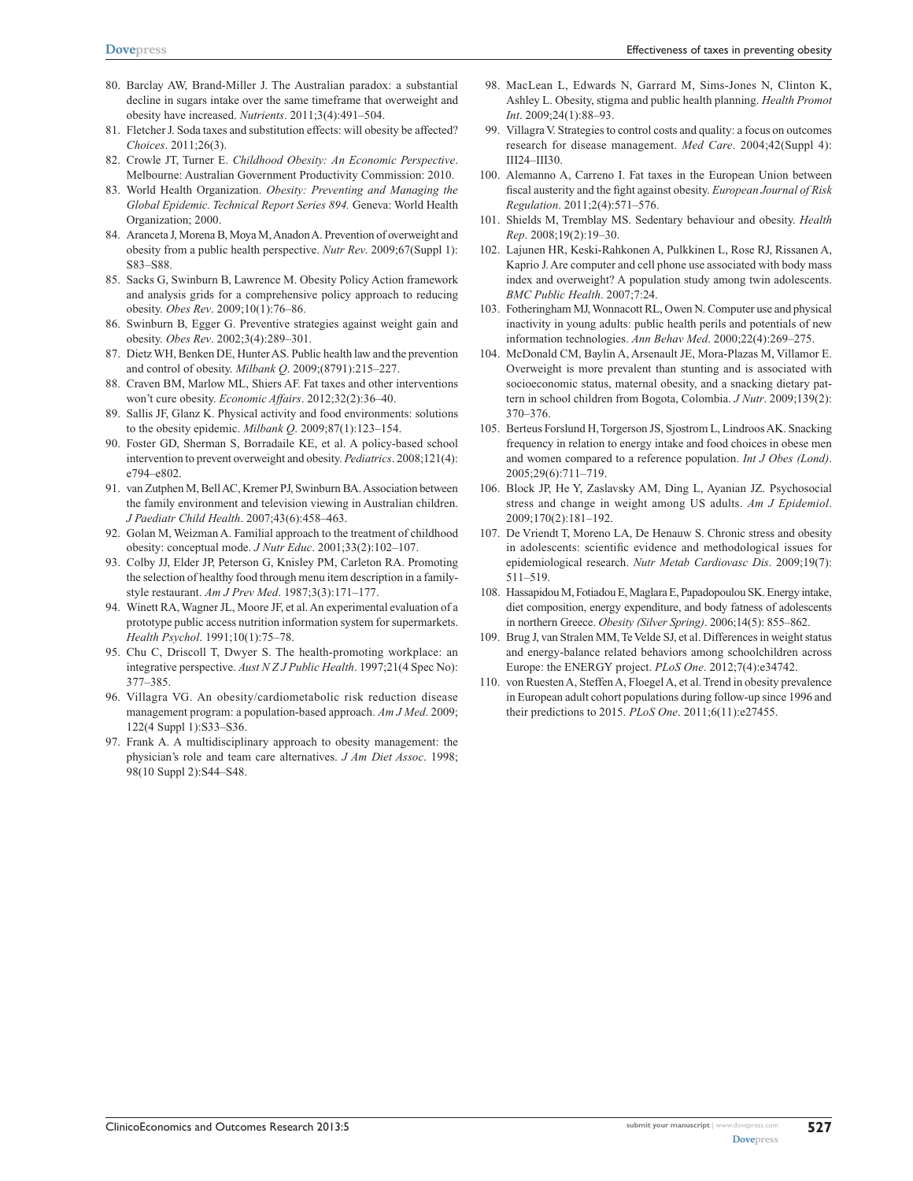- 80. Barclay AW, Brand-Miller J. The Australian paradox: a substantial decline in sugars intake over the same timeframe that overweight and obesity have increased. *Nutrients*. 2011;3(4):491–504.
- 81. Fletcher J. Soda taxes and substitution effects: will obesity be affected? *Choices*. 2011;26(3).
- 82. Crowle JT, Turner E. *Childhood Obesity: An Economic Perspective*. Melbourne: Australian Government Productivity Commission: 2010.
- 83. World Health Organization. *Obesity: Preventing and Managing the Global Epidemic. Technical Report Series 894.* Geneva: World Health Organization; 2000.
- 84. Aranceta J, Morena B, Moya M, Anadon A. Prevention of overweight and obesity from a public health perspective. *Nutr Rev*. 2009;67(Suppl 1): S83–S88.
- 85. Sacks G, Swinburn B, Lawrence M. Obesity Policy Action framework and analysis grids for a comprehensive policy approach to reducing obesity. *Obes Rev*. 2009;10(1):76–86.
- 86. Swinburn B, Egger G. Preventive strategies against weight gain and obesity. *Obes Rev*. 2002;3(4):289–301.
- 87. Dietz WH, Benken DE, Hunter AS. Public health law and the prevention and control of obesity. *Milbank Q*. 2009;(8791):215–227.
- 88. Craven BM, Marlow ML, Shiers AF. Fat taxes and other interventions won't cure obesity. *Economic Affairs*. 2012;32(2):36–40.
- 89. Sallis JF, Glanz K. Physical activity and food environments: solutions to the obesity epidemic. *Milbank Q*. 2009;87(1):123–154.
- 90. Foster GD, Sherman S, Borradaile KE, et al. A policy-based school intervention to prevent overweight and obesity. *Pediatrics*. 2008;121(4): e794–e802.
- 91. van Zutphen M, Bell AC, Kremer PJ, Swinburn BA. Association between the family environment and television viewing in Australian children. *J Paediatr Child Health*. 2007;43(6):458–463.
- 92. Golan M, Weizman A. Familial approach to the treatment of childhood obesity: conceptual mode. *J Nutr Educ*. 2001;33(2):102–107.
- 93. Colby JJ, Elder JP, Peterson G, Knisley PM, Carleton RA. Promoting the selection of healthy food through menu item description in a familystyle restaurant. *Am J Prev Med*. 1987;3(3):171–177.
- 94. Winett RA, Wagner JL, Moore JF, et al. An experimental evaluation of a prototype public access nutrition information system for supermarkets. *Health Psychol*. 1991;10(1):75–78.
- 95. Chu C, Driscoll T, Dwyer S. The health-promoting workplace: an integrative perspective. *Aust N Z J Public Health*. 1997;21(4 Spec No): 377–385.
- 96. Villagra VG. An obesity/cardiometabolic risk reduction disease management program: a population-based approach. *Am J Med*. 2009; 122(4 Suppl 1):S33–S36.
- 97. Frank A. A multidisciplinary approach to obesity management: the physician's role and team care alternatives. *J Am Diet Assoc*. 1998; 98(10 Suppl 2):S44–S48.
- 98. MacLean L, Edwards N, Garrard M, Sims-Jones N, Clinton K, Ashley L. Obesity, stigma and public health planning. *Health Promot Int*. 2009;24(1):88–93.
- 99. Villagra V. Strategies to control costs and quality: a focus on outcomes research for disease management. *Med Care*. 2004;42(Suppl 4): III24–III30.
- 100. Alemanno A, Carreno I. Fat taxes in the European Union between fiscal austerity and the fight against obesity. *European Journal of Risk Regulation*. 2011;2(4):571–576.
- 101. Shields M, Tremblay MS. Sedentary behaviour and obesity. *Health Rep*. 2008;19(2):19–30.
- 102. Lajunen HR, Keski-Rahkonen A, Pulkkinen L, Rose RJ, Rissanen A, Kaprio J. Are computer and cell phone use associated with body mass index and overweight? A population study among twin adolescents. *BMC Public Health*. 2007;7:24.
- 103. Fotheringham MJ, Wonnacott RL, Owen N. Computer use and physical inactivity in young adults: public health perils and potentials of new information technologies. *Ann Behav Med*. 2000;22(4):269–275.
- 104. McDonald CM, Baylin A, Arsenault JE, Mora-Plazas M, Villamor E. Overweight is more prevalent than stunting and is associated with socioeconomic status, maternal obesity, and a snacking dietary pattern in school children from Bogota, Colombia. *J Nutr*. 2009;139(2): 370–376.
- 105. Berteus Forslund H, Torgerson JS, Sjostrom L, Lindroos AK. Snacking frequency in relation to energy intake and food choices in obese men and women compared to a reference population. *Int J Obes (Lond)*. 2005;29(6):711–719.
- 106. Block JP, He Y, Zaslavsky AM, Ding L, Ayanian JZ. Psychosocial stress and change in weight among US adults. *Am J Epidemiol*. 2009;170(2):181–192.
- 107. De Vriendt T, Moreno LA, De Henauw S. Chronic stress and obesity in adolescents: scientific evidence and methodological issues for epidemiological research. *Nutr Metab Cardiovasc Dis*. 2009;19(7): 511–519.
- 108. Hassapidou M, Fotiadou E, Maglara E, Papadopoulou SK. Energy intake, diet composition, energy expenditure, and body fatness of adolescents in northern Greece. *Obesity (Silver Spring)*. 2006;14(5): 855–862.
- 109. Brug J, van Stralen MM, Te Velde SJ, et al. Differences in weight status and energy-balance related behaviors among schoolchildren across Europe: the ENERGY project. *PLoS One*. 2012;7(4):e34742.
- 110. von Ruesten A, Steffen A, Floegel A, et al. Trend in obesity prevalence in European adult cohort populations during follow-up since 1996 and their predictions to 2015. *PLoS One*. 2011;6(11):e27455.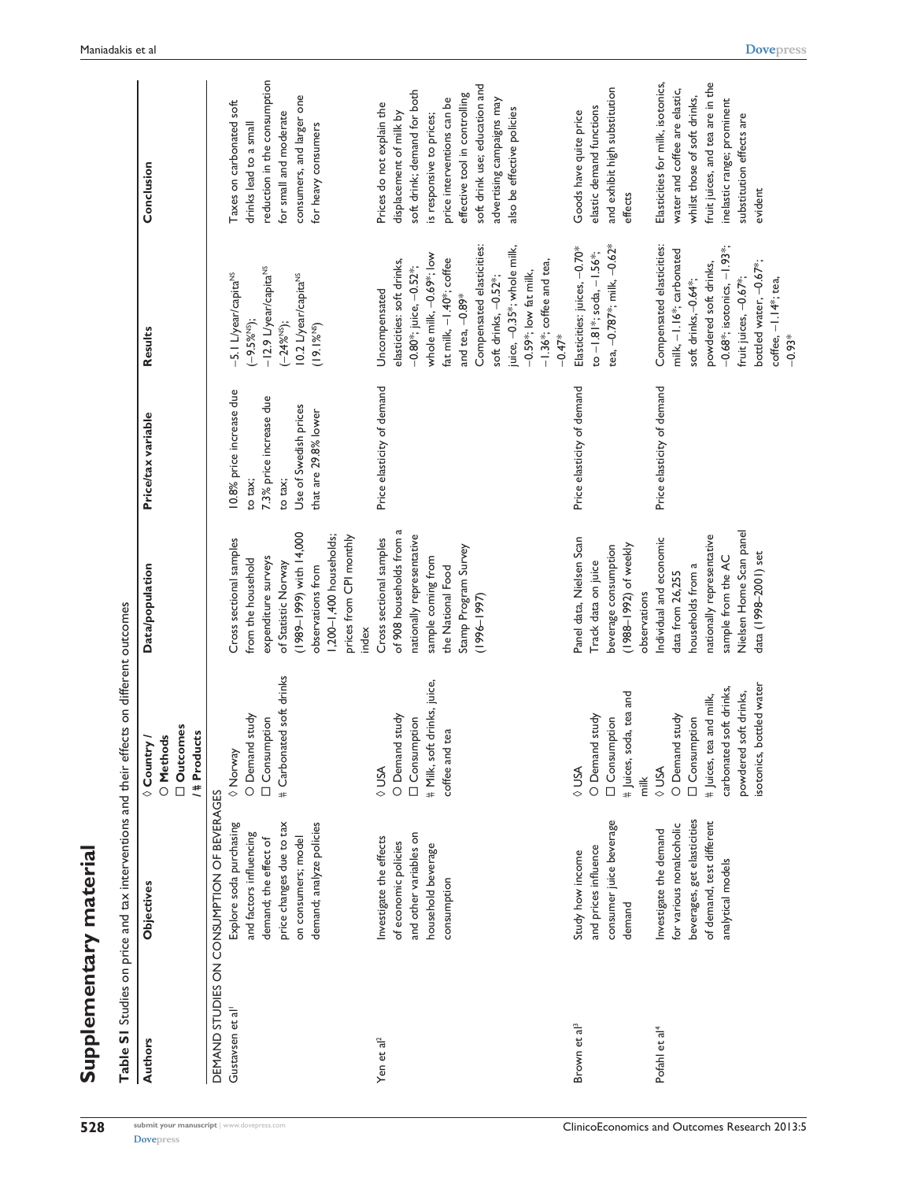|                           | Table SI Studies on price and tax interventions and their eff<br>Supplementary material                                                                                                                  | ects on different outcomes                                                                                                                                  |                                                                                                                                                                                                   |                                                                                                                            |                                                                                                                                                                                                                                                                                                                                                   |                                                                                                                                                                                                                                                                            |
|---------------------------|----------------------------------------------------------------------------------------------------------------------------------------------------------------------------------------------------------|-------------------------------------------------------------------------------------------------------------------------------------------------------------|---------------------------------------------------------------------------------------------------------------------------------------------------------------------------------------------------|----------------------------------------------------------------------------------------------------------------------------|---------------------------------------------------------------------------------------------------------------------------------------------------------------------------------------------------------------------------------------------------------------------------------------------------------------------------------------------------|----------------------------------------------------------------------------------------------------------------------------------------------------------------------------------------------------------------------------------------------------------------------------|
| Authors                   | Objectives                                                                                                                                                                                               | Outcomes<br>/ # Products<br>O Methods<br>© Country                                                                                                          | <b>Data/population</b>                                                                                                                                                                            | Price/tax variable                                                                                                         | <b>Results</b>                                                                                                                                                                                                                                                                                                                                    | Conclusion                                                                                                                                                                                                                                                                 |
| Gustavsen et al           | DEMAND STUDIES ON CONSUMPTION OF BEVERAGES<br>price changes due to tax<br>Explore soda purchasing<br>demand; analyze policies<br>and factors influencing<br>on consumers; model<br>demand; the effect of | # Carbonated soft drinks<br>O Demand study<br><b>Consumption</b><br>Vewab <b>V</b>                                                                          | (1989-1999) with 14,000<br>I,200-I,400 households;<br>prices from CPI monthly<br>Cross sectional samples<br>expenditure surveys<br>from the household<br>of Statistic Norway<br>observations from | 10.8% price increase due<br>7.3% price increase due<br>Use of Swedish prices<br>that are 29.8% lower<br>to tax;<br>to tax; | -12.9 L/year/capita <sup>NS</sup><br>-5.1 L/year/capita <sup>NS</sup><br>10.2 L/year/capita <sup>NS</sup><br>$(-9.5\%$ <sup>NS</sup> );<br>$(-24\%NS)$ ;<br>$(19.1\%^{NS})$                                                                                                                                                                       | reduction in the consumption<br>consumers, and larger one<br>Taxes on carbonated soft<br>for small and moderate<br>drinks lead to a small<br>for heavy consumers                                                                                                           |
| Yen et al <sup>2</sup>    | and other variables on<br>Investigate the effects<br>of economic policies<br>household beverage<br>consumption                                                                                           | # Milk, soft drinks, juice,<br>O Demand study<br><b>Consumption</b><br>tea<br>coffee and<br><b>ASU ◊</b>                                                    | of 908 households from a<br>nationally representative<br>Cross sectional samples<br>Stamp Program Survey<br>sample coming from<br>the National Food<br>$(1996 - 1997)$<br>index                   | Price elasticity of demand                                                                                                 | Compensated elasticities:<br>juice, -0.35 <sup>*</sup> ; whole milk,<br>whole milk, -0.69 <sup>*</sup> ; low<br>fat milk, -1.40*; coffee<br>elasticities: soft drinks,<br>-1.36*; coffee and tea,<br>$-0.80$ <sup>*</sup> ; juice, $-0.52$ <sup>*</sup> ;<br>$-0.59$ *; low fat milk,<br>soft drinks, -0.52*;<br>Uncompensated<br>and tea, -0.89* | soft drink use; education and<br>soft drink; demand for both<br>effective tool in controlling<br>price interventions can be<br>advertising campaigns may<br>Prices do not explain the<br>also be effective policies<br>displacement of milk by<br>is responsive to prices; |
| Brown et al <sup>3</sup>  | consumer juice beverage<br>and prices influence<br>Study how income<br>demand                                                                                                                            | # Juices, soda, tea and<br>O Demand study<br><b>D</b> Consumption<br>ASU <b>O</b><br>milk                                                                   | Panel data, Nielsen Scan<br>(1988-1992) of weekly<br>beverage consumption<br>Track data on juice<br>observations                                                                                  | Price elasticity of demand                                                                                                 | tea, -0.787*; milk, -0.62*<br>Elasticities: juices, -0.70*<br>to $-1.81$ *; soda, $-1.56$ *;<br>$-0.47*$                                                                                                                                                                                                                                          | and exhibit high substitution<br>elastic demand functions<br>Goods have quite price<br>effects                                                                                                                                                                             |
| Pofahl et al <sup>4</sup> | beverages, get elasticities<br>of demand, test different<br>for various nonalcoholic<br>Investigate the demand<br>analytical models                                                                      | bottled water<br>carbonated soft drinks,<br>powdered soft drinks,<br># Juices, tea and milk,<br>O Demand study<br><b>Consumption</b><br>isotonics,<br>AS∩ ◊ | Nielsen Home Scan panel<br>nationally representative<br>Individual and economic<br>data (1998-2001) set<br>sample from the AC<br>households from a<br>data from 26,255                            | Price elasticity of demand                                                                                                 | Compensated elasticities:<br>$-0.68$ <sup>*</sup> ; isotonics, $-1.93$ <sup>*</sup> ;<br>milk, -1.16*; carbonated<br>bottled water, -0.67*;<br>powdered soft drinks,<br>fruit juices, -0.67*;<br>coffee, -1.14*; tea,<br>soft drinks,-0.64*;<br>$-0.93*$                                                                                          | fruit juices, and tea are in the<br>Elasticities for milk, isotonics,<br>water and coffee are elastic,<br>whilst those of soft drinks,<br>inelastic range; prominent<br>substitution effects are<br>evident                                                                |

**528**

Supplementary material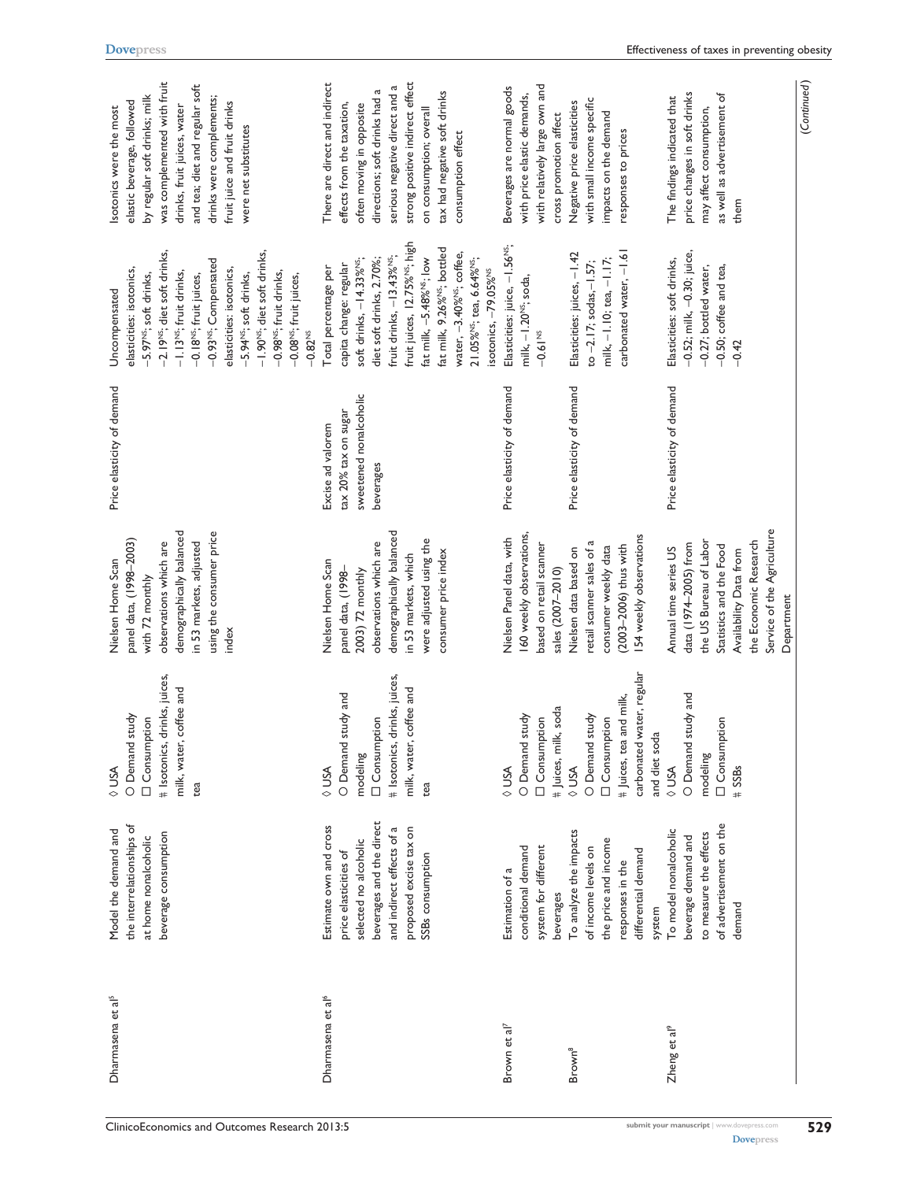| was complemented with fruit<br>and tea; diet and regular soft<br>by regular soft drinks; milk<br>drinks were complements;<br>elastic beverage, followed<br>fruit juice and fruit drinks<br>drinks, fruit juices, water<br>sotonics were the most<br>were net substitutes                                                                                                                                                                                          | There are direct and indirect<br>strong positive indirect effect<br>serious negative direct and a<br>directions; soft drinks had a<br>tax had negative soft drinks<br>effects from the taxation,<br>often moving in opposite<br>on consumption; overall<br>consumption effect                                                                                                                                     | with relatively large own and<br>Beverages are normal goods<br>with price elastic demands,<br>with small income specific<br>Negative price elasticities<br>impacts on the demand<br>cross promotion affect<br>responses to prices      | (Continued)<br>price changes in soft drinks<br>as well as advertisement of<br>The findings indicated that<br>may affect consumption,<br>them                                                       |
|-------------------------------------------------------------------------------------------------------------------------------------------------------------------------------------------------------------------------------------------------------------------------------------------------------------------------------------------------------------------------------------------------------------------------------------------------------------------|-------------------------------------------------------------------------------------------------------------------------------------------------------------------------------------------------------------------------------------------------------------------------------------------------------------------------------------------------------------------------------------------------------------------|----------------------------------------------------------------------------------------------------------------------------------------------------------------------------------------------------------------------------------------|----------------------------------------------------------------------------------------------------------------------------------------------------------------------------------------------------|
| -2.19 <sup>NS</sup> ; diet soft drinks,<br>-1.90 <sup>NS</sup> ; diet soft drinks,<br>-0.93 <sup>NS</sup> ; Compensated<br>elasticities: isotonics,<br>elasticities: isotonics,<br>-1.13 <sup>NS</sup> ; fruit drinks,<br>-0.98 <sup>NS</sup> ; fruit drinks,<br>-5.97 <sup>NS</sup> ; soft drinks,<br>-5.94 <sup>NS</sup> ; soft drinks,<br>-0.18 <sup>NS</sup> ; fruit juices,<br>-0.08 <sup>NS</sup> ; fruit juices,<br>Uncompensated<br>$-0.82$ <sup>NS</sup> | fruit juices, 12.75% <sup>NS</sup> ; high<br>fat milk, 9.26% <sup>NS</sup> ; bottled<br>water, -3.40% <sup>NS</sup> ; coffee,<br>fruit drinks, -13.43% <sup>NS</sup> ;<br>fat milk, -5.48% <sup>NS</sup> ; low<br>21.05% <sup>NS</sup> ; tea, 6.64% <sup>NS</sup> ;<br>soft drinks, -14.33% <sup>NS</sup> ;<br>diet soft drinks, 2.70%;<br>capita change: regular<br>Total percentage per<br>isotonics, -79.05%NS | Elasticities: juice, -1.56 <sup>NS</sup> ;<br>carbonated water, -1.61<br>Elasticities: juices, -1.42<br>milk, -1.10; tea, -1.17;<br>$to -2.17$ ; $sodas, -1.57$ ;<br>milk, -- 1.20 <sup>NS</sup> ; soda,<br>$-0.61$ <sup>NS</sup>      | -0.52; milk, -0.30; juice,<br>Elasticities: soft drinks,<br>-0.27; bottled water,<br>-0.50; coffee and tea,<br>$-0.42$                                                                             |
| Price elasticity of demand                                                                                                                                                                                                                                                                                                                                                                                                                                        | sweetened nonalcoholic<br>tax 20% tax on sugar<br>Excise ad valorem<br>beverages                                                                                                                                                                                                                                                                                                                                  | Price elasticity of demand<br>Price elasticity of demand                                                                                                                                                                               | Price elasticity of demand                                                                                                                                                                         |
| demographically balanced<br>using the consumer price<br>panel data, (1998-2003)<br>in 53 markets, adjusted<br>observations which are<br>Nielsen Home Scan<br>with 72 monthly<br>index                                                                                                                                                                                                                                                                             | demographically balanced<br>were adjusted using the<br>observations which are<br>consumer price index<br>in 53 markets, which<br>Nielsen Home Scan<br>panel data, (1998-<br>2003) 72 monthly                                                                                                                                                                                                                      | 160 weekly observations,<br>154 weekly observations<br>Nielsen Panel data, with<br>based on retail scanner<br>retail scanner sales of a<br>(2003-2006) thus with<br>consumer weekly data<br>Nielsen data based on<br>sales (2007-2010) | Service of the Agriculture<br>the US Bureau of Labor<br>the Economic Research<br>data (1974-2005) from<br>Statistics and the Food<br>Annual time series US<br>Availability Data from<br>Department |
| drinks, juices,<br>coffee and<br>study<br><b>Consumption</b><br>milk, water,<br>O Demand<br># Isotonics,<br>ASU <b>O</b><br>tea                                                                                                                                                                                                                                                                                                                                   | drinks, juices,<br>coffee and<br>study and<br><b>Consumption</b><br>milk, water,<br>O Demand<br># Isotonics,<br>modeling<br><b>ASU ◊</b><br>tea                                                                                                                                                                                                                                                                   | carbonated water, regular<br># Juices, tea and milk,<br># Juices, milk, soda<br>ypus<br>O Demand study<br><b>D</b> Consumption<br><b>Consumption</b><br>and diet soda<br>O Demand<br>ASO ⊗<br>ASN <b>0</b>                             | study and<br><b>D</b> Consumption<br>O Demand<br>modeling<br>ASO ⊗<br># SSBs                                                                                                                       |
| the interrelationships of<br>Model the demand and<br>beverage consumption<br>at home nonalcoholic                                                                                                                                                                                                                                                                                                                                                                 | beverages and the direct<br>Estimate own and cross<br>and indirect effects of a<br>proposed excise tax on<br>selected no alcoholic<br>price elasticities of<br>SSBs consumption                                                                                                                                                                                                                                   | To analyze the impacts<br>the price and income<br>conditional demand<br>system for different<br>of income levels on<br>differential demand<br>responses in the<br>Estimation of a<br>beverages<br>system                               | of advertisement on the<br>To model nonalcoholic<br>to measure the effects<br>beverage demand and<br>demand                                                                                        |
| Dharmasena et al <sup>5</sup>                                                                                                                                                                                                                                                                                                                                                                                                                                     | Dharmasena et al <sup>6</sup>                                                                                                                                                                                                                                                                                                                                                                                     | Brown et al <sup>7</sup><br><b>Brown<sup>8</sup></b>                                                                                                                                                                                   | Zheng et al <sup>9</sup>                                                                                                                                                                           |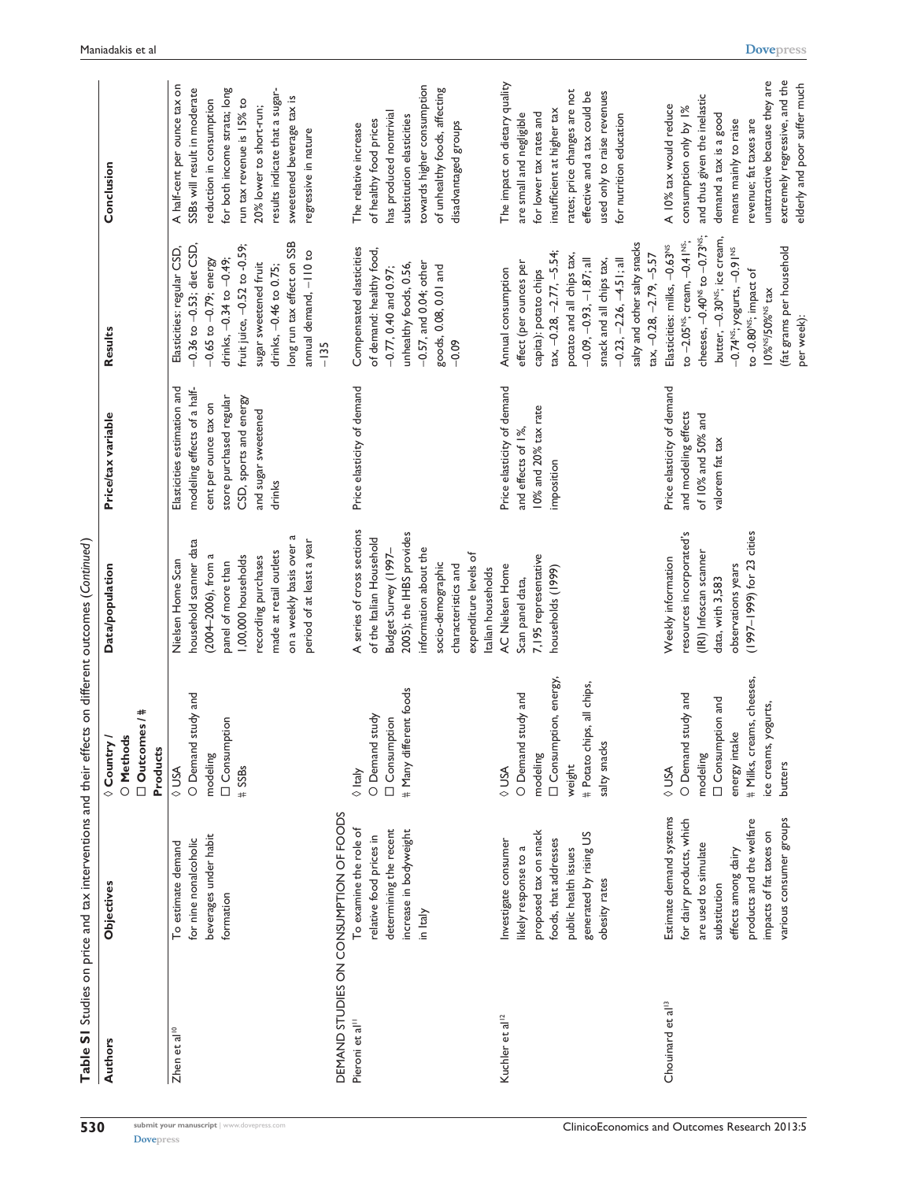|                               |                                                                                                                                                                                                       | Table S1 Studies on price and tax interventions and their effects on different outcomes (Continued)                                                              |                                                                                                                                                                                                                                |                                                                                                                                                                           |                                                                                                                                                                                                                                                                                                                                                                                    |                                                                                                                                                                                                                                                                         |
|-------------------------------|-------------------------------------------------------------------------------------------------------------------------------------------------------------------------------------------------------|------------------------------------------------------------------------------------------------------------------------------------------------------------------|--------------------------------------------------------------------------------------------------------------------------------------------------------------------------------------------------------------------------------|---------------------------------------------------------------------------------------------------------------------------------------------------------------------------|------------------------------------------------------------------------------------------------------------------------------------------------------------------------------------------------------------------------------------------------------------------------------------------------------------------------------------------------------------------------------------|-------------------------------------------------------------------------------------------------------------------------------------------------------------------------------------------------------------------------------------------------------------------------|
| Authors                       | Objectives                                                                                                                                                                                            | □ Outcomes / #<br>O Methods<br>© Country<br><b>Products</b>                                                                                                      | <b>Data/population</b>                                                                                                                                                                                                         | Price/tax variable                                                                                                                                                        | Results                                                                                                                                                                                                                                                                                                                                                                            | Conclusion                                                                                                                                                                                                                                                              |
| Zhen et al <sup>10</sup>      | beverages under habit<br>for nine nonalcoholic<br>To estimate demand<br>formation                                                                                                                     | O Demand study and<br><b>D</b> Consumption<br>modeling<br>ASO ⊗<br>$#$ SSBs                                                                                      | ದ<br>period of at least a year<br>household scanner data<br>on a weekly basis over<br>made at retail outlets<br>(2004–2006), from a<br>1,00,000 households<br>recording purchases<br>Nielsen Home Scan<br>panel of more than   | Elasticities estimation and<br>modeling effects of a half-<br>store purchased regular<br>CSD, sports and energy<br>cent per ounce tax on<br>and sugar sweetened<br>drinks | long run tax effect on SSB<br>fruit juice, -0.52 to -0.59;<br>$-0.36$ to $-0.53$ ; diet CSD<br>Elasticities: regular CSD,<br>annual demand, -110 to<br>drinks, -0.34 to -0.49;<br>$-0.65$ to $-0.79$ ; energy<br>sugar sweetened fruit<br>drinks, -0.46 to 0.75;<br>$-135$                                                                                                         | A half-cent per ounce tax on<br>SSBs will result in moderate<br>for both income strata; long<br>results indicate that a sugar-<br>sweetened beverage tax is<br>reduction in consumption<br>run tax revenue is 15% to<br>20% lower to short-run;<br>regressive in nature |
| Pieroni et al <sup>11</sup>   | DEMAND STUDIES ON CONSUMPTION OF FOODS<br>To examine the role of<br>determining the recent<br>increase in bodyweight<br>relative food prices in<br>in Italy                                           | # Many different foods<br>O Demand study<br><b>Consumption</b><br>$\Diamond$ Italy                                                                               | A series of cross sections<br>2005); the IHBS provides<br>of the Italian Household<br>information about the<br>Budget Survey (1997-<br>expenditure levels of<br>socio-demographic<br>characteristics and<br>Italian households | Price elasticity of demand                                                                                                                                                | Compensated elasticities<br>of demand: healthy food,<br>$-0.57$ , and $0.04$ ; other<br>unhealthy foods, 0.56,<br>goods, 0.08, 0.01 and<br>$-0.77$ , 0.40 and 0.97;<br>$-0.09$                                                                                                                                                                                                     | towards higher consumption<br>of unhealthy foods, affecting<br>has produced nontrivial<br>substitution elasticities<br>of healthy food prices<br>disadvantaged groups<br>The relative increase                                                                          |
| Kuchler et al <sup>12</sup>   | proposed tax on snack<br>generated by rising US<br>foods, that addresses<br>Investigate consumer<br>likely response to a<br>public health issues<br>obesity rates                                     | <b>Consumption, energy,</b><br># Potato chips, all chips,<br>O Demand study and<br>salty snack<br>modeling<br>weight<br>ASO <b>0</b>                             | 7,195 representative<br>AC Nielsen Home<br>households (1999)<br>Scan panel data,                                                                                                                                               | Price elasticity of demand<br>10% and 20% tax rate<br>and effects of 1%,<br>imposition                                                                                    | salty and other salty snacks<br>$\text{tax}, -0.28, -2.77, -5.54;$<br>$\text{tax}, -0.28, -2.79, -5.57$<br>potato and all chips tax,<br>$-0.09, -0.93, -1.87;$ all<br>$-0.23, -2.26, -4.51;$ all<br>snack and all chips tax,<br>effect (per ounces per<br>Annual consumption<br>capita): potato chips                                                                              | The impact on dietary quality<br>rates; price changes are not<br>used only to raise revenues<br>effective and a tax could be<br>insufficient at higher tax<br>for lower tax rates and<br>are small and negligible<br>for nutrition education                            |
| Chouinard et al <sup>13</sup> | Estimate demand systems<br>various consumer groups<br>for dairy products, which<br>products and the welfare<br>impacts of fat taxes on<br>are used to simulate<br>effects among dairy<br>substitution | # Milks, creams, cheeses,<br>O Demand study and<br><b>Consumption and</b><br>ice creams, yogurts,<br>energy intake<br>modeling<br><b>butters</b><br>ASO <b>∂</b> | (1997-1999) for 23 cities<br>resources incorporated's<br>(IRI) Infoscan scanner<br>Weekly information<br>observations years<br>data, with 3,583                                                                                | Price elasticity of demand<br>and modeling effects<br>of 10% and 50% and<br>valorem fat tax                                                                               | cheeses, $-0.40^{\circ\circ}$ to $-0.73^{\circ\circ}$ ;<br>butter, -0.30 <sup>NS</sup> ; ice cream,<br>to -2.05 <sup>NS</sup> ; cream, -0.41 <sup>NS</sup> ;<br>Elasticities: milks, -0.63NS<br>$-0.74$ <sup>NS</sup> ; yogurts, $-0.91$ <sup>NS</sup><br>(fat grams per household<br>to -0.80 <sup>NS</sup> ; impact of<br>10% <sup>NS</sup> /50% <sup>NS</sup> tax<br>per week): | extremely regressive, and the<br>unattractive because they are<br>elderly and poor suffer much<br>and thus given the inelastic<br>A 10% tax would reduce<br>consumption only by 1%<br>demand a tax is a good<br>means mainly to raise<br>revenue; fat taxes are         |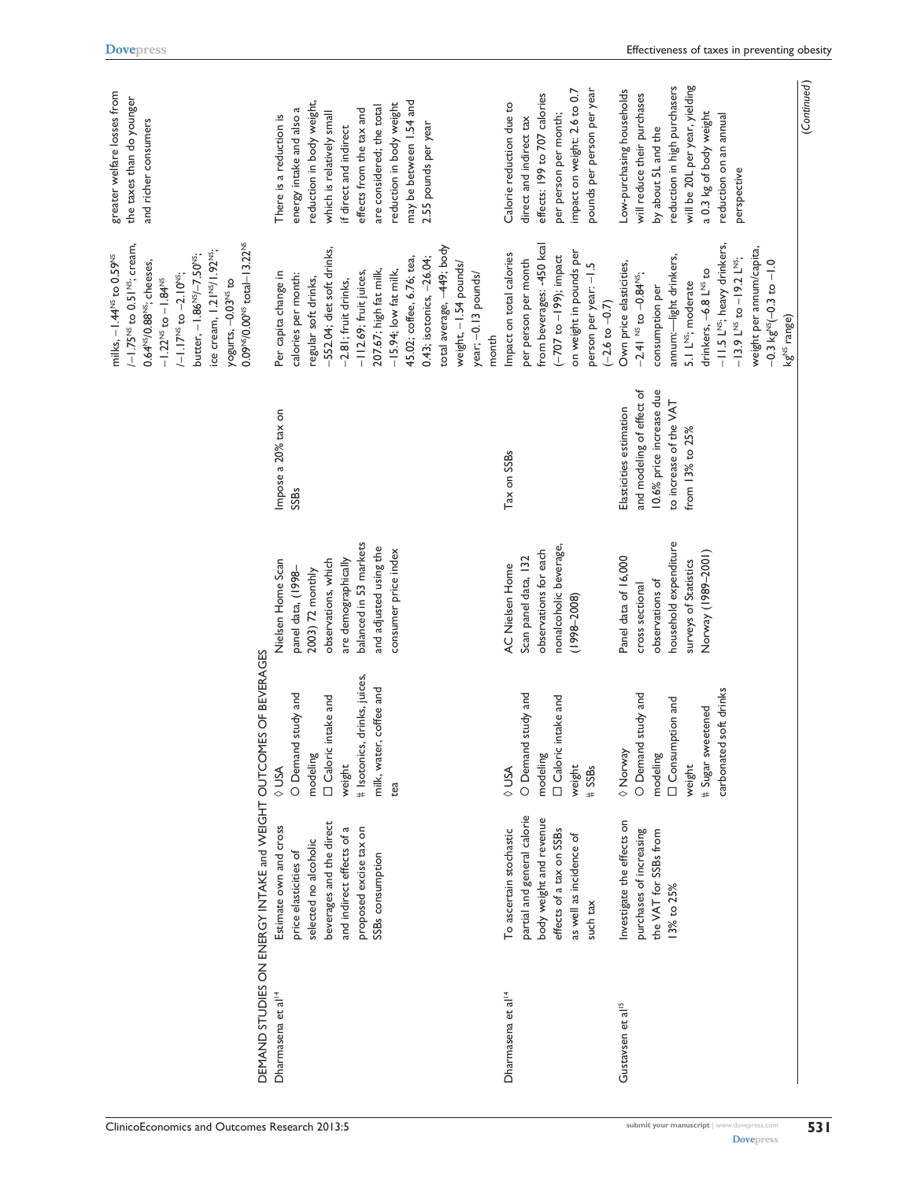| greater welfare losses from<br>the taxes than do younger<br>and richer consumers<br>$0.09^{NS}/0.00^{NS}$ total-13.22 <sup>NS</sup><br>$/$ -1.75 <sup>NS</sup> to 0.51 <sup>NS</sup> ; cream,<br>ice cream, 1.21 <sup>NS</sup> /1.92 <sup>NS</sup> ;<br>butter, -1.86 <sup>NS</sup> /-7.50 <sup>NS</sup> ;<br>milks, -1.44 <sup>NS</sup> to 0.59 <sup>NS</sup><br>0.64 <sup>NS</sup> /0.88 <sup>NS</sup> ; cheeses,<br>$/ -1.17$ <sup>NS</sup> to $-2.10$ <sup>NS</sup> ;<br>$-1.22^{NS}$ to $-1.84^{NS}$<br>yogurts, -0.03 <sup>NS</sup> to | reduction in body weight,<br>may be between 1.54 and<br>reduction in body weight<br>are considered; the total<br>energy intake and also a<br>effects from the tax and<br>which is relatively small<br>There is a reduction is<br>2.55 pounds per year<br>if direct and indirect<br>total average, -449; body<br>-552.04; diet soft drinks,<br>0.43; isotonics, -26.04;<br>45.02; coffee, 6.76; tea,<br>weight, -1.54 pounds/<br>207.67; high fat milk,<br>$-15.94$ ; low fat milk,<br>-112.69; fruit juices,<br>Per capita change in<br>year; -0.13 pounds/<br>calories per month:<br>regular soft drinks,<br>$-2.81$ ; fruit drinks,<br>month | impact on weight: 2.6 to 0.7<br>pounds per person per year<br>effects: 199 to 707 calories<br>Calorie reduction due to<br>per person per month;<br>direct and indirect tax<br>from beverages: -450 kcal<br>on weight in pounds per<br>Impact on total calories<br>$(-707 to -199)$ ; impact<br>per person per month<br>person per year: -1.5<br>$(-2.6 \text{ to } -0.7)$ | (Continued)<br>will be 20L per year, yielding<br>reduction in high purchasers<br>Low-purchasing households<br>will reduce their purchases<br>a 0.3 kg of body weight<br>reduction on an annual<br>by about 5L and the<br>perspective<br>-11.5 L <sup>NS</sup> ; heavy drinkers,<br>weight per annum/capita,<br>annum:-light drinkers,<br>$-13.9$ L <sup>NS</sup> to $-19.2$ L <sup>NS</sup> ;<br>Own price elasticities,<br>$-0.3$ kg <sup>NS</sup> $(-0.3$ to $-1.0$<br>drinkers, -6.8 LNS to<br>$-2.41$ NS to $-0.84$ <sup>NS</sup> ;<br>5.1 L <sup>NS</sup> ; moderate<br>consumption per<br>kg <sup>NS</sup> range) |
|----------------------------------------------------------------------------------------------------------------------------------------------------------------------------------------------------------------------------------------------------------------------------------------------------------------------------------------------------------------------------------------------------------------------------------------------------------------------------------------------------------------------------------------------|------------------------------------------------------------------------------------------------------------------------------------------------------------------------------------------------------------------------------------------------------------------------------------------------------------------------------------------------------------------------------------------------------------------------------------------------------------------------------------------------------------------------------------------------------------------------------------------------------------------------------------------------|---------------------------------------------------------------------------------------------------------------------------------------------------------------------------------------------------------------------------------------------------------------------------------------------------------------------------------------------------------------------------|-------------------------------------------------------------------------------------------------------------------------------------------------------------------------------------------------------------------------------------------------------------------------------------------------------------------------------------------------------------------------------------------------------------------------------------------------------------------------------------------------------------------------------------------------------------------------------------------------------------------------|
|                                                                                                                                                                                                                                                                                                                                                                                                                                                                                                                                              | Impose a 20% tax on<br>SSBs                                                                                                                                                                                                                                                                                                                                                                                                                                                                                                                                                                                                                    | Tax on SSBs                                                                                                                                                                                                                                                                                                                                                               | and modeling of effect of<br>10.6% price increase due<br>to increase of the VAT<br>Elasticities estimation<br>from 13% to 25%                                                                                                                                                                                                                                                                                                                                                                                                                                                                                           |
|                                                                                                                                                                                                                                                                                                                                                                                                                                                                                                                                              | balanced in 53 markets<br>and adjusted using the<br>consumer price index<br>observations, which<br>Nielsen Home Scan<br>are demographically<br>panel data, (1998–<br>$2003$ ) $72$ monthly                                                                                                                                                                                                                                                                                                                                                                                                                                                     | nonalcoholic beverage,<br>observations for each<br>Scan panel data, 132<br>AC Nielsen Home<br>$(1998 - 2008)$                                                                                                                                                                                                                                                             | household expenditure<br>Norway (1989–2001)<br>Panel data of 16,000<br>surveys of Statistics<br>observations of<br>cross sectional                                                                                                                                                                                                                                                                                                                                                                                                                                                                                      |
|                                                                                                                                                                                                                                                                                                                                                                                                                                                                                                                                              | drinks, juices,<br>coffee and<br>study and<br><b>Caloric</b> intake and<br>O Demand<br>milk, water,<br># Isotonics,<br>modeling<br>weight<br>ASO ⊗<br>tea                                                                                                                                                                                                                                                                                                                                                                                                                                                                                      | study and<br><b>Caloric</b> intake and<br>O Demand<br>modeling<br>weight<br>$#$ SSBs<br>AS∩ ◊                                                                                                                                                                                                                                                                             | soft drinks<br>study and<br><b>Consumption and</b><br># Sugar sweetened<br>O Demand<br>carbonated<br><b>ADOLMS</b><br>modeling<br>weight                                                                                                                                                                                                                                                                                                                                                                                                                                                                                |
| DEMAND STUDIES ON ENERGY INTAKE and WEIGHT OUTCOMES OF BEVERAGES                                                                                                                                                                                                                                                                                                                                                                                                                                                                             | beverages and the direct<br>Estimate own and cross<br>proposed excise tax on<br>and indirect effects of a<br>selected no alcoholic<br>price elasticities of<br>SSBs consumption                                                                                                                                                                                                                                                                                                                                                                                                                                                                | partial and general calorie<br>body weight and revenue<br>To ascertain stochastic<br>effects of a tax on SSBs<br>as well as incidence of<br>such tax                                                                                                                                                                                                                      | Investigate the effects on<br>purchases of increasing<br>the VAT for SSBs from<br>13% to 25%                                                                                                                                                                                                                                                                                                                                                                                                                                                                                                                            |
|                                                                                                                                                                                                                                                                                                                                                                                                                                                                                                                                              | Dharmasena et al <sup>14</sup>                                                                                                                                                                                                                                                                                                                                                                                                                                                                                                                                                                                                                 | Dharmasena et al <sup>14</sup>                                                                                                                                                                                                                                                                                                                                            | Gustavsen et al <sup>15</sup>                                                                                                                                                                                                                                                                                                                                                                                                                                                                                                                                                                                           |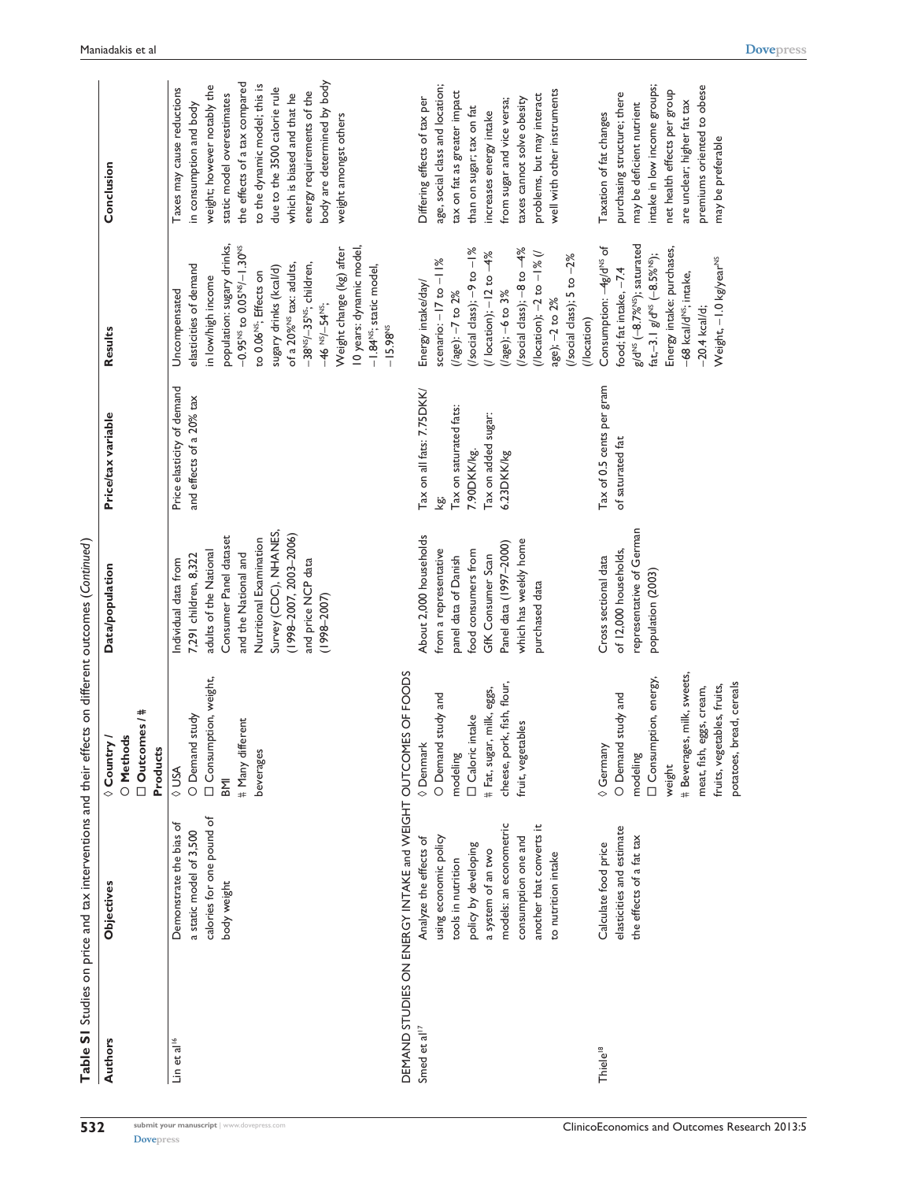|                          |                                                                                                                                                                                                                                                                                         | Table SI Studies on price and tax interventions and their effects on different outcomes (Continued)                                                                                                                        |                                                                                                                                                                                                                                                        |                                                                                                               |                                                                                                                                                                                                                                                                                                                                                                                                                                                   |                                                                                                                                                                                                                                                                                                                                           |
|--------------------------|-----------------------------------------------------------------------------------------------------------------------------------------------------------------------------------------------------------------------------------------------------------------------------------------|----------------------------------------------------------------------------------------------------------------------------------------------------------------------------------------------------------------------------|--------------------------------------------------------------------------------------------------------------------------------------------------------------------------------------------------------------------------------------------------------|---------------------------------------------------------------------------------------------------------------|---------------------------------------------------------------------------------------------------------------------------------------------------------------------------------------------------------------------------------------------------------------------------------------------------------------------------------------------------------------------------------------------------------------------------------------------------|-------------------------------------------------------------------------------------------------------------------------------------------------------------------------------------------------------------------------------------------------------------------------------------------------------------------------------------------|
| Authors                  | <b>Objectives</b>                                                                                                                                                                                                                                                                       | Dutcomes/#<br><b>©Country</b><br>O Methods<br>Products                                                                                                                                                                     | Data/population                                                                                                                                                                                                                                        | Price/tax variable                                                                                            | Results                                                                                                                                                                                                                                                                                                                                                                                                                                           | Conclusion                                                                                                                                                                                                                                                                                                                                |
| Lin et al <sup>16</sup>  | calories for one pound of<br>Demonstrate the bias of<br>a static model of 3,500<br>body weight                                                                                                                                                                                          | <b>D</b> Consumption, weight,<br>study<br># Many different<br>O Demand<br>beverages<br><b>ASO</b><br>BMI                                                                                                                   | Survey (CDC), NHANES,<br>$(1998 - 2007, 2003 - 2006)$<br>Consumer Panel dataset<br>Nutritional Examination<br>adults of the National<br>and the National and<br>7,291 children, 8,322<br>Individual data from<br>and price NCP data<br>$(1998 - 2007)$ | Price elasticity of demand<br>and effects of a 20% tax                                                        | population: sugary drinks,<br>$-0.95^{\text{NS}}$ to 0.05 $-1.30^{\text{NS}}$<br>10 years: dynamic model,<br>Weight change (kg) after<br>-38 <sup>NS</sup> /-35 <sup>NS</sup> ; children,<br>of a 20% <sup>NS</sup> tax: adults,<br>elasticities of demand<br>-1.84 <sup>NS</sup> ; static model,<br>sugary drinks (kcal/d)<br>to 0.06 <sup>NS</sup> ; Effects on<br>in low/high income<br>Uncompensated<br>46 NS/-54NS<br>$-15.98$ <sup>NS</sup> | body are determined by body<br>the effects of a tax compared<br>to the dynamic model; this is<br>weight; however notably the<br>due to the 3500 calorie rule<br>Taxes may cause reductions<br>energy requirements of the<br>static model overestimates<br>which is biased and that he<br>in consumption and body<br>weight amongst others |
| Smed et al <sup>17</sup> | DEMAND STUDIES ON ENERGY INTAKE and WEIGHT OUTCOMES OF FOODS<br>models: an econometric<br>another that converts it<br>using economic policy<br>consumption one and<br>Analyze the effects of<br>policy by developing<br>a system of an two<br>to nutrition intake<br>tools in nutrition | cheese, pork, fish, flour,<br># Fat, sugar, milk, eggs,<br>study and<br>intake<br>fruit, vegetables<br>◊ Denmark<br>O Demand<br>$\Box$ Caloric<br>modeling                                                                 | About 2,000 households<br>which has weekly home<br>Panel data (1997-2000)<br>from a representative<br>food consumers from<br>GfK Consumer Scan<br>panel data of Danish<br>purchased data                                                               | Tax on all fats: 7.75DKK/<br>Tax on saturated fats:<br>Tax on added sugar:<br>7.90DKK/kg<br>6.23DKK/kg<br>isò | $($ /social class); $-9$ to $-1\%$<br>$($ /social class); $-8$ to $-4\%$<br>( $\sqrt{10}$ cation); $-2$ to $-1\%$ (<br>$($ location); $-12$ to $-4\%$<br>(/social class); $5$ to $-2\%$<br>scenario: -17 to -11%<br>Energy intake/day/<br>$(l$ age); $-6$ to 3%<br>$(l$ age): $-7$ to $2%$<br>age); -2 to 2%<br>(location)                                                                                                                        | age, social class and location;<br>well with other instruments<br>tax on fat as greater impact<br>problems, but may interact<br>Differing effects of tax per<br>taxes cannot solve obesity<br>from sugar and vice versa;<br>than on sugar; tax on fat<br>increases energy intake                                                          |
| Thiele <sup>18</sup>     | elasticities and estimate<br>the effects of a fat tax<br>Calculate food price                                                                                                                                                                                                           | # Beverages, milk, sweets,<br>ption, energy<br>potatoes, bread, cereals<br>fruits, vegetables, fruits,<br>eggs, cream,<br>study and<br><b>©</b> ermany<br>O Demand<br><b>D</b> Consum<br>meat, fish,<br>modeling<br>weight | representative of German<br>of 12,000 households,<br>Cross sectional data<br>population (2003)                                                                                                                                                         | Tax of 0.5 cents per gram<br>of saturated fat                                                                 | $gd^{NS}$ (-8.7% <sup>NS</sup> ); saturated<br>Consumption: - 4g/d <sup>NS</sup> of<br>Energy intake: purchases,<br>fat,-3.1 $g/d^{NS}$ (-8.5% <sup>NS</sup> );<br>Weight, -1.0 kg/year <sup>NS</sup><br>food; fat intake, -7.4<br>-68 kcal/d <sup>NS</sup> ; intake,<br>$-20.4$ kcal/d;                                                                                                                                                          | intake in low income groups;<br>premiums oriented to obese<br>net health effects per group<br>purchasing structure; there<br>are unclear; higher fat tax<br>may be deficient nutrient<br>Taxation of fat changes<br>may be preferable                                                                                                     |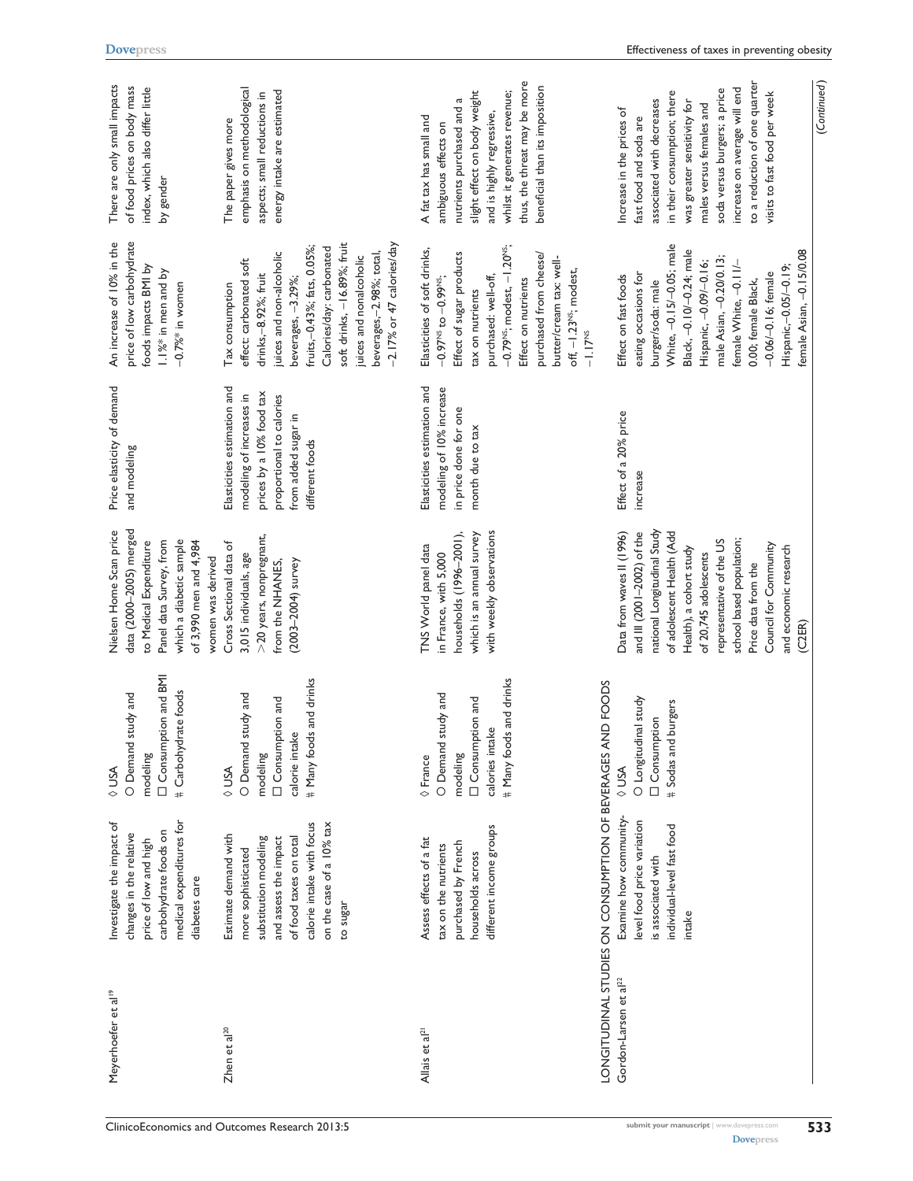| Meyerhoefer et al <sup>19</sup>   | medical expenditures for<br>Investigate the impact of<br>carbohydrate foods on<br>changes in the relative<br>price of low and high<br>diabetes care                                         | <b>D</b> Consumption and BMI<br># Carbohydrate foods<br>study and<br>O Demand<br>modeling<br>ASU <b>O</b>                      | data (2000-2005) merged<br>Nielsen Home Scan price<br>Panel data Survey, from<br>which a diabetic sample<br>to Medical Expenditure<br>of 3,990 men and 4,984<br>women was derived                                                                                                                                  | Price elasticity of demand<br>and modeling                                                                                                                | price of low carbohydrate<br>An increase of 10% in the<br>foods impacts BMI by<br>I.1%* in men and by<br>$-0.7%$ * in women                                                                                                                                                                                                                      | There are only small impacts<br>of food prices on body mass<br>index, which also differ little<br>by gender                                                                                                                                                                                                                |
|-----------------------------------|---------------------------------------------------------------------------------------------------------------------------------------------------------------------------------------------|--------------------------------------------------------------------------------------------------------------------------------|--------------------------------------------------------------------------------------------------------------------------------------------------------------------------------------------------------------------------------------------------------------------------------------------------------------------|-----------------------------------------------------------------------------------------------------------------------------------------------------------|--------------------------------------------------------------------------------------------------------------------------------------------------------------------------------------------------------------------------------------------------------------------------------------------------------------------------------------------------|----------------------------------------------------------------------------------------------------------------------------------------------------------------------------------------------------------------------------------------------------------------------------------------------------------------------------|
| Zhen et al <sup>20</sup>          | calorie intake with focus<br>on the case of a 10% tax<br>Estimate demand with<br>of food taxes on total<br>substitution modeling<br>and assess the impact<br>more sophisticated<br>to sugar | # Many foods and drinks<br>study and<br><b>Consumption and</b><br>calorie intake<br>O Demand<br>modeling<br>ASO ⊗              | >20 years, nonpregnant,<br>Cross Sectional data of<br>3,015 individuals, age<br>(2003–2004) survey<br>from the NHANES,                                                                                                                                                                                             | Elasticities estimation and<br>prices by a 10% food tax<br>modeling of increases in<br>proportional to calories<br>from added sugar in<br>different foods | soft drinks, -16.89%; fruit<br>$-2.17%$ or $47$ calories/day<br>fruits,-0.43%; fats, 0.05%;<br>Calories/day: carbonated<br>juices and non-alcoholic<br>beverages,-2.98%; total,<br>juices and nonalcoholic<br>effect: carbonated soft<br>drinks,-8.92%; fruit<br>beverages, -3.29%;<br>Tax consumption                                           | emphasis on methodological<br>energy intake are estimated<br>aspects; small reductions in<br>The paper gives more                                                                                                                                                                                                          |
| Allais et al <sup>21</sup>        | different income groups<br>Assess effects of a fat<br>purchased by French<br>tax on the nutrients<br>households across                                                                      | # Many foods and drinks<br>study and<br><b>Consumption and</b><br>calories intake<br>O Demand<br>modeling<br>$\Diamond$ France | with weekly observations<br>households (1996-2001),<br>which is an annual survey<br>TNS World panel data<br>in France, with 5,000                                                                                                                                                                                  | Elasticities estimation and<br>modeling of 10% increase<br>in price done for one<br>month due to tax                                                      | $-0.79^{\text{NS}}$ ; modest, $-1.20^{\text{NS}}$ ;<br>Elasticities of soft drinks,<br>Effect of sugar products<br>purchased from cheese/<br>butter/cream tax: well-<br>off, -1.23 <sup>NS</sup> ; modest,<br>purchased: well-off,<br>$-0.97^{\rm NS}$ to $-0.99^{\rm NS}$ ;<br>Effect on nutrients<br>tax on nutrients<br>$-1.17$ <sup>ns</sup> | thus, the threat may be more<br>beneficial than its imposition<br>slight effect on body weight<br>whilst it generates revenue;<br>nutrients purchased and a<br>and is highly regressive,<br>A fat tax has small and<br>ambiguous effects on                                                                                |
| Gordon-Larsen et al <sup>22</sup> | LONGITUDINAL STUDIES ON CONSUMPTION OF BEVERAGES AND FOODS<br>Examine how community-<br>level food price variation<br>individual-level fast food<br>is associated with<br>intake            | O Longitudinal study<br>burgers<br><b>Consumption</b><br># Sodas and<br>ASN <b>0</b>                                           | national Longitudinal Study<br>Data from waves II (1996)<br>and III (2001-2002) of the<br>of adolescent Health (Add<br>school based population;<br>representative of the US<br>Council for Community<br>and economic research<br>Health), a cohort study<br>of 20,745 adolescents<br>Price data from the<br>(C2ER) | Effect of a 20% price<br>increase                                                                                                                         | White, -0.15/-0.05; male<br>Black, -0.10/-0.24; male<br>emale Asian, -0.15/0.08<br>male Asian, -0.20/0.13;<br>Hispanic, -0.09/-0.16;<br>female White, -0.11/-<br>Hispanic, -0.05/-0.19;<br>eating occasions for<br>$-0.06/-0.16$ ; female<br>Effect on fast foods<br>0.00; female Black,<br>burger/soda: male                                    | (Continued)<br>to a reduction of one quarter<br>increase on average will end<br>soda versus burgers; a price<br>in their consumption; there<br>visits to fast food per week<br>associated with decreases<br>was greater sensitivity for<br>males versus females and<br>Increase in the prices of<br>fast food and soda are |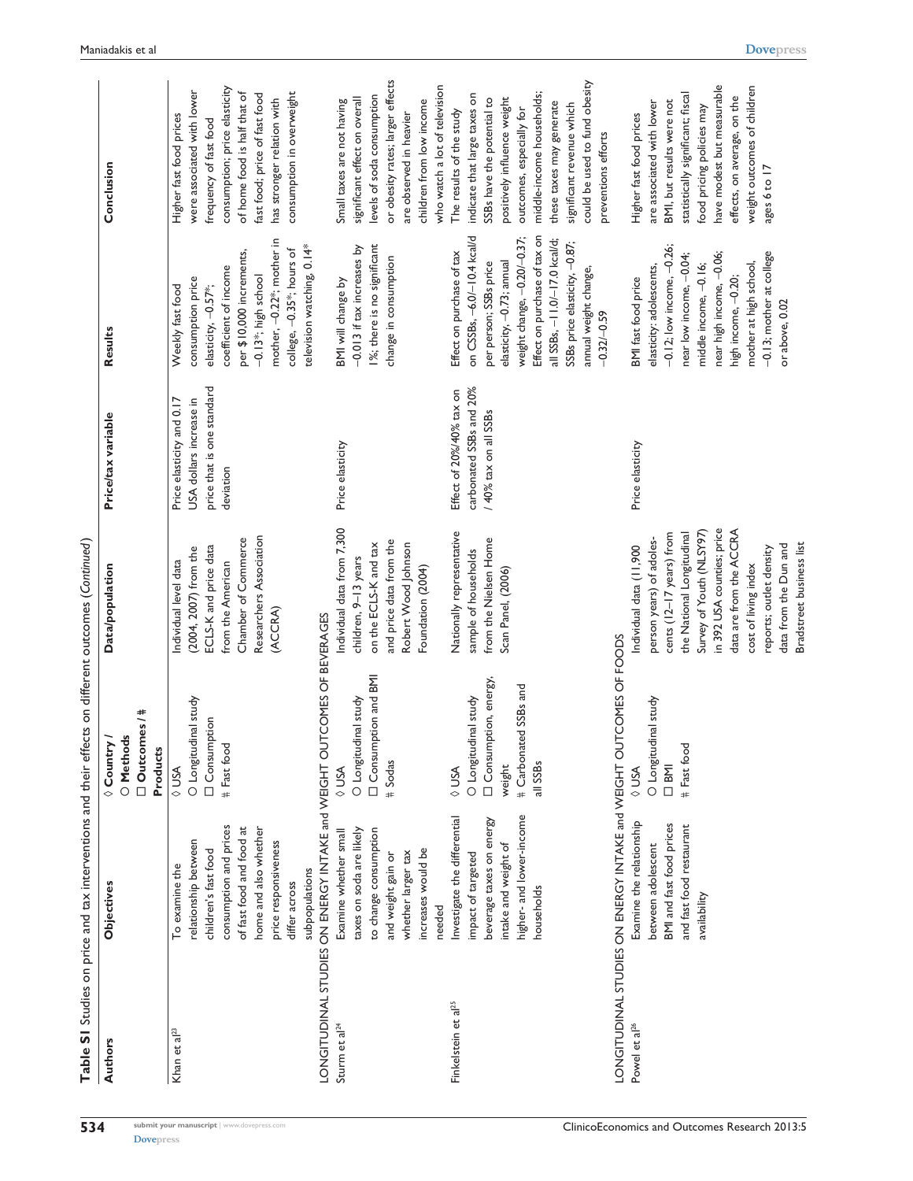|                                 |                                                                                                                                                                                                          | Table S1 Studies on price and tax interventions and their effects on different outcomes (Continued)                                          |                                                                                                                                                                                                                                                                                                           |                                                                                                 |                                                                                                                                                                                                                                                                                            |                                                                                                                                                                                                                                                                                                 |
|---------------------------------|----------------------------------------------------------------------------------------------------------------------------------------------------------------------------------------------------------|----------------------------------------------------------------------------------------------------------------------------------------------|-----------------------------------------------------------------------------------------------------------------------------------------------------------------------------------------------------------------------------------------------------------------------------------------------------------|-------------------------------------------------------------------------------------------------|--------------------------------------------------------------------------------------------------------------------------------------------------------------------------------------------------------------------------------------------------------------------------------------------|-------------------------------------------------------------------------------------------------------------------------------------------------------------------------------------------------------------------------------------------------------------------------------------------------|
| Authors                         | Objectives                                                                                                                                                                                               | Dutcomes/#<br>O Methods<br><b>©Ountry</b><br>Products                                                                                        | <b>Data/population</b>                                                                                                                                                                                                                                                                                    | Price/tax variable                                                                              | Results                                                                                                                                                                                                                                                                                    | Conclusion                                                                                                                                                                                                                                                                                      |
| Khan et al <sup>23</sup>        | consumption and prices<br>of fast food and food at<br>home and also whether<br>relationship between<br>price responsiveness<br>children's fast food<br>To examine the<br>subpopulations<br>differ across | LONGITUDINAL STUDIES ON ENERGY INTAKE and WEIGHT OUTCOMES OF BEVERAGES<br>O Longitudinal study<br><b>Consumption</b><br># Fast food<br>ASO ⊗ | Researchers Association<br>Chamber of Commerce<br>ECLS-K and price data<br>(2004, 2007) from the<br>Individual level data<br>from the American<br>(ACCRA)                                                                                                                                                 | price that is one standard<br>Price elasticity and 0.17<br>USA dollars increase in<br>deviation | mother, -0.22 <sup>*</sup> ; mother in<br>television watching, 0.14*<br>college, -0.35*; hours of<br>per \$10,000 increments,<br>coefficient of income<br>$-0.13$ <sup>*</sup> ; high school<br>consumption price<br>Weekly fast food<br>elasticity, -0.57*;                               | consumption; price elasticity<br>were associated with lower<br>consumption in overweight<br>of home food is half that of<br>fast food; price of fast food<br>has stronger relation with<br>Higher fast food prices<br>frequency of fast food                                                    |
| Sturm et al <sup>24</sup>       | taxes on soda are likely<br>Examine whether small<br>to change consumption<br>increases would be<br>whether larger tax<br>and weight gain or<br>needed                                                   | <b>D</b> Consumption and BMI<br>O Longitudinal study<br># Sodas<br><b>ASN 0</b>                                                              | Individual data from 7,300<br>and price data from the<br>Robert Wood Johnson<br>on the ECLS-K and tax<br>children, 9-13 years<br>Foundation (2004)                                                                                                                                                        | Price elasticity                                                                                | 1%; there is no significant<br>$-0.013$ if tax increases by<br>change in consumption<br>BMI will change by                                                                                                                                                                                 | or obesity rates; larger effects<br>who watch a lot of television<br>levels of soda consumption<br>significant effect on overall<br>Small taxes are not having<br>children from low income<br>are observed in heavier                                                                           |
| Finkelstein et al <sup>25</sup> | higher- and lower-income<br>Investigate the differential<br>beverage taxes on energy<br>intake and weight of<br>impact of targeted<br>households                                                         | <b>Consumption, energy,</b><br># Carbonated SSBs and<br>O Longitudinal study<br>weight<br>all SSBs<br>ASO <b>∂</b>                           | Nationally representative<br>from the Nielsen Home<br>sample of households<br>Scan Panel, (2006)                                                                                                                                                                                                          | carbonated SSBs and 20%<br>Effect of 20%/40% tax on<br>/ 40% tax on all SSBs                    | on CSSBs, -6.0/-10.4 kcal/d<br>Effect on purchase of tax on<br>weight change, -0.20/-0.37;<br>all SSBs, -11.0/-17.0 kcal/d;<br>SSBs price elasticity, -0.87;<br>Effect on purchase of tax<br>elasticity, -0.73; annual<br>per person; SSBs price<br>annual weight change,<br>$-0.32/-0.59$ | could be used to fund obesity<br>middle-income households;<br>indicate that large taxes on<br>positively influence weight<br>SSBs have the potential to<br>these taxes may generate<br>significant revenue which<br>outcomes, especially for<br>The results of the study<br>preventions efforts |
| Powel et al <sup>26</sup>       | Examine the relationship<br>BMI and fast food prices<br>and fast food restaurant<br>between adolescent<br>availability                                                                                   | LONGITUDINAL STUDIES ON ENERGY INTAKE and WEIGHT OUTCOMES OF FOODS<br>nal study<br>O Longitudi<br># Fast food<br>$\Box$ BMI<br><b>√SU ⊘</b>  | in 392 USA counties; price<br>data are from the ACCRA<br>Survey of Youth (NLSY97)<br>cents (12-17 years) from<br>the National Longitudinal<br>person years) of adoles-<br>Bradstreet business list<br>data from the Dun and<br>Individual data (II,900<br>reports; outlet density<br>cost of living index | Price elasticity                                                                                | $-0.12$ ; low income, $-0.26$ ;<br>near high income, -0.06;<br>-0.13; mother at college<br>near low income, -0.04;<br>middle income, -0.16;<br>mother at high school,<br>elasticity: adolescents,<br>high income, -0.20;<br>BMI fast food price<br>or above, 0.02                          | have modest but measurable<br>weight outcomes of children<br>statistically significant; fiscal<br>effects, on average, on the<br>BMI, but results were not<br>are associated with lower<br>food pricing policies may<br>Higher fast food prices<br>ages 6 to 17                                 |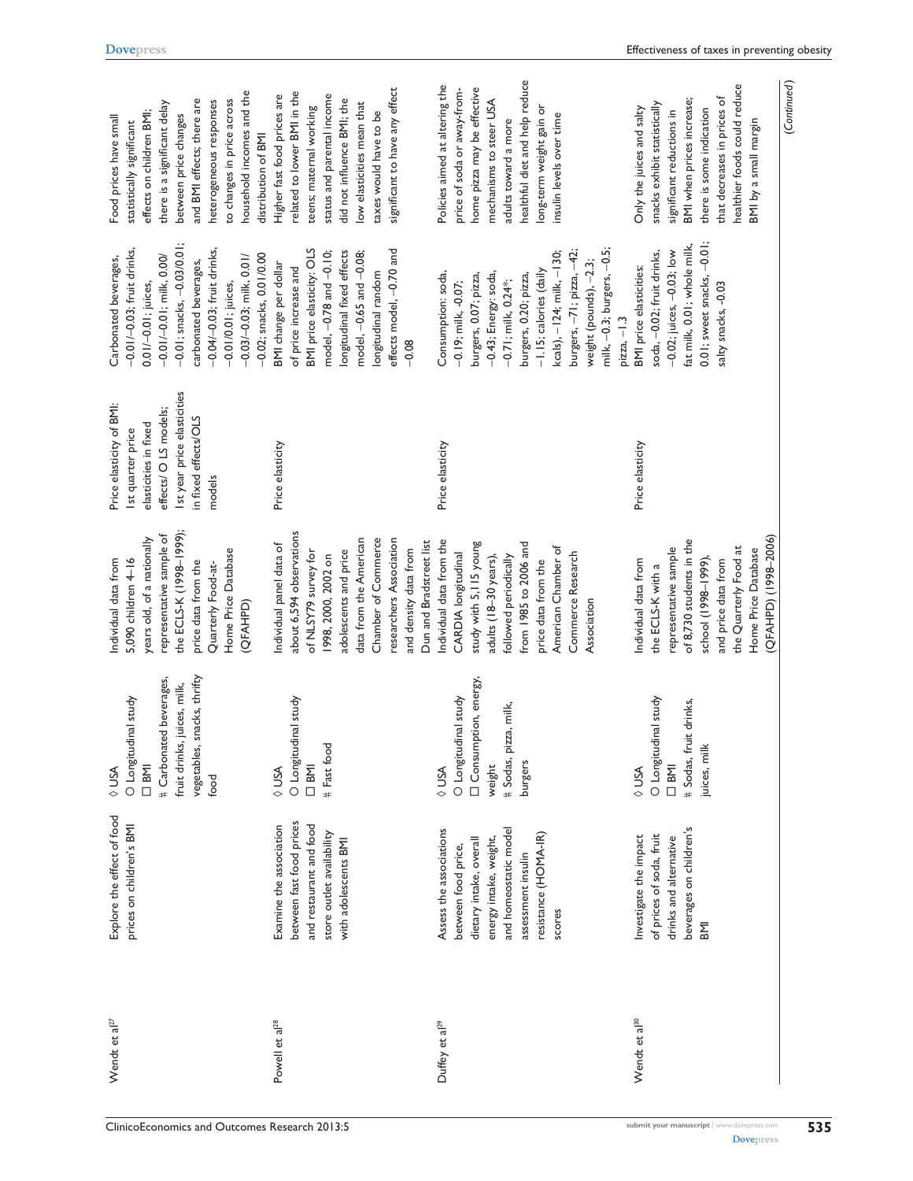| Wendt et al <sup>27</sup>  | Explore the effect of food<br>prices on children's BMI                                                                                                                               | snacks, thrifty<br>ed beverages,<br>fruit drinks, juices, milk,<br>O Longitudinal study<br># Carbonat<br>vegetables,<br>$\Box$ BMI<br><b>ASN 0</b><br>food | the ECLS-K (1998-1999);<br>representative sample of<br>years old, of a nationally<br>Home Price Database<br>5,090 children 4-16<br>ndividual data from<br>price data from the<br>Quarterly Food-at-<br>(QFAHPD)                                              | Ist year price elasticities<br>Price elasticity of BMI:<br>effects/ O LS models;<br>in fixed effects/OLS<br>elasticities in fixed<br>Ist quarter price<br>models | $-0.01$ ; snacks, $-0.03/0.01$ ;<br>$-0.04/-0.03$ ; fruit drinks,<br>$-0.01/-0.03$ ; fruit drinks,<br>$-0.03/-0.03$ ; milk, 0.01/<br>$-0.01/-0.01$ ; milk, 0.00/<br>Carbonated beverages,<br>carbonated beverages,<br>$-0.01/0.01$ ; juices,<br>0.01/-0.01; juices,                                                       | household incomes and the<br>to changes in price across<br>and BMI effects; there are<br>heterogeneous responses<br>there is a significant delay<br>effects on children BMI;<br>between price changes<br>Food prices have small<br>statistically significant       |
|----------------------------|--------------------------------------------------------------------------------------------------------------------------------------------------------------------------------------|------------------------------------------------------------------------------------------------------------------------------------------------------------|--------------------------------------------------------------------------------------------------------------------------------------------------------------------------------------------------------------------------------------------------------------|------------------------------------------------------------------------------------------------------------------------------------------------------------------|---------------------------------------------------------------------------------------------------------------------------------------------------------------------------------------------------------------------------------------------------------------------------------------------------------------------------|--------------------------------------------------------------------------------------------------------------------------------------------------------------------------------------------------------------------------------------------------------------------|
| Powell et al <sup>28</sup> | between fast food prices<br>Examine the association<br>and restaurant and food<br>store outlet availability<br>with adolescents BMI                                                  | O Longitudinal study<br># Fast food<br>$\Box$ BMI<br>ASN <b>0</b>                                                                                          | about 6,594 observations<br>data from the American<br>Chamber of Commerce<br>researchers Association<br>Dun and Bradstreet list<br>Individual panel data of<br>and density data from<br>adolescents and price<br>of NLSY79 survey for<br>1998, 2000, 2002 on | Price elasticity                                                                                                                                                 | BMI price elasticity: OLS<br>effects model, -0.70 and<br>longitudinal fixed effects<br>model, -0.78 and -0.10;<br>model, -0.65 and -0.08;<br>$-0.02$ ; snacks, $0.01/0.00$<br>BMI change per dollar<br>of price increase and<br>longitudinal random<br>$-0.08$                                                            | significant to have any effect<br>related to lower BMI in the<br>Higher fast food prices are<br>status and parental income<br>did not influence BMI; the<br>low elasticities mean that<br>teens; maternal working<br>taxes would have to be<br>distribution of BMI |
| Duffey et al <sup>29</sup> | and homeostatic model<br>Assess the associations<br>resistance (HOMA-IR)<br>energy intake, weight,<br>dietary intake, overall<br>between food price,<br>assessment insulin<br>scores | <b>Consumption, energy,</b><br>O Longitudinal study<br># Sodas, pizza, milk,<br>weight<br>burgers<br><b>ASN 0</b>                                          | Individual data from the<br>study with 5,115 young<br>from 1985 to 2006 and<br>American Chamber of<br><b>CARDIA</b> longitudinal<br>Commerce Research<br>adults (18-30 years),<br>followed periodically<br>price data from the<br>Association                | Price elasticity                                                                                                                                                 | milk, -0.3; burgers, -0.5;<br>burgers, $-71$ ; pizza, $-42$ ;<br>kcals), -124; milk, -130;<br>weight (pounds), -2.3;<br>-1.15; calories (daily<br>Consumption: soda,<br>-0.43; Energy: soda,<br>burgers, 0.07; pizza,<br>burgers, 0.20; pizza,<br>$-0.19$ ; milk, $-0.07$ ;<br>$-0.71$ ; milk, 0.24*;<br>$pixza$ , $-1.3$ | healthful diet and help reduce<br>Policies aimed at altering the<br>price of soda or away-from-<br>home pizza may be effective<br>mechanisms to steer USA<br>long-term weight gain or<br>insulin levels over time<br>adults toward a more                          |
| Wendt et al <sup>30</sup>  | beverages on children's<br>of prices of soda, fruit<br>Investigate the impact<br>drinks and alternative<br><b>INB</b>                                                                | O Longitudinal study<br># Sodas, fruit drinks,<br>juices, milk<br>$\Box$ BM<br>ASU <b>O</b>                                                                | (QFAHPD) (1998-2006)<br>of 8,730 students in the<br>the Quarterly Food at<br>representative sample<br>Home Price Database<br>school (1998-1999),<br>and price data from<br>Individual data from<br>the ECLS-K with a                                         | Price elasticity                                                                                                                                                 | $0.01$ ; sweet snacks, $-0.01$ ;<br>fat milk, 0.01; whole milk,<br>soda, -0.02; fruit drinks,<br>$-0.02$ ; juices, $-0.03$ ; low<br><b>BM</b> price elasticities:<br>salty snacks, -0.03                                                                                                                                  | (Continued)<br>healthier foods could reduce<br>that decreases in prices of<br>BMI when prices increase;<br>snacks exhibit statistically<br>Only the juices and salty<br>there is some indication<br>significant reductions in<br>BMI by a small margin             |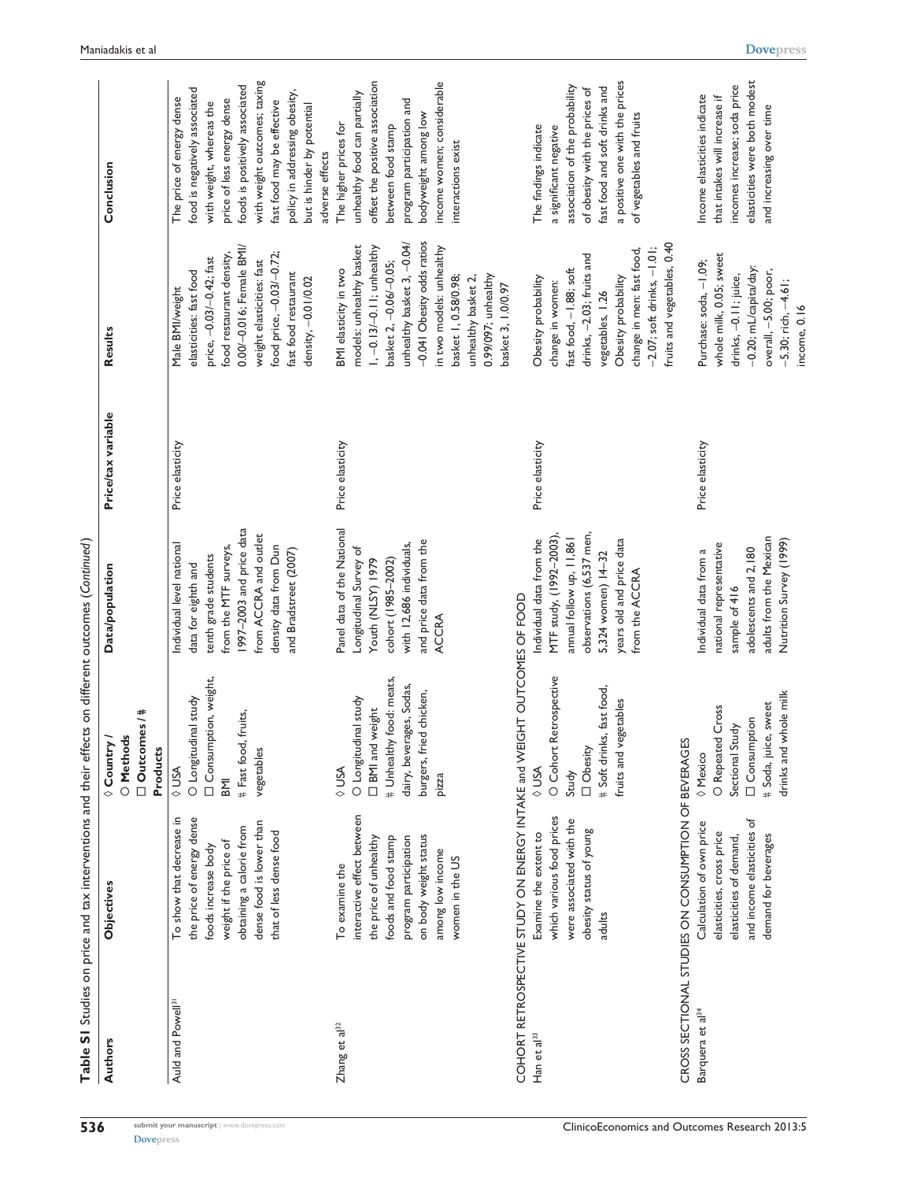|                               | Table S1 Studies on price and tax interventions and their effects on different outcomes (Continued)                                                                                            |                                                                                                                                                      |                                                                                                                                                                                                          |                    |                                                                                                                                                                                                                                                                                                    |                                                                                                                                                                                                                                                                                                        |
|-------------------------------|------------------------------------------------------------------------------------------------------------------------------------------------------------------------------------------------|------------------------------------------------------------------------------------------------------------------------------------------------------|----------------------------------------------------------------------------------------------------------------------------------------------------------------------------------------------------------|--------------------|----------------------------------------------------------------------------------------------------------------------------------------------------------------------------------------------------------------------------------------------------------------------------------------------------|--------------------------------------------------------------------------------------------------------------------------------------------------------------------------------------------------------------------------------------------------------------------------------------------------------|
| Authors                       | Objectives                                                                                                                                                                                     | es/#<br>O Methods<br>□ Outcom<br><b>Country</b><br><b>Products</b>                                                                                   | <b>Data/population</b>                                                                                                                                                                                   | Price/tax variable | Results                                                                                                                                                                                                                                                                                            | Conclusion                                                                                                                                                                                                                                                                                             |
| Auld and Powell <sup>31</sup> | To show that decrease in<br>the price of energy dense<br>dense food is lower than<br>obtaining a calorie from<br>that of less dense food<br>weight if the price of<br>foods increase body      | Oonsumption, weight,<br>O Longitudinal study<br>fruits,<br># Fast food,<br>vegetables<br>∧usA<br>$\overline{\mathbb{R}}$                             | 1997-2003 and price data<br>from ACCRA and outlet<br>Individual level national<br>from the MTF surveys,<br>density data from Dun<br>and Bradstreet (2007)<br>tenth grade students<br>data for eighth and | Price elasticity   | 0.00/-0.016; Female BMI/<br>food price, -0.03/-0.72;<br>food restaurant density,<br>price, -0.03/-0.42; fast<br>weight elasticities: fast<br>elasticities: fast food<br>fast food restaurant<br>density, -0.01/0.02<br>Male BMI/weight                                                             | with weight outcomes; taxing<br>foods is positively associated<br>food is negatively associated<br>policy in addressing obesity,<br>The price of energy dense<br>price of less energy dense<br>fast food may be effective<br>with weight, whereas the<br>but is hinder by potential<br>adverse effects |
| Zhang et al <sup>32</sup>     | interactive effect between<br>on body weight status<br>program participation<br>the price of unhealthy<br>foods and food stamp<br>among low income<br>women in the US<br>To examine the        | # Unhealthy food: meats,<br>dairy, beverages, Sodas,<br>burgers, fried chicken,<br>O Longitudinal study<br>□ BMI and weight<br><b>ASN ◊</b><br>pizza | Panel data of the National<br>and price data from the<br>with 12,686 individuals,<br>Longitudinal Survey of<br>cohort (1985-2002)<br>Youth (NLSY) 1979<br>ACCRA                                          | Price elasticity   | -0.041 Obesity odds ratios<br>unhealthy basket 3, -0.04/<br>models: unhealthy basket<br>in two models: unhealthy<br>$1, -0.13/-0.11$ ; unhealthy<br>basket 2, -0.06/-0.05;<br>BMI elasticity in two<br>basket 1, 0.58/0.98;<br>$0.99/097$ ; unhealthy<br>unhealthy basket 2,<br>basket 3, 1.0/0.97 | offset the positive association<br>income women; considerable<br>unhealthy food can partially<br>program participation and<br>bodyweight among low<br>The higher prices for<br>between food stamp<br>interactions exist                                                                                |
| Han et al <sup>33</sup>       | COHORT RETROSPECTIVE STUDY ON ENERGY INTAKE and WEIGHT OUTCOMES OF FOOD<br>which various food prices<br>were associated with the<br>obesity status of young<br>Examine the extent to<br>adults | etrospective<br># Soft drinks, fast food,<br>fruits and vegetables<br>O Cohort R<br>D Obesity<br>∧usa<br>Study                                       | observations (6,537 men,<br>MTF study, (1992-2003),<br>annual follow up, II,861<br>Individual data from the<br>years old and price data<br>5,324 women) 14-32<br>from the ACCRA                          | Price elasticity   | fruits and vegetables, 0.40<br>change in men: fast food,<br>$-2.07$ ; soft drinks, $-1.01$ ;<br>drinks, -2.03; fruits and<br>fast food, -1.88; soft<br>Obesity probability<br>Obesity probability<br>change in women:<br>vegetables, 1.26                                                          | a positive one with the prices<br>association of the probability<br>fast food and soft drinks and<br>of obesity with the prices of<br>of vegetables and fruits<br>The findings indicate<br>a significant negative                                                                                      |
| Barquera et al <sup>34</sup>  | CROSS SECTIONAL STUDIES ON CONSUMPTION OF BEVERAGES<br>and income elasticities of<br>Calculation of own price<br>elasticities, cross price<br>demand for beverages<br>elasticities of demand,  | drinks and whole milk<br># Soda, juice, sweet<br>Cross<br><b>Consumption</b><br>Sectional Study<br>O Repeated<br>$\Diamond$ Mexico                   | adults from the Mexican<br>Nutrition Survey (1999)<br>national representative<br>adolescents and 2,180<br>Individual data from a<br>sample of 416                                                        | Price elasticity   | whole milk, 0.05; sweet<br>Purchase: soda, -1.09;<br>-0.20; mL/capita/day:<br>overall, -5.00; poor,<br>drinks, -0.11; juice,<br>$-5.30$ ; rich, $-4.61$ ;<br>income, 0.16                                                                                                                          | elasticities were both modest<br>incomes increase; soda price<br>Income elasticities indicate<br>that intakes will increase if<br>and increasing over time                                                                                                                                             |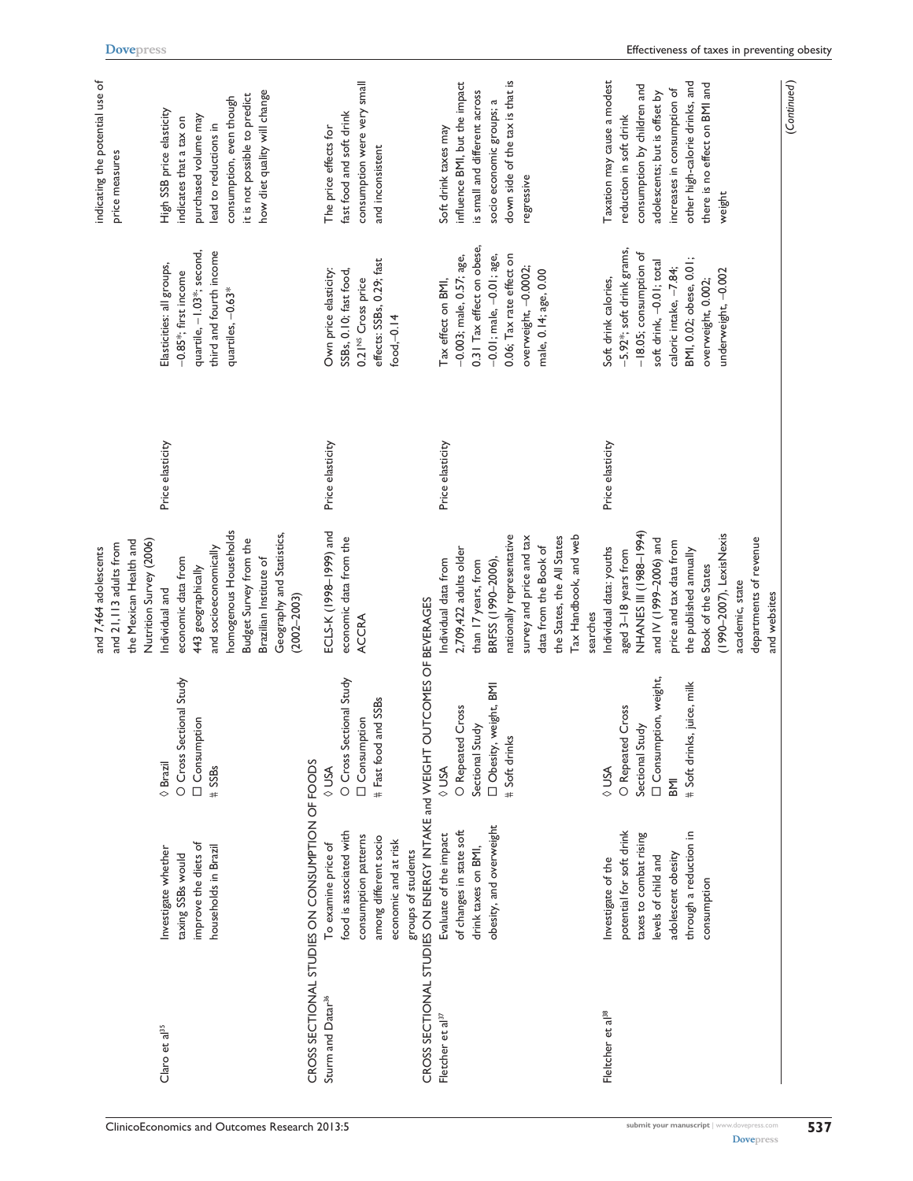|                               |                                                                                                                                                                |                                                                                                                                                                       | the Mexican Health and<br>Nutrition Survey (2006)<br>and 21, 113 adults from<br>and 7,464 adolescents                                                                                                                                                                  |                  |                                                                                                                                                                                                           | indicating the potential use of<br>price measures                                                                                                                                                                                                 |
|-------------------------------|----------------------------------------------------------------------------------------------------------------------------------------------------------------|-----------------------------------------------------------------------------------------------------------------------------------------------------------------------|------------------------------------------------------------------------------------------------------------------------------------------------------------------------------------------------------------------------------------------------------------------------|------------------|-----------------------------------------------------------------------------------------------------------------------------------------------------------------------------------------------------------|---------------------------------------------------------------------------------------------------------------------------------------------------------------------------------------------------------------------------------------------------|
| Claro et al <sup>35</sup>     | CROSS SECTIONAL STUDIES ON CONSUMPTION OF FOODS<br>improve the diets of<br>households in Brazil<br>Investigate whether<br>taxing SSBs would                    | O Cross Sectional Study<br><b>Consumption</b><br>$\Diamond$ Brazil<br>$#$ SSBs                                                                                        | homogenous Households<br>Geography and Statistics,<br>Budget Survey from the<br>and socioeconomically<br>Brazilian Institute of<br>economic data from<br>443 geographically<br>Individual and<br>$(2002 - 2003)$                                                       | Price elasticity | quartile, -1.03*; second,<br>third and fourth income<br>Elasticities: all groups,<br>-0.85 <sup>*</sup> ; first income<br>quartiles, -0.63*                                                               | how diet quality will change<br>it is not possible to predict<br>consumption, even though<br>High SSB price elasticity<br>purchased volume may<br>indicates that a tax on<br>lead to reductions in                                                |
| Sturm and Datar <sup>36</sup> | food is associated with<br>consumption patterns<br>among different socio<br>economic and at risk<br>To examine price of<br>groups of students                  | CROSS SECTIONAL STUDIES ON ENERGY INTAKE and WEIGHT OUTCOMES OF BEVERAGES<br>O Cross Sectional Study<br># Fast food and SSBs<br>$\square$ Consumption<br><b>ASN 0</b> | ECLS-K (1998-1999) and<br>economic data from the<br>ACCRA                                                                                                                                                                                                              | Price elasticity | effects: SSBs, 0.29; fast<br>Own price elasticity:<br>SSBs, 0.10; fast food,<br>0.21 <sup>NS</sup> Cross price<br>$f_{\text{ood},-0.14}$                                                                  | consumption were very small<br>fast food and soft drink<br>The price effects for<br>and inconsistent                                                                                                                                              |
| Fletcher et al <sup>37</sup>  | obesity, and overweight<br>of changes in state soft<br>Evaluate of the impact<br>drink taxes on BMI,                                                           | Dbesity, weight, BMI<br>Cross<br>Sectional Study<br>O Repeated<br># Soft drinks<br>$\Diamond$ USA                                                                     | nationally representative<br>survey and price and tax<br>Tax Handbook, and web<br>the States, the All States<br>data from the Book of<br>2,709,422 adults older<br>Individual data from<br>BRFSS (1990-2006),<br>than 17 years, from<br>searches                       | Price elasticity | 0.31 Tax effect on obese,<br>-0.003; male, 0.57; age,<br>$-0.01$ ; male, $-0.01$ ; age,<br>0.06; Tax rate effect on<br>overweight, -0.0002;<br>male, 0.14; age, 0.00<br>Tax effect on BMI,                | down side of the tax is that is<br>influence BMI, but the impact<br>is small and different across<br>socio economic groups; a<br>Soft drink taxes may<br>regressive                                                                               |
| Fleltcher et al <sup>38</sup> | potential for soft drink<br>through a reduction in<br>taxes to combat rising<br>adolescent obesity<br>levels of child and<br>Investigate of the<br>consumption | <b>D</b> Consumption, weight,<br># Soft drinks, juice, milk<br>Cross<br>Sectional Study<br>O Repeated<br>ASO ⊗<br>BМ                                                  | NHANES III (1988-1994)<br>(1990-2007), LexisNexis<br>departments of revenue<br>and IV (1999-2006) and<br>price and tax data from<br>Individual data: youths<br>the published annually<br>aged 3-18 years from<br>Book of the States<br>academic, state<br>and websites | Price elasticity | -5.92*; soft drink grams,<br>-18.05; consumption of<br>BMI, 0.02; obese, 0.01;<br>soft drink, -0.01; total<br>caloric intake, -7.84;<br>underweight, -0.002<br>Soft drink calories,<br>overweight, 0.002; | (Continued)<br>Taxation may cause a modest<br>other high-calorie drinks, and<br>consumption by children and<br>there is no effect on BMI and<br>increases in consumption of<br>adolescents; but is offset by<br>reduction in soft drink<br>weight |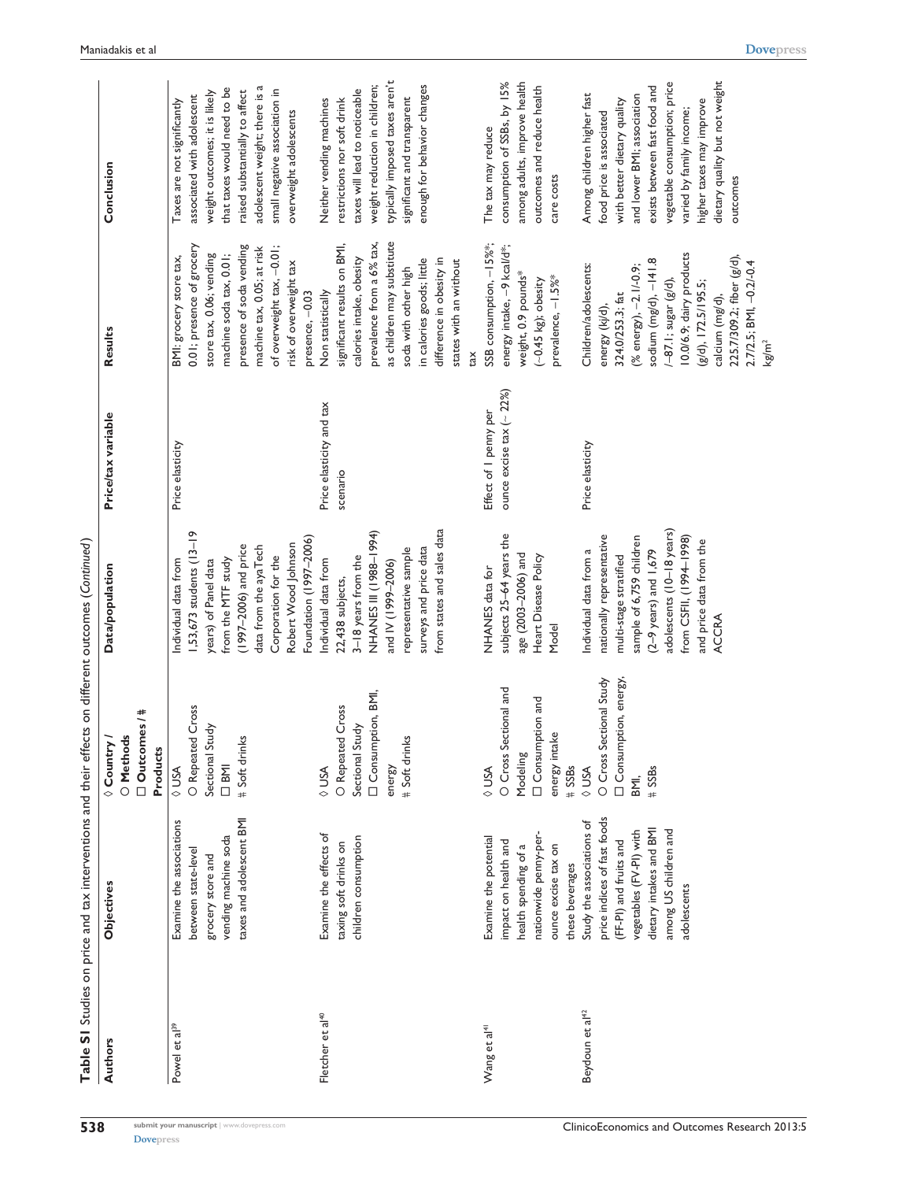|                              |                                                                                                                                                                                  | Table SI Studies on price and tax interventions and their effects on different outcomes (Continued)      |                                                                                                                                                                                                                                    |                                                            |                                                                                                                                                                                                                                                                                                  |                                                                                                                                                                                                                                                                                           |
|------------------------------|----------------------------------------------------------------------------------------------------------------------------------------------------------------------------------|----------------------------------------------------------------------------------------------------------|------------------------------------------------------------------------------------------------------------------------------------------------------------------------------------------------------------------------------------|------------------------------------------------------------|--------------------------------------------------------------------------------------------------------------------------------------------------------------------------------------------------------------------------------------------------------------------------------------------------|-------------------------------------------------------------------------------------------------------------------------------------------------------------------------------------------------------------------------------------------------------------------------------------------|
| Authors                      | <b>Objectives</b>                                                                                                                                                                | © Country                                                                                                | <b>Data/population</b>                                                                                                                                                                                                             | Price/tax variable                                         | Results                                                                                                                                                                                                                                                                                          | Conclusion                                                                                                                                                                                                                                                                                |
|                              |                                                                                                                                                                                  | Dutcomes/#<br>O Methods<br>Products                                                                      |                                                                                                                                                                                                                                    |                                                            |                                                                                                                                                                                                                                                                                                  |                                                                                                                                                                                                                                                                                           |
| Powel et al <sup>39</sup>    | taxes and adolescent BMI<br>Examine the associations<br>vending machine soda<br>between state-level<br>grocery store and                                                         | O Repeated Cross<br>Sectional Study<br># Soft drinks<br>$\Box$ BMI<br>ASO ⊗                              | 1,53,673 students (13-19<br>Foundation (1997-2006)<br>Robert Wood Johnson<br>(1997-2006) and price<br>data from the ayaTech<br>Corporation for the<br>from the MTF study<br>Individual data from<br>years) of Panel data           | Price elasticity                                           | presence of soda vending<br>0.01; presence of grocery<br>of overweight tax, -0.01;<br>machine tax, 0.05; at risk<br>machine soda tax, 0.01;<br>store tax, 0.06; vending<br>BMI: grocery store tax,<br>risk of overweight tax<br>presence, -0.03                                                  | adolescent weight; there is a<br>that taxes would need to be<br>small negative association in<br>raised substantially to affect<br>weight outcomes; it is likely<br>associated with adolescent<br>Taxes are not significantly<br>overweight adolescents                                   |
| Fletcher et al <sup>40</sup> | Examine the effects of<br>children consumption<br>taxing soft drinks on                                                                                                          | Omsumption, BMI,<br>O Repeated Cross<br>Sectional Study<br># Soft drinks<br>energy<br>ASO ⊗              | from states and sales data<br>surveys and price data<br>representative sample<br>3-18 years from the<br>Individual data from<br>and IV (1999–2006)<br>22,438 subjects,                                                             | Price elasticity and tax<br>scenario                       | as children may substitute<br>significant results on BMI,<br>prevalence from a 6% tax,<br>calories intake, obesity<br>difference in obesity in<br>in calories goods; little<br>states with an without<br>soda with other high<br>Non statistically<br>tax                                        | typically imposed taxes aren't<br>enough for behavior changes<br>weight reduction in children;<br>taxes will lead to noticeable<br>significant and transparent<br>Neither vending machines<br>restrictions nor soft drink                                                                 |
| Wang et al <sup>41</sup>     | nationwide penny-per-<br>Examine the potential<br>impact on health and<br>health spending of a<br>ounce excise tax on<br>these beverages                                         | O Cross Sectional and<br><b>Consumption and</b><br>energy intake<br>Modeling<br>$#$ SSBs<br>ASO <b>∂</b> | subjects 25-64 years the<br>age (2003-2006) and<br>Heart Disease Policy<br>NHANES data for<br>Model                                                                                                                                | ounce excise $\text{tax}$ (~ 22%)<br>Effect of I penny per | SSB consumption, -15%*;<br>energy intake, -9 kcal/d*;<br>weight, 0.9 pounds*<br>prevalence, -1.5%*<br>$(-0.45 \text{ kg})$ ; obesity                                                                                                                                                             | among adults, improve health<br>consumption of SSBs, by 15%<br>outcomes and reduce health<br>The tax may reduce<br>care costs                                                                                                                                                             |
| Beydoun et al <sup>42</sup>  | price indices of fast foods<br>Study the associations of<br>among US children and<br>dietary intakes and BMI<br>vegetables (FV-PI) with<br>(FF-PI) and fruits and<br>adolescents | O Cross Sectional Study<br><b>Consumption, energy,</b><br><b>ASN ◊</b><br>#SSBs<br>회.                    | adolescents (10-18 years)<br>nationally representative<br>from CSFII, (1994-1998)<br>sample of 6,759 children<br>and price data from the<br>Individual data from a<br>$(2-9$ years) and $1,679$<br>multi-stage stratified<br>ACCRA | Price elasticity                                           | 10.0/6.9; dairy products<br>225.7/309.2; fiber (g/d),<br>sodium $(mg/d)$ , $-141.8$<br>2.7/2.5; BMI, -0.2/-0.4<br>Children/adolescents:<br>(% energy), -2.1/-0.9;<br>$(-87.1; sugar (g/d),$<br>(g/d), 172.5/195.5;<br>324.0/253.3; fat<br>calcium (mg/d),<br>energy (kj/d),<br>kg/m <sup>2</sup> | dietary quality but not weight<br>vegetable consumption; price<br>exists between fast food and<br>Among children higher fast<br>and lower BMI; association<br>higher taxes may improve<br>with better dietary quality<br>varied by family income;<br>food price is associated<br>outcomes |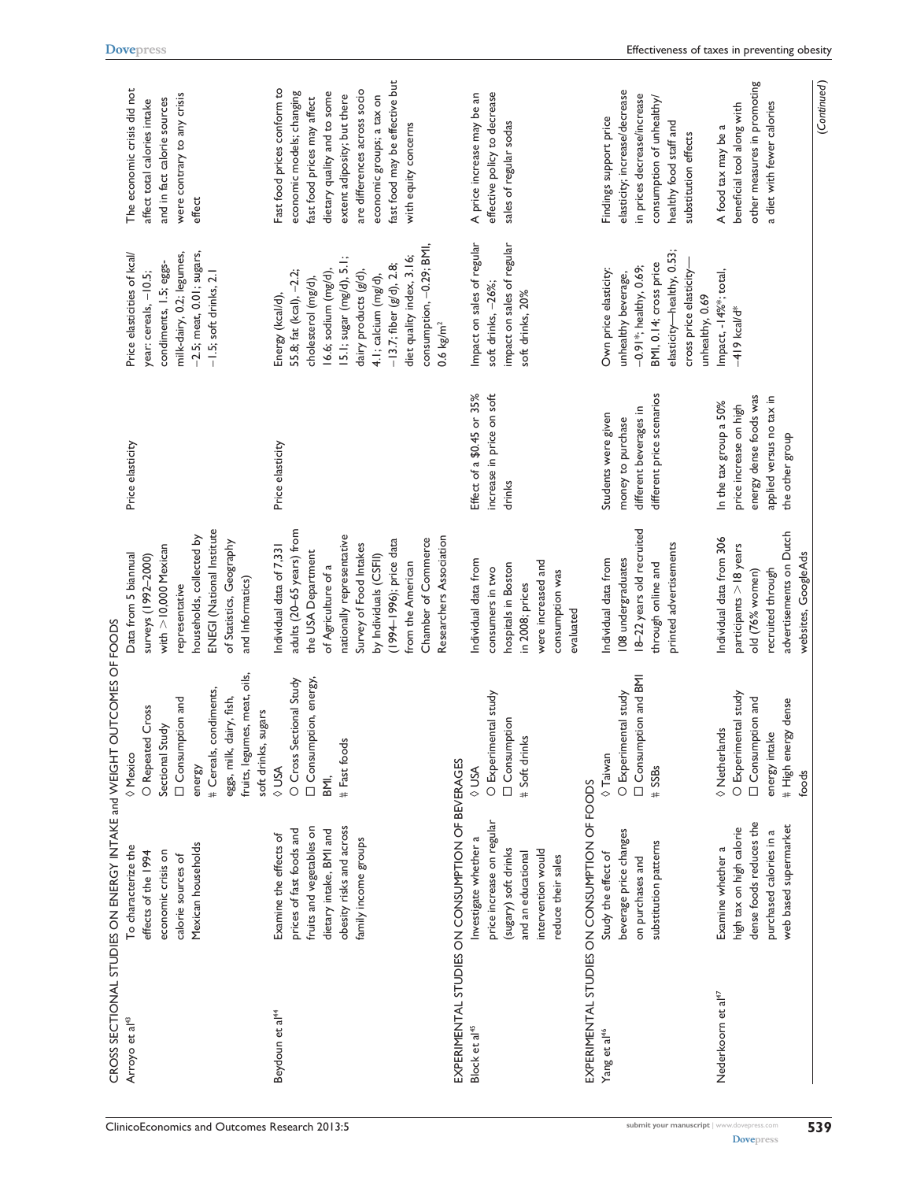|                                |                                                  | CROSS SECTIONAL STUDIES ON ENERGY INTAKE and WEIGHT OUTCOMES OF FOODS |                           |                           |                                           |                                |
|--------------------------------|--------------------------------------------------|-----------------------------------------------------------------------|---------------------------|---------------------------|-------------------------------------------|--------------------------------|
| Arroyo et al <sup>43</sup>     | To characterize the                              | <b>↑ Mexico</b>                                                       | Data from 5 biannual      | Price elasticity          | Price elasticities of kcal/               | The economic crisis did not    |
|                                | effects of the 1994                              | O Repeated Cross                                                      | surveys (1992-2000)       |                           | year: cereals, -10.5;                     | affect total calories intake   |
|                                | economic crisis on                               | Sectional Study                                                       | with $>10,000$ Mexican    |                           | condiments, 1.5; eggs-                    | and in fact calorie sources    |
|                                | calorie sources of                               | <b>Consumption and</b>                                                | representative            |                           | milk-dairy, 0.2; legumes,                 | were contrary to any crisis    |
|                                | Mexican households                               | energy                                                                | households, collected by  |                           | $-2.5$ ; meat, $0.01$ ; sugars,           | effect                         |
|                                |                                                  | # Cereals, condiments,                                                | ENEGI (National Institute |                           | $-1.5$ ; soft drinks, $2.1$               |                                |
|                                |                                                  | eggs, milk, dairy, fish,                                              | of Statistics, Geography  |                           |                                           |                                |
|                                |                                                  | fruits, legumes, meat, oils,                                          | and Informatics)          |                           |                                           |                                |
|                                |                                                  | sugars<br>soft drinks,                                                |                           |                           |                                           |                                |
| Beydoun et al <sup>44</sup>    | Examine the effects of                           | ASO ⊗                                                                 | Individual data of 7,331  | Price elasticity          | Energy (kcal/d),                          | Fast food prices conform to    |
|                                | prices of fast foods and                         | O Cross Sectional Study                                               | adults (20-65 years) from |                           | 55.8; fat (kcal), -2.2;                   | economic models; changing      |
|                                | fruits and vegetables on                         | <b>Consumption, energy</b>                                            | the USA Department        |                           | cholesterol (mg/d),                       | fast food prices may affect    |
|                                | dietary intake, BMI and                          | ВMI,                                                                  | of Agriculture of a       |                           | 16.6; sodium (mg/d),                      | dietary quality and to some    |
|                                | obesity risks and across                         | #Fast foods                                                           | nationally representative |                           | 15.1; sugar (mg/d), 5.1;                  | extent adiposity; but there    |
|                                | family income groups                             |                                                                       | Survey of Food Intakes    |                           | dairy products (g/d),                     | are differences across socio   |
|                                |                                                  |                                                                       | by Individuals (CSFII)    |                           | 4.1; calcium (mg/d),                      | economic groups; a tax on      |
|                                |                                                  |                                                                       | (1994-1996); price data   |                           | $-13.7$ ; fiber (g/d), 2.8;               | fast food may be effective but |
|                                |                                                  |                                                                       | from the American         |                           | diet quality index, 3.16;                 | with equity concerns           |
|                                |                                                  |                                                                       | Chamber of Commerce       |                           | consumption, -0.29; BMI,                  |                                |
|                                |                                                  |                                                                       | Researchers Association   |                           | $0.6 \text{ kg/m}^2$                      |                                |
|                                | EXPERIMENTAL STUDIES ON CONSUMPTION OF BEVERAGES |                                                                       |                           |                           |                                           |                                |
| Block et al <sup>45</sup>      | Investigate whether a                            | <b>ASN ◊</b>                                                          | Individual data from      | Effect of a \$0.45 or 35% | Impact on sales of regular                | A price increase may be an     |
|                                | price increase on regular                        | O Experimental study                                                  | consumers in two          | increase in price on soft | soft drinks, -26%;                        | effective policy to decrease   |
|                                | (sugary) soft drinks                             | <b>Consumption</b>                                                    | hospitals in Boston       | drinks                    | impact on sales of regular                | sales of regular sodas         |
|                                | and an educational                               | # Soft drinks                                                         | in 2008; prices           |                           | soft drinks, 20%                          |                                |
|                                | intervention would                               |                                                                       | were increased and        |                           |                                           |                                |
|                                | reduce their sales                               |                                                                       | consumption was           |                           |                                           |                                |
|                                |                                                  |                                                                       | evaluated                 |                           |                                           |                                |
|                                | EXPERIMENTAL STUDIES ON CONSUMPTION OF FOODS     |                                                                       |                           |                           |                                           |                                |
| Yang et al <sup>46</sup>       | Study the effect of                              | <b>O Taiwan</b>                                                       | Individual data from      | Students were given       | Own price elasticity:                     | Findings support price         |
|                                | beverage price changes                           | O Experimental study                                                  | 108 undergraduates        | money to purchase         | unhealthy beverage,                       | elasticity; increase/decrease  |
|                                | on purchases and                                 | <b>D</b> Consumption and BMI                                          | 18-22 years old recruited | different beverages in    | -0.91*; healthy, 0.69;                    | in prices decrease/increase    |
|                                | substitution patterns                            | # SSBs                                                                | through online and        | different price scenarios | BMI, 0.14; cross price                    | consumption of unhealthy/      |
|                                |                                                  |                                                                       | printed advertisements    |                           | elasticity-healthy, 0.53;                 | healthy food staff and         |
|                                |                                                  |                                                                       |                           |                           | cross price elasticity<br>unhealthy, 0.69 | substitution effects           |
| Nederkoorn et al <sup>47</sup> | Examine whether a                                | $\Diamond$ Netherlands                                                | Individual data from 306  | In the tax group a 50%    | Impact, -14%*; total,                     | A food tax may be a            |
|                                | high tax on high calorie                         | O Experimental study                                                  | participants $>$ 18 years | price increase on high    | 419 kcal/d <sup>*</sup>                   | beneficial tool along with     |
|                                | dense foods reduces the                          | <b>Consumption and</b>                                                | old (76% women)           | energy dense foods was    |                                           | other measures in promoting    |
|                                | purchased calories in a                          | energy intake                                                         | recruited through         | applied versus no tax in  |                                           | a diet with fewer calories     |
|                                | web based supermarket                            | asuab /8.<br># High ener                                              | advertisements on Dutch   | the other group           |                                           |                                |
|                                |                                                  | foods                                                                 | websites, GoogleAds       |                           |                                           |                                |
|                                |                                                  |                                                                       |                           |                           |                                           | (Continued)                    |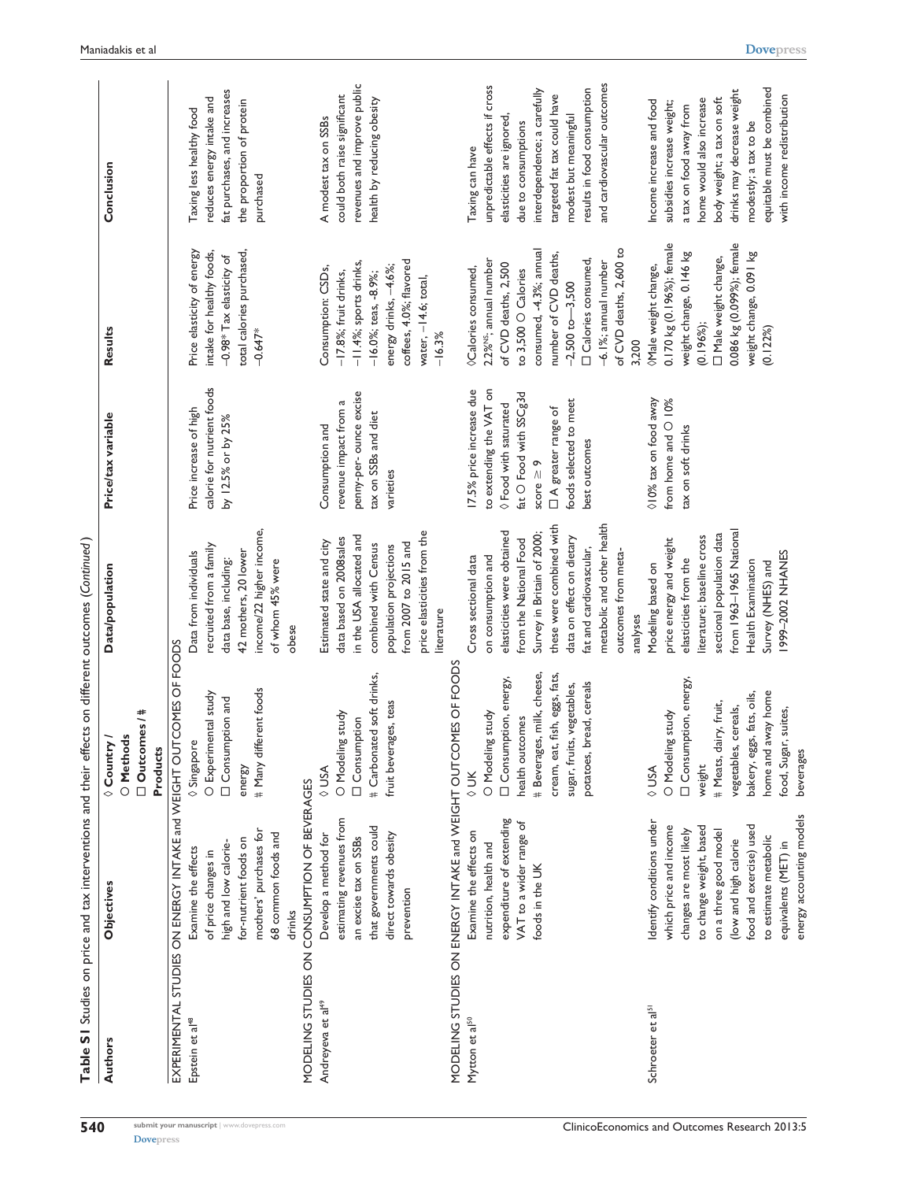|                               |                                                      | Table SI Studies on price and tax interventions and their effects on different outcomes (Continued) |                             |                                   |                                    |                                |
|-------------------------------|------------------------------------------------------|-----------------------------------------------------------------------------------------------------|-----------------------------|-----------------------------------|------------------------------------|--------------------------------|
| Authors                       | Objectives                                           | <b>©Country</b>                                                                                     | Data/population             | Price/tax variable                | Results                            | Conclusion                     |
|                               |                                                      | D Outcomes / #<br>O Methods                                                                         |                             |                                   |                                    |                                |
|                               |                                                      | <b>Products</b>                                                                                     |                             |                                   |                                    |                                |
|                               | EXPERIMENTAL STUDIES ON ENERGY INTAKE and WEIGHT OUT | COMES OF FOODS                                                                                      |                             |                                   |                                    |                                |
| Epstein et al <sup>48</sup>   | Examine the effects                                  | <b>Singapore</b>                                                                                    | Data from individuals       | Price increase of high            | Price elasticity of energy         | Taxing less healthy food       |
|                               | of price changes in                                  | O Experimental study                                                                                | recruited from a family     | calorie for nutrient foods        | intake for healthy foods,          | reduces energy intake and      |
|                               | high and low calorie-                                | <b>Consumption and</b>                                                                              | data base, including:       | by 12.5% or by 25%                | -0.98* Tax elasticity of           | fat purchases, and increases   |
|                               | for-nutrient foods on                                | energy                                                                                              | 42 mothers, 20 lower        |                                   | total calories purchased,          | the proportion of protein      |
|                               | mothers' purchases for                               | # Many different foods                                                                              | income/22 higher income,    |                                   | $-0.647*$                          | purchased                      |
|                               | 68 common foods and                                  |                                                                                                     | of whom 45% were            |                                   |                                    |                                |
|                               | drinks                                               |                                                                                                     | obese                       |                                   |                                    |                                |
|                               | MODELING STUDIES ON CONSUMPTION OF BEVERAGES         |                                                                                                     |                             |                                   |                                    |                                |
| Andreyeva et al <sup>49</sup> | Develop a method for                                 | $\Diamond$ USA                                                                                      | Estimated state and city    | Consumption and                   | Consumption: CSDs,                 | A modest tax on SSBs           |
|                               | estimating revenues from                             | study<br>O Modeling                                                                                 | data based on 2008sales     | $\,\varpi$<br>revenue impact from | $-17.8\%$ ; fruit drinks,          | could both raise significant   |
|                               | an excise tax on SSBs                                | <b>Consumption</b>                                                                                  | in the USA allocated and    | penny-per- ounce excise           | - II.4%; sports drinks,            | revenues and improve public    |
|                               | that governments could                               | # Carbonated soft drinks,                                                                           | combined with Census        | tax on SSBs and diet              | $-16.0\%$ ; teas, $-8.9\%$ ;       | health by reducing obesity     |
|                               | direct towards obesity                               | fruit beverages, teas                                                                               | population projections      | varieties                         | energy drinks, -4.6%;              |                                |
|                               | prevention                                           |                                                                                                     | from 2007 to 2015 and       |                                   | coffees, 4.0%; flavored            |                                |
|                               |                                                      |                                                                                                     | price elasticities from the |                                   | water, -14.6; total,               |                                |
|                               |                                                      |                                                                                                     | literature                  |                                   | $-16.3%$                           |                                |
|                               |                                                      | MODELING STUDIES ON ENERGY INTAKE and WEIGHT OUTCOMES OF FOODS                                      |                             |                                   |                                    |                                |
| Mytton et al <sup>50</sup>    | Examine the effects on                               | $\Diamond$ UK                                                                                       | Cross sectional data        | 17.5% price increase due          | <b>OCalories</b> consumed,         | Taxing can have                |
|                               | nutrition, health and                                | study<br>O Modeling                                                                                 | on consumption and          | to extending the VAT on           | 2.2% <sup>NS</sup> ; annual number | unpredictable effects if cross |
|                               | expenditure of extending                             | Oonsumption, energy,                                                                                | elasticities were obtained  | <b>Food with saturated</b>        | of CVD deaths, 2,500               | elasticities are ignored,      |
|                               | VAT to a wider range of                              | health outcomes                                                                                     | from the National Food      | fat O Food with SSCg3d            | to $3,500$ $\bigcirc$ Calories     | due to consumptions            |
|                               | foods in the UK                                      | # Beverages, milk, cheese,                                                                          | Survey in Britain of 2000;  | $score \ge 9$                     | consumed, -4.3%; annual            | interdependence; a carefully   |
|                               |                                                      | cream, eat, fish, eggs, fats,                                                                       | these were combined with    | $\Box$ A greater range of         | number of CVD deaths,              | targeted fat tax could have    |
|                               |                                                      | vegetables,<br>sugar, fruits,                                                                       | data on effect on dietary   | foods selected to meet            | $-2,500$ to $-3,500$               | modest but meaningful          |
|                               |                                                      | ead, cereals<br>potatoes, br                                                                        | fat and cardiovascular,     | best outcomes                     | <b>D</b> Calories consumed,        | results in food consumption    |
|                               |                                                      |                                                                                                     | metabolic and other health  |                                   | -6.1%; annual number               | and cardiovascular outcomes    |
|                               |                                                      |                                                                                                     | outcomes from meta-         |                                   | of CVD deaths, 2,600 to            |                                |
|                               |                                                      |                                                                                                     | analyses                    |                                   | 3,200                              |                                |
| Schroeter et al <sup>51</sup> | Identify conditions under                            | VSN ◊                                                                                               | Modeling based on           | $0\%$ tax on food away            | <b>Nale weight change,</b>         | Income increase and food       |
|                               | which price and income                               | study<br>O Modeling                                                                                 | price energy and weight     | from home and O 10%               | 0.170 kg (0.196%); female          | subsidies increase weight;     |
|                               | changes are most likely                              | Oonsumption, energy,                                                                                | elasticities from the       | tax on soft drinks                | weight change, 0.146 kg            | a tax on food away from        |
|                               | to change weight, based                              | weight                                                                                              | literature; baseline cross  |                                   | $(0.196\%)$                        | home would also increase       |
|                               | on a three good model                                | # Meats, dairy, fruit,                                                                              | sectional population data   |                                   | □ Male weight change,              | body weight; a tax on soft     |
|                               | (low and high calorie                                | vegetables, cereals,                                                                                | from 1963-1965 National     |                                   | 0.086 kg (0.099%); female          | drinks may decrease weight     |
|                               | food and exercise) used                              | bakery, eggs, fats, oils,                                                                           | Health Examination          |                                   | weight change, 0.091 kg            | modestly; a tax to be          |
|                               | to estimate metabolic                                | home and away home                                                                                  | Survey (NHES) and           |                                   | (0.122%)                           | equitable must be combined     |
|                               | equivalents (MET) in                                 | suites,<br>food, Sugar,                                                                             | 1999-2002 NHANES            |                                   |                                    | with income redistribution     |
|                               | energy accounting models                             | beverages                                                                                           |                             |                                   |                                    |                                |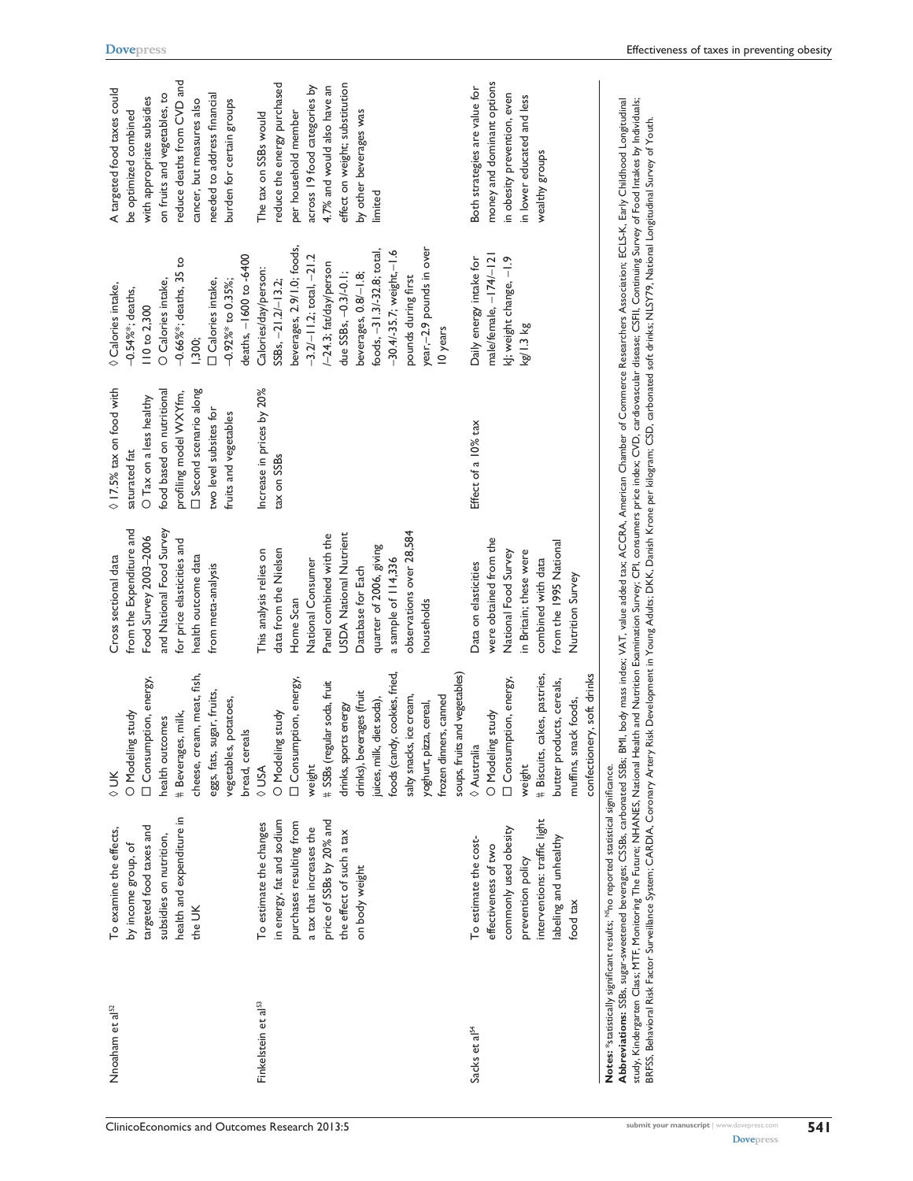| Nnoaham et al <sup>52</sup>     | To examine the effects,                                                                                                                                                                                                                                                                                                                                                                                                                                                                                                                                  | $\Diamond$ UK                 | Cross sectional data       | $\sqrt[6]{17.5\%}$ tax on food with                                                                                                                                                                                     | $\Diamond$ Calories intake,   | A targeted food taxes could    |
|---------------------------------|----------------------------------------------------------------------------------------------------------------------------------------------------------------------------------------------------------------------------------------------------------------------------------------------------------------------------------------------------------------------------------------------------------------------------------------------------------------------------------------------------------------------------------------------------------|-------------------------------|----------------------------|-------------------------------------------------------------------------------------------------------------------------------------------------------------------------------------------------------------------------|-------------------------------|--------------------------------|
|                                 | by income group, of                                                                                                                                                                                                                                                                                                                                                                                                                                                                                                                                      | O Modeling study              | from the Expenditure and   | saturated fat                                                                                                                                                                                                           | $-0.54\%$ *; deaths,          | be optimized combined          |
|                                 | targeted food taxes and                                                                                                                                                                                                                                                                                                                                                                                                                                                                                                                                  | <b>Consumption, energy,</b>   | Food Survey 2003-2006      | O Tax on a less healthy                                                                                                                                                                                                 | II0 to 2,300                  | with appropriate subsidies     |
|                                 | subsidies on nutrition,                                                                                                                                                                                                                                                                                                                                                                                                                                                                                                                                  | health outcomes               | and National Food Survey   | food based on nutritional                                                                                                                                                                                               | O Calories intake,            | on fruits and vegetables, to   |
|                                 | health and expenditure in                                                                                                                                                                                                                                                                                                                                                                                                                                                                                                                                | # Beverages, milk,            | for price elasticities and | profiling model WXYfm,                                                                                                                                                                                                  | $-0.66\%$ "; deaths, 35 to    | reduce deaths from CVD and     |
|                                 | the UK                                                                                                                                                                                                                                                                                                                                                                                                                                                                                                                                                   | cheese, cream, meat, fish,    | health outcome data        | Second scenario along                                                                                                                                                                                                   | 1,300;                        | cancer, but measures also      |
|                                 |                                                                                                                                                                                                                                                                                                                                                                                                                                                                                                                                                          | eggs, fats, sugar, fruits,    | from meta-analysis         | two level subsites for                                                                                                                                                                                                  | <b>Calories</b> intake,       | needed to address financial    |
|                                 |                                                                                                                                                                                                                                                                                                                                                                                                                                                                                                                                                          | vegetables, potatoes,         |                            | fruits and vegetables                                                                                                                                                                                                   | $-0.92\%*$ to 0.35%;          | burden for certain groups      |
|                                 |                                                                                                                                                                                                                                                                                                                                                                                                                                                                                                                                                          | bread, cereals                |                            |                                                                                                                                                                                                                         | deaths, -1600 to -6400        |                                |
| Finkelstein et al <sup>53</sup> | To estimate the changes                                                                                                                                                                                                                                                                                                                                                                                                                                                                                                                                  | <b>ASU ◊</b>                  | This analysis relies on    | Increase in prices by 20%                                                                                                                                                                                               | Calories/day/person:          | The tax on SSBs would          |
|                                 | in energy, fat and sodium                                                                                                                                                                                                                                                                                                                                                                                                                                                                                                                                | O Modeling study              | data from the Nielsen      | tax on SSBs                                                                                                                                                                                                             | $SSBs, -21.2/-13.2$           | reduce the energy purchased    |
|                                 | purchases resulting from                                                                                                                                                                                                                                                                                                                                                                                                                                                                                                                                 | Oonsumption, energy,          | Home Scan                  |                                                                                                                                                                                                                         | beverages, 2.9/1.0; foods,    | per household member           |
|                                 | a tax that increases the                                                                                                                                                                                                                                                                                                                                                                                                                                                                                                                                 | weight                        | National Consumer          |                                                                                                                                                                                                                         | $-3.2/-11.2$ ; total, $-21.2$ | across 19 food categories by   |
|                                 | price of SSBs by 20% and                                                                                                                                                                                                                                                                                                                                                                                                                                                                                                                                 | # SSBs (regular soda, fruit   | Panel combined with the    |                                                                                                                                                                                                                         | /-24.3; fat/day/person        | 4.7% and would also have an    |
|                                 | the effect of such a tax                                                                                                                                                                                                                                                                                                                                                                                                                                                                                                                                 | drinks, sports energy         | USDA National Nutrient     |                                                                                                                                                                                                                         | due SSBs, -0.3/-0.1;          | effect on weight; substitution |
|                                 | on body weight                                                                                                                                                                                                                                                                                                                                                                                                                                                                                                                                           | drinks), beverages (fruit     | Database for Each          |                                                                                                                                                                                                                         | beverages, 0.8/-1.8;          | by other beverages was         |
|                                 |                                                                                                                                                                                                                                                                                                                                                                                                                                                                                                                                                          | juices, milk, diet soda),     | quarter of 2006, giving    |                                                                                                                                                                                                                         | foods, -31.3/-32.8; total,    | limited                        |
|                                 |                                                                                                                                                                                                                                                                                                                                                                                                                                                                                                                                                          | foods (candy, cookies, fried, | a sample of 114,336        |                                                                                                                                                                                                                         | -30.4/-35.7; weight,-1.6      |                                |
|                                 |                                                                                                                                                                                                                                                                                                                                                                                                                                                                                                                                                          | salty snacks, ice cream,      | observations over 28,584   |                                                                                                                                                                                                                         | pounds during first           |                                |
|                                 |                                                                                                                                                                                                                                                                                                                                                                                                                                                                                                                                                          | yoghurt, pizza, cereal,       | households                 |                                                                                                                                                                                                                         | year,-2.9 pounds in over      |                                |
|                                 |                                                                                                                                                                                                                                                                                                                                                                                                                                                                                                                                                          | frozen dinners, canned        |                            |                                                                                                                                                                                                                         | 10 years                      |                                |
|                                 |                                                                                                                                                                                                                                                                                                                                                                                                                                                                                                                                                          | soups, fruits and vegetables) |                            |                                                                                                                                                                                                                         |                               |                                |
| Sacks et al <sup>54</sup>       | To estimate the cost-                                                                                                                                                                                                                                                                                                                                                                                                                                                                                                                                    | O Australia                   | Data on elasticities       | Effect of a 10% tax                                                                                                                                                                                                     | Daily energy intake for       | Both strategies are value for  |
|                                 | effectiveness of two                                                                                                                                                                                                                                                                                                                                                                                                                                                                                                                                     | O Modeling study              | were obtained from the     |                                                                                                                                                                                                                         | male/female, -174/-121        | money and dominant options     |
|                                 | commonly used obesity                                                                                                                                                                                                                                                                                                                                                                                                                                                                                                                                    | <b>Consumption, energy,</b>   | National Food Survey       |                                                                                                                                                                                                                         | kj; weight change, -1.9       | in obesity prevention, even    |
|                                 | prevention policy                                                                                                                                                                                                                                                                                                                                                                                                                                                                                                                                        | weight                        | in Britain; these were     |                                                                                                                                                                                                                         | kg/1.3 kg                     | in lower educated and less     |
|                                 | interventions: traffic light                                                                                                                                                                                                                                                                                                                                                                                                                                                                                                                             | # Biscuits, cakes, pastries,  | combined with data         |                                                                                                                                                                                                                         |                               | wealthy groups                 |
|                                 | labeling and unhealthy                                                                                                                                                                                                                                                                                                                                                                                                                                                                                                                                   | butter products, cereals,     | from the 1995 National     |                                                                                                                                                                                                                         |                               |                                |
|                                 | food tax                                                                                                                                                                                                                                                                                                                                                                                                                                                                                                                                                 | muffins, snack foods,         | Nutrition Survey           |                                                                                                                                                                                                                         |                               |                                |
|                                 |                                                                                                                                                                                                                                                                                                                                                                                                                                                                                                                                                          | confectionery, soft drinks    |                            |                                                                                                                                                                                                                         |                               |                                |
|                                 | Abbreviations: SSBs, sugar-sweetened beverages; CSSBs, carbonated SSBs; BMI, body mass index; VAT, value added tax; ACCRA, American Chamber of Commerce Researchers Association; ECLS-K, Early Childhood Longtudinal<br>study, Kindergarten Class; MTF, Monitoring The Future; NHANES, National Health and Nutrition Examination Survey, CPI, consumers price index; CVD, cardiovascular disease; CSFII, Continuing Survey of Food Intakes by Individu<br>Notes: *statistically significant results; <sup>NS</sup> no reported statistical significance. |                               |                            |                                                                                                                                                                                                                         |                               |                                |
|                                 |                                                                                                                                                                                                                                                                                                                                                                                                                                                                                                                                                          |                               |                            | BRFSS, Behavioral Risk Factor Surveillance System; CARDIA, Coronary Artery Risk Development in Young Adults; DKK, Danish Krone per kilogram; CSD, carbonated soft drinks; NLSY79, National Longiudinal Survey of Youth. |                               |                                |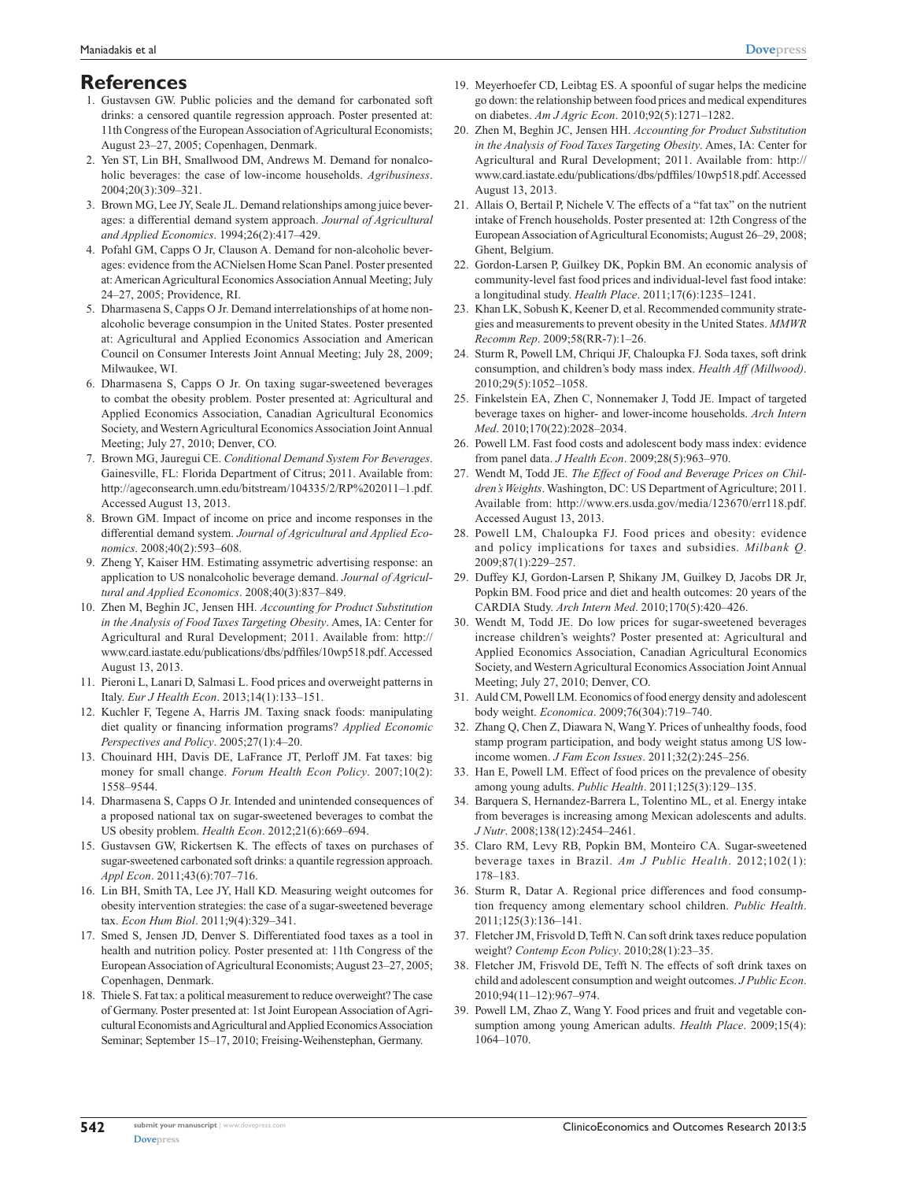# **References**

- 1. Gustavsen GW. Public policies and the demand for carbonated soft drinks: a censored quantile regression approach. Poster presented at: 11th Congress of the European Association of Agricultural Economists; August 23–27, 2005; Copenhagen, Denmark.
- 2. Yen ST, Lin BH, Smallwood DM, Andrews M. Demand for nonalcoholic beverages: the case of low-income households. *Agribusiness*. 2004;20(3):309–321.
- 3. Brown MG, Lee JY, Seale JL. Demand relationships among juice beverages: a differential demand system approach. *Journal of Agricultural and Applied Economics*. 1994;26(2):417–429.
- 4. Pofahl GM, Capps O Jr, Clauson A. Demand for non-alcoholic beverages: evidence from the ACNielsen Home Scan Panel. Poster presented at: American Agricultural Economics Association Annual Meeting; July 24–27, 2005; Providence, RI.
- 5. Dharmasena S, Capps O Jr. Demand interrelationships of at home nonalcoholic beverage consumpion in the United States. Poster presented at: Agricultural and Applied Economics Association and American Council on Consumer Interests Joint Annual Meeting; July 28, 2009; Milwaukee, WI.
- 6. Dharmasena S, Capps O Jr. On taxing sugar-sweetened beverages to combat the obesity problem. Poster presented at: Agricultural and Applied Economics Association, Canadian Agricultural Economics Society, and Western Agricultural Economics Association Joint Annual Meeting; July 27, 2010; Denver, CO.
- 7. Brown MG, Jauregui CE. *Conditional Demand System For Beverages*. Gainesville, FL: Florida Department of Citrus; 2011. Available from: http://ageconsearch.umn.edu/bitstream/104335/2/RP%202011–1.pdf. Accessed August 13, 2013.
- 8. Brown GM. Impact of income on price and income responses in the differential demand system. *Journal of Agricultural and Applied Economics*. 2008;40(2):593–608.
- 9. Zheng Y, Kaiser HM. Estimating assymetric advertising response: an application to US nonalcoholic beverage demand. *Journal of Agricultural and Applied Economics*. 2008;40(3):837–849.
- 10. Zhen M, Beghin JC, Jensen HH. *Accounting for Product Substitution in the Analysis of Food Taxes Targeting Obesity*. Ames, IA: Center for Agricultural and Rural Development; 2011. Available from: http:// www.card.iastate.edu/publications/dbs/pdffiles/10wp518.pdf. Accessed August 13, 2013.
- 11. Pieroni L, Lanari D, Salmasi L. Food prices and overweight patterns in Italy. *Eur J Health Econ*. 2013;14(1):133–151.
- 12. Kuchler F, Tegene A, Harris JM. Taxing snack foods: manipulating diet quality or financing information programs? *Applied Economic Perspectives and Policy*. 2005;27(1):4–20.
- 13. Chouinard HH, Davis DE, LaFrance JT, Perloff JM. Fat taxes: big money for small change. *Forum Health Econ Policy*. 2007;10(2): 1558–9544.
- 14. Dharmasena S, Capps O Jr. Intended and unintended consequences of a proposed national tax on sugar-sweetened beverages to combat the US obesity problem. *Health Econ*. 2012;21(6):669–694.
- 15. Gustavsen GW, Rickertsen K. The effects of taxes on purchases of sugar-sweetened carbonated soft drinks: a quantile regression approach. *Appl Econ*. 2011;43(6):707–716.
- 16. Lin BH, Smith TA, Lee JY, Hall KD. Measuring weight outcomes for obesity intervention strategies: the case of a sugar-sweetened beverage tax. *Econ Hum Biol*. 2011;9(4):329–341.
- 17. Smed S, Jensen JD, Denver S. Differentiated food taxes as a tool in health and nutrition policy. Poster presented at: 11th Congress of the European Association of Agricultural Economists; August 23–27, 2005; Copenhagen, Denmark.
- 18. Thiele S. Fat tax: a political measurement to reduce overweight? The case of Germany. Poster presented at: 1st Joint European Association of Agricultural Economists and Agricultural and Applied Economics Association Seminar; September 15–17, 2010; Freising-Weihenstephan, Germany.
- 19. Meyerhoefer CD, Leibtag ES. A spoonful of sugar helps the medicine go down: the relationship between food prices and medical expenditures on diabetes. *Am J Agric Econ*. 2010;92(5):1271–1282.
- 20. Zhen M, Beghin JC, Jensen HH. *Accounting for Product Substitution in the Analysis of Food Taxes Targeting Obesity*. Ames, IA: Center for Agricultural and Rural Development; 2011. Available from: http:// www.card.iastate.edu/publications/dbs/pdffiles/10wp518.pdf. Accessed August 13, 2013.
- 21. Allais O, Bertail P, Nichele V. The effects of a "fat tax" on the nutrient intake of French households. Poster presented at: 12th Congress of the European Association of Agricultural Economists; August 26–29, 2008; Ghent, Belgium.
- 22. Gordon-Larsen P, Guilkey DK, Popkin BM. An economic analysis of community-level fast food prices and individual-level fast food intake: a longitudinal study. *Health Place*. 2011;17(6):1235–1241.
- 23. Khan LK, Sobush K, Keener D, et al. Recommended community strategies and measurements to prevent obesity in the United States. *MMWR Recomm Rep*. 2009;58(RR-7):1–26.
- 24. Sturm R, Powell LM, Chriqui JF, Chaloupka FJ. Soda taxes, soft drink consumption, and children's body mass index. *Health Aff (Millwood)*. 2010;29(5):1052–1058.
- 25. Finkelstein EA, Zhen C, Nonnemaker J, Todd JE. Impact of targeted beverage taxes on higher- and lower-income households. *Arch Intern Med*. 2010;170(22):2028–2034.
- 26. Powell LM. Fast food costs and adolescent body mass index: evidence from panel data. *J Health Econ*. 2009;28(5):963–970.
- 27. Wendt M, Todd JE. *The Effect of Food and Beverage Prices on Children's Weights*. Washington, DC: US Department of Agriculture; 2011. Available from: http://www.ers.usda.gov/media/123670/err118.pdf. Accessed August 13, 2013.
- 28. Powell LM, Chaloupka FJ. Food prices and obesity: evidence and policy implications for taxes and subsidies. *Milbank Q*. 2009;87(1):229–257.
- 29. Duffey KJ, Gordon-Larsen P, Shikany JM, Guilkey D, Jacobs DR Jr, Popkin BM. Food price and diet and health outcomes: 20 years of the CARDIA Study. *Arch Intern Med*. 2010;170(5):420–426.
- 30. Wendt M, Todd JE. Do low prices for sugar-sweetened beverages increase children's weights? Poster presented at: Agricultural and Applied Economics Association, Canadian Agricultural Economics Society, and Western Agricultural Economics Association Joint Annual Meeting; July 27, 2010; Denver, CO.
- 31. Auld CM, Powell LM. Economics of food energy density and adolescent body weight. *Economica*. 2009;76(304):719–740.
- 32. Zhang Q, Chen Z, Diawara N, Wang Y. Prices of unhealthy foods, food stamp program participation, and body weight status among US lowincome women. *J Fam Econ Issues*. 2011;32(2):245–256.
- 33. Han E, Powell LM. Effect of food prices on the prevalence of obesity among young adults. *Public Health*. 2011;125(3):129–135.
- 34. Barquera S, Hernandez-Barrera L, Tolentino ML, et al. Energy intake from beverages is increasing among Mexican adolescents and adults. *J Nutr*. 2008;138(12):2454–2461.
- 35. Claro RM, Levy RB, Popkin BM, Monteiro CA. Sugar-sweetened beverage taxes in Brazil. *Am J Public Health*. 2012;102(1): 178–183.
- 36. Sturm R, Datar A. Regional price differences and food consumption frequency among elementary school children. *Public Health*. 2011;125(3):136–141.
- 37. Fletcher JM, Frisvold D, Tefft N. Can soft drink taxes reduce population weight? *Contemp Econ Policy*. 2010;28(1):23–35.
- 38. Fletcher JM, Frisvold DE, Tefft N. The effects of soft drink taxes on child and adolescent consumption and weight outcomes. *J Public Econ*. 2010;94(11–12):967–974.
- 39. Powell LM, Zhao Z, Wang Y. Food prices and fruit and vegetable consumption among young American adults. *Health Place*. 2009;15(4): 1064–1070.